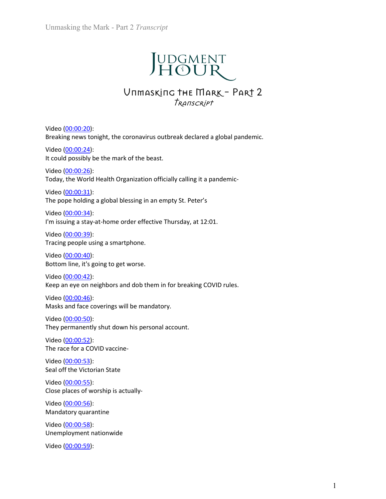# Unmasking the Mark - Part 2 *Transcript*<br>
UDGMENT

# IT Transcript<br>
JUDGMENT<br>
Unmasking the Mark - Part 2<br>
Transcript Transcript

Unmasking the Mark - Part 2 *Transcript*<br>  $\begin{array}{r} \begin{array}{r} \end{array} \begin{array}{r} \end{array}$ <br>  $\begin{array}{r} \end{array} \begin{array}{r} \end{array}$ <br>  $\begin{array}{r} \end{array}$  UND GMENT<br>  $\begin{array}{r} \end{array}$ <br>
VITHE MARK - PART 2<br>  $\begin{array}{r} \end{array}$ <br>  $\begin{array}{r} \end{array}$ <br>
Video <u>(00:00:20)</u>:<br> Unmasking the Mark - Part 2 *Transcript*<br>  $\begin{array}{r} \begin{array}{r} \end{array} \begin{array}{r} \end{array} \begin{array}{r} \end{array}$ <br>  $\end{array}$  UDGMENT<br>
UNTMASKING THE MARK - PART 2<br>  $\begin{array}{r} \end{array}$ <br>
Nideo <u>(00:00:20):</u><br>
Breaking news tonight, the coronavirus outbreak d Unmasking the Mark - Part 2 *Transcript*<br>  $\begin{array}{r} \begin{array}{r} \end{array} \begin{array}{r} \end{array} \begin{array}{r} \end{array}$ <br>  $\begin{array}{r} \end{array} \begin{array}{r} \end{array}$ <br>  $\begin{array}{r} \end{array} \begin{array}{r} \end{array}$ <br>  $\begin{array}{r} \end{array}$  Video (00:00:20):<br>
Breaking news tonight, the coronavirus out Unmasking the Mark - Part 2 *Transcript*<br>  $\begin{array}{r} \begin{array}{r} \begin{array}{l} \end{array} \begin{array} {l} \end{array} \begin{array} {l} \end{array} \begin{array} {l} \end{array} \begin{array} {l} \end{array} \begin{array} {l} \end{array} \begin{array} {l} \end{array} \begin{array} {l} \end{array} \begin{array} {l} \end{array} \begin{array} \end{array} \begin{array} \end{array} \begin{array} \end{array} \begin{array} \end{array} \begin{array} \end{$ Unmasking the Mark - Part 2 *Transcript*<br>  $\begin{array}{r} \begin{array}{r} \end{array} \begin{array}{r} \end{array}$ <br>  $\begin{array}{r} \end{array} \begin{array}{r} \end{array}$ <br>  $\begin{array}{r} \end{array}$   $\begin{array}{r} \end{array}$   $\begin{array}{r} \end{array}$   $\begin{array}{r} \end{array}$   $\begin{array}{r} \end{array}$   $\begin{array}{r} \end{array}$ <br>  $\begin{array}{r} \end{array}$ <br>
Video (<u>0</u> Today, the World Health Organization officially calling it a pandemic-**JUDGMENT**<br>
UIT COMENT<br>
UIT COMENT<br>
UIT COMENT<br>
Video <u>(00:00:20</u>):<br>
Breaking news tonight, the coronavirus outbreak declared a global pandemic.<br>
Video <u>(00:00:24)</u>:<br>
It could possibly be the mark of the beast.<br>
Today, th **JUDGMENT**<br>Unmasking the Mark - Part 2<br>Transcript<br>Streaking news tonight, the coronavirus outbreak declared a global pandemic.<br>Streaking news tonight, the coronavirus outbreak declared a global pandemic.<br>Video (00:00:24): **VIDGMENT**<br>
URLEM TREM CONTROVIDED TRACT 2<br>
Video <u>(00:00:20):</u><br>
Breaking news tonight, the coronavirus outbreak declared a global pandemic.<br>
Video <u>(00:00:24):</u><br>
It could possibly be the mark of the beast.<br>
Video <u>(00:00</u> **IFF COLORES COLOGET AT A STATE STATE AT A STATE OF A STATE OF A STATE ORDER AND STATE AND STATE (SEE AREALLY TRANSCRIPT)**<br>
Breaking news tonight, the coronavirus outbreak declared a global pandemic.<br>
Video <u>(00:00:24)</u>:<br> **VITALLACT THE MARK - PART 2**<br> *TRANSCRIPT*<br>
Video (00:00:20):<br>
Breaking news tonight, the coronavirus outbreak declared a global pandemic.<br>
Video (00:00:24):<br>
It could possibly be the mark of the beast.<br>
Video (00:00:26) **UTIMASKING THE MARK – PART 2**<br> *TRANSCRIPT*<br>
Video <u>(00:00:20):</u><br>
Breaking news tonight, the coronavirus outbreak declared a global pandemic.<br>
Video <u>(00:00:24)</u>:<br>
Ut could possibly be the mark of the beast.<br>
Video <u>(00:</u> *TRANISCRIPT*<br>
Video (00:00:20):<br>
Breaking news tonight, the coronavirus outbreak declared a global pandemic.<br>
Video (00:00:24):<br>
It could possibly be the mark of the beast.<br>
Video (00:00:26):<br>
Today, the World Health Org Video (<u>00:00:20</u>):<br>Breaking news tonight, the coronavirus outbreak declared a global pandemic.<br>Video (<u>00:00:24</u>):<br>Wideo (<u>00:00:24</u>):<br>Wideo (<u>00:00:25</u>):<br>Today, the World Health Organization officially calling it a pand Video <u>(00:00:20</u>):<br>Breaking news tonight, the coronavirus outbreak declared a global pandemic.<br>Video (<u>00:00:24</u>):<br>It could possibly be the mark of the beast.<br>Video (<u>00:00:26</u>):<br>Today, the World Health Organization offic Video (00:00:20):<br>Breaking news tonight, the coronavirus outbreak declared a global pandemic.<br>Ricold (00:00:24):<br>It could possibly be the mark of the beast.<br>Video (00:00:29):<br>Video (00:00:23):<br>The pope holding a global ble Video  $(00:00:24)$ :<br>Video  $(00:00:24)$ :<br>It could possibly be the mark of the beast.<br>Video  $(00:00:26)$ :<br>Today, the World Health Organization officially calling it a pandemic-<br>Video  $(00:00:31)$ :<br>The pope holding a global

Video (<u>00:00:24)</u>:<br>Video (<u>00:00:24)</u>:<br>It could possibly be the mark of the beast.<br>Video (<u>00:00:36)</u>:<br>Today, the World Health Organization officially calling it a pandemic-<br>Video (<u>00:00:34)</u>:<br>Ithe pope holding a global **Example 10:**<br>
Video (00:00:26):<br>
Video (00:00:26):<br>
Video (00:00:26):<br>
Today, the World Health Organization officially calling it a pandemic-<br>
Video (00:00:31):<br>
The pope holding a global blessing in an empty St. Peter's Video (<u>00:00:26</u>):<br>Today, the World Health Organization officially calling it a pandemic-<br>Today, the pope holding a global blessing in an empty St. Peter's<br>Video (<u>00:00:34</u>):<br>The pope holding a sty-at-home order effectiv Video  $(00:00:31)$ :<br>The pope holding a global blessing in an empty St. Peter's<br>Video  $(00:00:34)$ :<br>The pope holding a global blessing in an empty St. Peter's<br>Video  $(00:00:39)$ :<br>Tracing people using a smartphone.<br>Video  $($ Video (<u>00:00:31)</u>:<br>The pope holding a global blessing in an empty St. Peter's<br>Video (<u>00:00:34)</u>:<br>Um issuing a stay-at-home order effective Thursday, at 12:01.<br>Video (<u>00:00:39</u>):<br>Tracing people using a smartphone.<br>Video Video  $(00:00:34)$ :<br>
Video  $(00:00:34)$ :<br>
Vining a stay-at-home order effective Thursday, at 12:01.<br>
Video  $(00:00:39)$ :<br>
Tracing people using a smartphone.<br>
Video  $(00:00:40)$ :<br>
Bottom line, it's going to get worse.<br>
Vid Video <u>(00:00:34)</u>:<br>Video <u>(00:00:39)</u>:<br>Video <u>(00:00:39)</u>:<br>Tracing a stav<sub>a</sub>-t-home order effective Thursday, at 12:01.<br>Video (<u>00:00:39</u>):<br>Tracing people using a smartphone.<br>Video (<u>00:00:40):</u><br>Video (<u>00:00:42</u>):<br>Video Final policies of the state entertainmental matters of the UC-00:39):<br>
Video (00:00:39):<br>
Tracing people using a smartphone.<br>
Video (00:00:40):<br>
Bottom line, it's going to get worse.<br>
Video (00:00:46):<br>
Video (00:00:46):<br> Video (<u>00:00:39)</u>:<br>Video (<u>00:00-39)</u>:<br>Tracing people using a smartphone.<br>Video (<u>00:00-40</u>):<br>Bottom line, it's going to get worse.<br>Video (<u>00:00-42</u>):<br>Waks and face coverings will be mandatory.<br>Maks and face coverings wi Video  $(00:00:40)$ :<br>
Video  $(00:00:42)$ :<br>
Bottom line, it's going to get worse.<br>
Video  $(00:00:42)$ :<br>
Keep an eye on neighbors and dob them in for breaking COVID rules.<br>
Video  $(00:00:46)$ :<br>
Masks and face coverings will Video (<u>00:00:40):</u><br>Bottom line, it's going to get worse.<br>Wideo (<u>00:00:42)</u>:<br>Keep an eye on neighbors and dob them in for breaking COVID rules.<br>Video (<u>00:00:42):</u><br>Masks and face coverings will be mandatory.<br>Video (<u>00:0</u> Video  $(00:00:42)$ :<br>Video  $(00:00:42)$ :<br>Keep an eye on neighbors and dob them in for breaking COVID rules.<br>Video  $(00:00:46)$ :<br>Masks and face coverings will be mandatory.<br>Video  $(00:00:50)$ :<br>They permanently shut down his Video (<u>00:00:42</u>):<br>Keep an eye on neighbors and dob them in for breaking COVID rules.<br>Keep an eye on neighbors and dob them in for breaking COVID rules.<br>Masks and face coverings will be mandatory.<br>Video (<u>00:00:52)</u>:<br>The

Wideo  $(00:00:46)$ :<br>Video  $(00:00:46)$ :<br>Masks and face coverings will be mandatory.<br>Video  $(00:00:50)$ :<br>They permanently shut down his personal account.<br>Video  $(00:00:52)$ :<br>The race for a COVID vaccine-<br>Video  $(00:00:55)$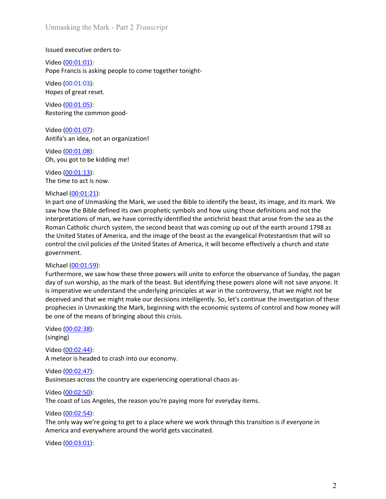Unmasking the Mark - Part 2 *Transcript*<br>Issued executive orders to-<br>Video <u>(00:01:01</u>): Unmasking the Mark - Part 2 *Transcript*<br>Issued executive orders to-<br>Video <u>(00:01:01</u>):<br>Pope Francis is asking people to come together tonight-<br>Video (00:01:03):<br>Hopes of great reset. Unmasking the Mark - Part 2 *Transcript*<br>Issued executive orders to-<br>Video <u>(00:01:01)</u>:<br>Pope Francis is asking people to come together tonight-<br>Video (00:01:03):<br>Hopes of great reset.<br>Video (<u>00:01:05</u>): Unmasking the Mark - Part 2 *Transcript*<br>Issued executive orders to-<br>Video <u>(00:01:01)</u>:<br>Pope Francis is asking people to come together tonight-<br>Video (00:01:03):<br>Hopes of great reset.<br>Video (<u>00:01:05)</u>:<br>Restoring the com Unmasking the Mark - Part 2 *Transcript*<br>
Issued executive orders to-<br>
Video <u>(00:01:01</u>):<br>
Pope Francis is asking people to come together tonight-<br>
Video (00:01:03):<br>
Hopes of great reset.<br>
Video (<u>00:01:05</u>):<br>
Restoring Unmasking the Mark - Part 2 *Transcript*<br>
Issued executive orders to-<br>
Video (<u>00:01:01</u>):<br>
Pope Francis is asking people to come together tonight-<br>
Video (00:01:03):<br>
Hopes of great reset.<br>
Video (0<u>0:01:05):</u><br>
Restoring Unmasking the Mark - Part 2 *Transcript*<br>Issued executive orders to-<br>Video (<u>00:01:01):</u><br>Pope Francis is asking people to come together tonight-<br>Video (00:01:03):<br>Hopes of great reset.<br>Video (0<u>0:01:05):</u><br>Nideo (0<u>0:01:07)</u> Unmasking the Mark - Part 2 *Transcript*<br>Issued executive orders to-<br>Video (0<u>0:01:01)</u>:<br>Pope Francis is asking people to come together tonight-<br>Video (00:01:03):<br>Hopes of great reset.<br>Nideo (0<u>0:01:07)</u>:<br>Restoring the com Unmasking the Mark - Part 2 *Transcript*<br>Issued executive orders to-<br>Video (<u>00:01:01):</u><br>Pope Francis is asking people to come together tonight-<br>Video (00:01:03):<br>Hopes of great reset.<br>Nideo (<u>00:01:05):</u><br>Restoring the com Unmasking the Mark - Part 2 *Transcript*<br>
Issued executive orders to-<br>
Video (00:01:01):<br>
Pope Francis is asking people to come together tonight-<br>
Video (00:01:03):<br>
Hopes of great reset.<br>
Restoring the common good-<br>
Nide Unmasking the Mark - Part 2 *Transcript*<br>Issued executive orders to-<br>Video (00:01:01):<br>Pope Francis is asking people to come together tonight-<br>Video (00:01:03):<br>Hopes of great reset.<br>Video (00:01:05):<br>Restoring the common Unmasking the Mark - Part 2 *Transcript*<br>Issued executive orders to-<br>Video <u>(00:01:01)</u>:<br>Pope Francis is asking people to come together tonight-<br>Video (00:01:03):<br>Video <u>(00:01:05)</u>:<br>Restoring the common good-<br>Nideo <u>(00:0</u>

Unmasking the Mark - Part 2 *Transcript*<br>
Issued executive orders to-<br>
Video (<u>00:01:01):</u><br>
Pope Francis is asking people to come together tonight-<br>
Video (00:01:03):<br>
Video (0<u>:01:05):</u><br>
Restoring the common good-<br>
Video Unmasking the Mark - Part 2 *Transcript*<br>
Issued executive orders to-<br>
Video (00:01:03):<br>
Pope Francis is asking people to come together tonight-<br>
Video (00:01:03):<br>
Hopes of great rest.<br>
Video (00:01:03):<br>
Restoring the c Issued executive orders to-<br>Video <u>(00:01:01)</u>:<br>Pope Francis is asking people to come together tonight-<br>Video (00:01:03):<br>Hopes of great reset.<br>Restoring the common good-<br>Video (<u>00:01:07):</u><br>Antifa's an idea, not an organi Issued executive orders to-<br>Video (<u>00:01:03</u>):<br>Pope Francis is asking people to come together tonight-<br>Video (00:01:03):<br>Restoring the common good-<br>Antifs's an idea, not an organization!<br>Wideo (<u>00:01:03):</u><br>Oh, you got to Video (<u>00:01:01)</u>:<br>
Video (0<u>0:01:01)</u>:<br>
Video (00:01:03):<br>
Video (00:01:05):<br>
Video (00:01:05):<br>
Artifa's an idea, not an organization!<br>
Video (<u>00:01:05):</u><br>
Antifa's an idea, not an organization!<br>
Oh, you got to be kid Video (<u>00001.03)</u>:<br>
Video (0001.03):<br>
Pope Francis is asking people to come together tonight-<br>
Video (<u>0001.03):</u><br>
Nexteo (<u>0001.03):</u><br>
Video (<u>0001.13)</u>:<br>
Only our got to be kidding me!<br>
The time to act is now.<br>
Michael Pope Francis is asking people to come together tonight-<br>Video (00:01:03):<br>Hopes of great reset.<br>Wideo (00:01:03):<br>Restoring the common good-<br>Video (00:01:23):<br>Oh, you got to be kidding me!<br>Oh, you got to be kidding me!<br>In Video (00:01:03):<br>
Yideo (00:01:05):<br>
Video (00:01:05):<br>
Nickel (00:01:07):<br>
Antifa's an idea, not an organization!<br>
Video (00:01:02):<br>
Oft, you got to be kidding me!<br>
The time to act is now.<br>
Michael (<u>00:01:13)</u>:<br>
The t Ether the control the civilisation of the United States of America, it will become effectively a church with the control to the control to the control of the control of the control of Oxide (00:01:02):<br>
Only you got to be government. Restoring the common good-<br>
Nedeo (<u>00:01:07)</u>:<br>
Netica<sup>r</sup> an idea, not an organization!<br>
Video (<u>00:01:08)</u>:<br>
Oh, you got to be kidding me!<br>
Video (<u>00:01:03)</u>:<br>
The time to act is now.<br>
Michael (<u>00:01:13</u>):<br>
In part one **EVECT (1900)**<br>
Video (<u>00.01:07</u>):<br>
Video (<u>00.01:07</u>):<br>
Video (<u>00.01:03</u>):<br>
Oh, you got to be kidding me!<br>
The time to act is now,<br>
Michael (<u>00:10:23)</u>:<br>
In part one of Unmasking the Mark, we used the Bible to identif Video (<u>00.01:07</u>):<br>Video (<u>00.01:08)</u>:<br>Video (<u>00.01:03)</u>:<br>Oh, you got to be kidding me!<br>In part one of Unmasking the Mark, we used the Bible to identify the beast, its image, and its mark. We<br>In part one of Unmasking the in the unit of the inductions of the kidding methand the underlying principles at war in the control and how more (00:01:02).<br>The time to act is now.<br>The time to act is now.<br>The lime to act is now.<br>Say to the underlying t Video (<u>00:01:05)</u>:<br>
Of Wideo (<u>00:01:03</u>):<br>
Of Wideo (0<u>0:01:03</u>):<br>
Of Wideo (0<u>0:01:03</u>):<br>
In part one of Unmasking the Mark, we used the Bible to identify the beast, its image, and its mark. We<br>
stay how the Bible defi Video (<u>00001.39)</u>:<br>Oh, you got to be kidding me!<br>Of the control of the standary and the Mark, we used the Bible to identify the beast, its image, and its mark. We<br>In part one of Unmasking the Mark, we used the Bible to i Oh, you got to be kidding me!<br>
Yideo (<u>00:01:131)</u>:<br>
Yideo (00:<u>01:131)</u>:<br>
The time to act is now.<br>
In the means of Unmasking the Mark, we used the Bible to identify the beast, its image, and its mark. We<br>
In part one of U Video (<u>00:01:13</u>):<br>The time to act is now.<br>In chiade (<u>00:01:21)</u>:<br>In part one of Unmasking the Mark, we used the Bible to identify the beast, its its<br>is now the Bible defined its own prophetic symbols and how using thos Michael (<u>00:01:21)</u>:<br>
Michael (<u>00:01:21</u>):<br>
In part one of Unmasking the Mark, we used the Bible to identify the beast, its its<br>
insum on the Bible defined its own prophetic symbols and how using those definite<br>
rinterp In part one Ummasking the Mark, we used the Bible to identify the beats, its image, and its man's more of Ummasking the Nation (inclusion that the Bible control interpretations of man, we have correctly identified the ant

interpretations of man, we have correctly identified the antichrist beast that arc<br>interpretations of man, we have correctly identified the antichrist beast that arc<br>Roman Catholic church system, the second beast that was Roman Catholic church system, the second beast that was coming up out of the earth around 1798 as<br>Roman Catholic church system, the second beast that was coming up out of the earth around 1798 as<br>the Uhite States of Americ the United States of America, and the image of the beast as the evangelical Protontol the civil policies of the United States of America, it will become effective<br>government.<br>government.<br>Michael (<u>00:01:59</u>):<br>Furthermore, control the civil policies of the United States of America, it will become effectively a church and state<br>government.<br>Michael (<u>00:01:59</u>):<br>Furthermore, we saw how these three powers will unite to enforce the observance of **Michael (00:01:59):**<br>
Michael (00:01:59):<br>
Furthermore, we saw how these three powers will unite to enforce the observa<br>
day of sun worship, as the mark of the beast. But identifying these powers alone<br>
is imperative we Michael (0<u>00.01-59)</u>:<br>
Michael (00.011-59):<br>
Furthermore, we saw how these three powers will unite to enforce the observance of Sunday, the pagan<br>
day of sun worship, as the mark of the beast. But identifying these power Furthermore, we saw how these three powers will unite to enforce the observance of Sunday, the pagan<br>day of sun worship, as the mark of the beast. But identifying these powers alone will not save anyone. It<br>is imperative w is imperative we understand the underlying principles at war in the controversy<br>is imperative we understand the underlying principles at war in the controversy<br>deceived and that we might make our decisions intelligently.

(singing)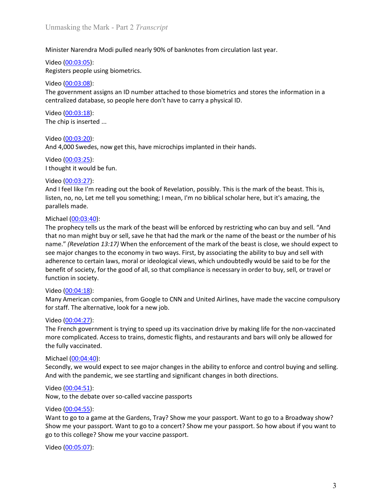Unmasking the Mark - Part 2 *Transcript*<br>Minister Narendra Modi pulled nearly 90% of banknotes from circulation last year.<br>Video <u>(00:03:05</u>):

Unmasking the Mark - Part 2 *Transcript*<br>Minister Narendra Modi pulled nearly 90% of banknotes from circulation last year.<br>Video (<u>00:03:05):</u><br>Video (<u>00:03:08):</u><br>The government assigns an ID number attached to those biome Unmasking the Mark - Part 2 *Transcript*<br>Minister Narendra Modi pulled nearly 90% of banknotes from circulation last ye<br>Video (<u>00:03:05</u>):<br>Registers people using biometrics.<br>The government assigns an ID number attached to Unmasking the Mark - Part 2 *Transcript*<br>Minister Narendra Modi pulled nearly 90% of banknotes from circulation last year.<br>Video <u>(00:03:05):</u><br>Registers people using biometrics.<br>The government assigns an ID number attached Unmasking the Mark - Part 2 *Transcript*<br>Minister Narendra Modi pulled nearly 90% of banknotes from circulation last ye<br>Video <u>(00:03:05)</u>:<br>Registers people using biometrics.<br>Video (<u>00:03:08)</u>:<br>The government assigns an I Unmasking the Mark - Part 2 *Transcript*<br>Minister Narendra Modi pulled nearly 90% of banknotes from circulation last year.<br>Video (<u>00:03:05):</u><br>Registers people using biometrics.<br>The government assigns an ID number attached Unmasking the Mark - Part 2 *Transcript*<br>Minister Narendra Modi pulled nearly 90% of banknotes from circulation last year.<br>Video <u>(00:03:05):</u><br>Registers people using biometrics.<br>Video <u>(00:03:08):</u><br>Oideo <u>(00:03:08):</u><br>Vide Unmasking the Mark - Part 2 *Transcript*<br>
Minister Narendra Modi pulled nearly 90% of banknotes from circulation last ye<br>
Video (<u>00:03:05</u>):<br>
Registers people using biometrics.<br>
Video (<u>00:03:08</u>):<br>
The government assigns Unmasking the Mark - Part 2 *Transcript*<br>Minister Narendra Modi pulled nearly 90% of banknotes from circulation last year.<br>Video <u>(00:03:05)</u>:<br>Registers people using biometrics.<br>Video <u>(00:03:08)</u>:<br>The government assigns a Unmasking the Mark - Part 2 *Transcript*<br>
Minister Narendra Modi pulled nearly 90% of banknotes from circulation last ye<br>
Video (<u>00:03:05</u>):<br>
Registers people using biometrics.<br>
Video (<u>00:03:08</u>):<br>
The government assigns Unmasking the Mark - Part 2 *Transcript*<br>Minister Narendra Modi pulled nearly 90% of banknotes from circulation last year.<br>Video <u>(00:03:08)</u>:<br>Video <u>(00:03:08)</u>:<br>The government assigns an ID number attached to those biome

Unmasking the Mark - Part 2 *Transcript*<br>
Minister Narendra Modi pulled nearly 90% of banknotes from circulation last ye<br>
Video <u>(00:03:05):</u><br>
Registers people using biometrics.<br>
Video <u>(00:03:08):</u><br>
Video <u>(00:03:08):</u><br>
C Unmasking the Mark - Part 2 *Transcript*<br>
Minister Narendra Modi pulled nearly 90% of banknotes from circulation last year.<br>
Video (<u>00:03:08)</u>:<br>
Niegoter people using biometrics.<br>
Video (<u>00:03:08)</u>:<br>
The government assig Unmasking the Mark - Part 2 *Transcript*<br>
Minister Narendra Modi pulled nearly 90% of banknotes from circulation last ye<br>
Video (<u>00:03:05</u>):<br>
Registers people using biometrics.<br>
Video (<u>00:03:08)</u>:<br>
The government assign Minister Narendra Modi pulled nearly 90% of banknotes from circulation last year.<br>Video <u>(0003:00</u>):<br>Registers poople using biometrics.<br>Video <u>(0003:08):</u><br>The government assigns an ID number attached to those biometrics a Minister Narendra Modi pulled nearly 90% of banknotes from circulation last year.<br>Video <u>(00.03:05</u>):<br>Registers people using biometrics.<br>The government assigns an ID number attached to those biometrics and stores the infor

Minister Narendra Modi pulled nearly 90% of banknotes from circulation last year.<br>Video (<u>00:03:05)</u>:<br>Video (<u>00:03:05)</u>:<br>Registers people using biometrics.<br>The government assigns an ID number attached to those biometrics Video (<u>00:03:05)</u>:<br>
Registers people using biometrics.<br>
Video (<u>00:03:08)</u>:<br>
Video (<u>00:03:08)</u>:<br>
The government assigns an ID number attached to those biometrics and stores the<br>
centralized database, so people here don' Registers people using biometrics.<br>
Video (<u>00.03:06</u>):<br>
The government assigns an ID number attached to those biometrics and stores the information in a<br>
Centralized database, so people here don't have to carry a physical Video (<u>00.03:08</u>):<br>The government assigns an ID number attached to those biometrics and stores the information in a<br>centralized database, so people here don't have to carry a physical ID.<br>Video (<u>00.03:25</u>):<br>The chip is i The government assigns an ID number attached to those biometrics and stores the information in a<br>
The government assigns an ID number attached to carry a physical ID.<br>
Video (<u>0003:18</u>):<br>
The chip is inserted ...<br>
The chip see the economy in two ways. First, by associating the ability to buy and sell where the economy in two ways.<br>The chip is inserted ...<br>And  $(0.003:20):$ <br>And  $(0.003:20):$ <br>And  $(0.003:20):$ <br>And  $(0.003:25):$ <br>The economy is the **EVALUAT CONDENTS AND MANUATE CONDENTS AND MANUATE CONDENTS.**<br>
Video (<u>00.03:25</u>):<br>
The chip is inserted ...<br>
Video (<u>00.03:25</u>):<br>
And 4,000 Swedes, now get this, have microchips implanted in their hands.<br>
If thought it w Video (<u>00.03:18</u>):<br>
Yideo (<u>00.03:20</u>):<br>
Yideo (00.03:20):<br>
And 4,000 Swedes, now get this, have microchips implanted in their hands.<br>
Yideo (00.03:22):<br>
It thought it would be fun.<br>
And I feel like <sup>1</sup>m reading out the The chip is inserted ...<br>Video (<u>00:03:20</u>):<br>And 4,000 Swedes, now get this, have microchips implanted in their hands.<br>Video (<u>00:03:25):</u><br>It thought it would be fun.<br>And I feel like I'm reading out the book of Revelation Video (<u>00:03:20</u>):<br>
And 4,000 Swedes, now get this, have microchips implanted in their hands.<br>
Video (<u>00:03:25</u>):<br>
I thought it would be fun.<br>
Video (<u>00:03:27</u>):<br>
I thought it would be fun.<br>
And I feel like I'm reading American companies, from Google to CNN and United Airlines, have made the filth would be the thought it would be fun.<br>
When (00:03:25):<br>
Video (00:03:27):<br>
Video (00:03:27):<br>
Video (00:03:27):<br>
And I feel like I'm reading <sup>1974</sup> (10<u>6003-22)</u>:<br>
It hought it would be fun.<br>
Video (0<u>003-23)</u>:<br>
It hought it would be fun.<br>
Video (00<u>03-23)</u>:<br>
It hought it would be fun.<br>
Itsien, no, no, Let me tell you something; I mean, I'm no biblical scholar I thought it would be fun.<br>
Video (00:03:27):<br>
And I feel like I'm reading out the book of Revelation, possibly. This is the mark is<br>
listen, no, no, Let me tell you something; I mean, I'm no biblical scholar here, bu<br>
pa <sup>2</sup>Nideo (<u>00.03-27</u>):<br>
And I feel like I'm reading out the book of Revelation, possibly. This is the mark of the beast. This is,<br>
Instead, no, no, Let me tell you something; I mean, I'm no biblical scholar here, but It's Video (00:03:27):<br>What if eell like !'m reading out the book of Revelation, possibly. This is the mark of the beast. This is,<br>listen, no, no, Let me tell you something; I mean, I'm no biblical scholar here, but it's amazin And I feel like I'm reading out the book of Revelation, possibly. This is the mark of listen, no, no, bet me tell you something; I mean, I'm no biblical scholar here, but i<br>parallels made.<br>
Michael (00:03:40):<br>
The prophe parallels made.<br>
Michael (<u>00:03:40</u>):<br>
The prophecy tells us the mark of the beast will be enforced by restricting who can<br>
that no man might buy or sell, save he hat had the mark of the mark of the beasts<br>
that no man m Fitchare (00:03:40):<br>The prophecy tells us the mark of the beast will be enforced by restricting who can buy and sell. "And<br>The prophecy tells us the mark of the beast will be enforcement of the mark of the beast is close, Michael (<u>00034:9)</u><br>
Michael (20<u>034:40</u>):<br>
Michael (2003-23:40):<br>
The prophecy tells us the mark of the beast will be enforced by restricting who can buy and sell. "And<br>
that no man might buy or sell, save he that had the The thermain signal signal signal signal signals and the mark or the name of the beat is claname." (Revelation 13:17) When the enforcement of the mark or the name of the beat is claname." (Revelation 13:17) When the enfor name." (Revelation 13:17) When the enforcement of the mark of the beast is close, we should expect to<br>name." (Revelation 13:17) When the enforcement of the mark of the beast is close, we should expect to<br>see major changes see major changes to the economy in two ways. First, by associating the ability to<br>adherence to certain laws, moral or ideological views, which undoubtedly would<br>benefit of society, for the good of all, so that compliance

Video (<u>00:04:18</u>):<br>Many American companies, from Google to CNN and United Airlines, have madd<br>not staff. The alternative, look for a new job.<br>Video (<u>00:04:27</u>):<br>The French government is trying to speed up its vaccinatio

adherence to certain laws, moral or ideological views, which undoubtedly would be said to be for the benefit of society, for the good of all, so that compliance is necessary in order to buy, sell, or travel or function in benefit of society, for the good of all, so that compliance is necessary in order to buy, sell, or travel or<br>Video (<u>00:04:18</u>):<br>Video (<u>00:04:18</u>):<br>Many American companies, from Google to CNN and United Airlines, have mad function in society.<br>Wideo (<u>00.04-18</u>):<br>Many American companies, from Google to CNN and United Airlines, have made the vaccine compulsory<br>for staff. The alternative, look for a new job.<br>Wideo (<u>00.04-2</u>7):<br>The French gove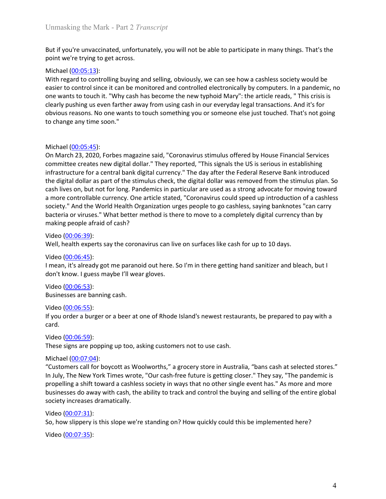Unmasking the Mark - Part 2 *Transcript*<br>But if you're unvaccinated, unfortunately, you will not be able to participate in many things. That's the<br>point we're trying to get across.

Unmasking the Mark - Part 2 *Transcript*<br>But if you're unvaccinated, unfortunately, you will not be able to participate in many things. That's the<br>point we're trying to get across.<br>Michael (<u>00:05:13</u>):<br>With regard to cont Unmasking the Mark - Part 2 *Transcript*<br>But if you're unvaccinated, unfortunately, you will not be able to participate in many things. That's<br>point we're trying to get across.<br>Michael (<u>00:05:13</u>):<br>With regard to controll Unmasking the Mark - Part 2 *Transcript*<br>But if you're unvaccinated, unfortunately, you will not be able to participate in ma<br>point we're trying to get across.<br>Michael (<u>00:05:13</u>):<br>With regard to controlling buying and se Unmasking the Mark - Part 2 *Transcript*<br>But if you're unvaccinated, unfortunately, you will not be able to participate in many things. That's the<br>point we're trying to get across.<br>Michael (<u>00:05:13</u>):<br>With regard to cont Unmasking the Mark - Part 2 *Transcript*<br>But if you're unvaccinated, unfortunately, you will not be able to participate in many things. That's the<br>point we're trying to get across.<br>Wich regard to controlling buying and sel Unmasking the Mark - Part 2 *Transcript*<br>But if you're unvaccinated, unfortunately, you will not be able to participate in many things. That's the<br>point we're trying to get across.<br>Michael (<u>00:05:13</u>):<br>With regard to cont Unmasking the Mark - Part 2 *Transcript*<br>But if you're unvaccinated, unfortunately, you will not be able to participate in many things. That's the<br>point we're trying to get across.<br>With regard to controlling buying and sel Unmasking the Mark - Part 2 *Transcript*<br>But if you're unvaccinated, unfortunately, you will not be able to participate in many things. That's the<br>point we're trying to get across.<br>Michael <u>(00:05:13</u>):<br>With regard to cont Unmasking the Mark - Part 2 *Transcript*<br>But if you're unvaccinated, unfortunately, you will not be able to participate in many things. 1<br>point we're trying to get across.<br>Wichael <u>(00:05:13)</u>:<br>With regard to controlling b Unmasking the Mark - Part 2 *Transcript*<br>
But if you're unvaccinated, unfortunately, you will not be able to participate in ma<br>
point we're trying to get across.<br>
Michael (<u>00:05:13</u>):<br>
Michael (00:05:13):<br>
With regard to

Unmasking the Mark - Part 2 *Transcript*<br>But if you're unvaccinated, unfortunately, you will not be able to participate in many things. That's the<br>point we're trying to get across.<br>With regard to controlling buying and sel Unmasking the Mark - Part 2 *Transcript*<br>But if you're unvaccinated, unfortunately, you will not be able to participate in many things. That's the<br>point we're trying to get across.<br>With regard to controlling buying and sel Unmasking the Mark - Part 2 *Transcript*<br>But if you're unvaccinated, unfortunately, you will not be able to participate in many things. That's the<br>point we're trying to get across.<br>With regard to controlling buying and sel Unmasking the Mark - Part 2 *Transcript*<br>But if you're unvaccinated, unfortunately, you will not be able to participate in many things. That's the<br>point we're trying to get across.<br>Wich regard to controlling buying and sel But if you're unvaccinated, unfortunately, you will not be able to participate in many things. That's the<br>point we're trying to get across.<br>With regard to controlling buying and selling, obviously, we can see how a cashles But if you're unvaccinated, unfortunately, you will not be able to participate in many things. That's the<br>point we're trying to get across.<br>With regard to controlling buying and selling, obviously, we can see how a cashles But if you're unvactinately, you will not be able to participate in many things. That's the<br>point we're trying to get across.<br>
With regard to controlling buying and selling, obviously, we can see how a cashless society wou point we're trying to get across.<br>With regard to controlling buying and selling, obviously, we can see how a cashless society would be<br>With regard to controlling buying and selling, obviously, we can see how a cashless soc Michael (<u>00:05:13</u>):<br>
With regard to controlling buying and selling, obviously, we can see how a cashless society would<br>
with regard to controlling buying and selling, obviously, we can see how a cashless society would<br>
e With regard to controlling buying and selling, obviously, we can see how a cash<br>easier to control since it can be monitored and controlled electronically by com<br>one wants to touch it. "Why cash has become the new typhoid M easier to control since it it can be monitored and controlled leelctronically by computers. In a pandemic, no<br>cone wants to touch it. "Why cash has become the new typhoid Mary": the article reads, " This criss is<br>clearly p clearly pushing us even farther away from using cash in our everyday legal trans<br>clearly pushing us even farther away from using cash in our everyday legal trans<br>obvious reasons. No one wants to touch something you or some obvious reasons. No one wants to touch something you or someone else just touched. That's not going<br>to change any time soon."<br>
Michael (<u>00:05:45):</u><br>
On March 23, 2020, Forbes magazine said, "Coronavirus stimulus offered b It of the mass may be the solution of the same state of the sister of the sister of the sister of the sister of the sister of the sister of the sister of the sister of the sister of the sister of the digital dollar." They Michael (<u>00:05:45)</u>:<br>On March 23, 2020, Forbes magazine said, "Coronavirus stimulus offered by Ho<br>committee creates new digital dollar." They reported, "This signals the US is serient<br>infrastructure for a central bank dig Michael (<u>00:05:45</u>):<br>
On March 23, 2020, Forbes magazine said, "Coronavirus stimulus offered by House Financial Serv<br>
Committee creats new digital dollar." They reported, "This signals the US is serious in establishin<br>
in On March 23, 2020, Forbes magazine said, "Coronavirus stimulus offered by Ho<br>
On March 23, 2020, Forbes magazine said, "Coronavirus stimulus offered by Ho<br>
committee creates new digital dollar." They reported, "This signa committee creates new digital dollar." They reported, "This signals the US is serious in establishing<br>infrastructure for a central bank digital currency." The day after the Federal Reserve Bank introduced<br>the digital dolla the digital dollar as part of the stimulus check, the digital dollar was removed freash lives on, but not for long. Pandemiss in particular are used as a strong advocates an ore controllable currency. One article stated, " cash lives on, but not for long. Pandemics in particular are used as a strong advocate for moving toward<br>a more controllable currency. One article stated, "Coronavirus could speed up introduction of a cashless<br>society." An

card.

society." And the World Health Organization urges people to go cashless, saying b<br>bacteria or viruses." What better method is there to move to a completely digital<br>making people afraid of cash?<br>Wideo (<u>00:06:39</u>):<br>Video (<u></u> **Example 10.**<br>
Location or viruses." What better method is there to move to a completely digital currency than by<br>
Video (00:06:39):<br>
Video (00:06:39):<br>
Viell, health experts say the coronavirus can live on surfaces like c In Sulter (00.00.5.39):<br>
Wele, (00.00.5.39):<br>
Well, health experts say the coronavirus can live on surfaces like cash for up to 10 days.<br>
Well, health experts say the coronavirus can live on surfaces like cash for up to 10 witten (00006:39):<br>Well, health experts say the coronavirus can live on surfaces like cash for up to 10 days.<br>Well, health experts say the coronavirus can live on surfaces like cash for up to 10 days.<br>Theon, it's already g Video (<u>00:06:59</u>):<br>Well, health experts say the coronavirus can live on surfaces like cash for up to 10 days.<br>Video (<u>00:06:45</u>):<br>I mean, it's already got me paranoid out here. So I'm in there getting hand sanitizer and b Well, health experts say the coronavirus can live on surfaces like cash for up to 10 days.<br>Video <u>(00:06:45):</u><br>Video <u>(00:06:45):</u><br>Iman, it's already got me paranoid out here. So I'm in there getting hand sanitizer and ble Video (<u>00:06:45</u>):<br>
Video (0<u>0:06:45</u>):<br>
Il mean, it's already got me paranoid out here. So I'm in there getting hand saniti<br>
don't know. I guess maybe I'll wear gloves.<br>
Video (0<u>0:06:53</u>):<br>
Businesses are banning cash. I mean, it's already got me paranoid out here. So I'm in there getting hand santitzer and bleach, but I<br>don't know. I guess maybe I'll wear gloves.<br>Video <u>(00:06:55</u>):<br>Businesses are banning cash.<br>Uiveo <u>(00:06:55)</u>:<br>If yo Video (00:06:53):<br>
Video (00:06:53):<br>
Wideo (00:06:53):<br>
Hypu order a burger or a beer at one of Rhode Island's newest restaurants, be p<br>
diffeo (00:06:55):<br>
If you order a burger or a beer at one of Rhode Island's newest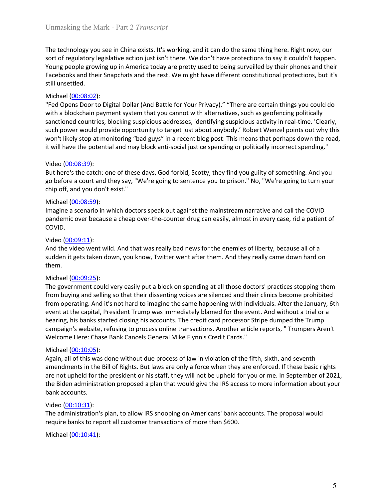Unmasking the Mark - Part 2 *Transcript*<br>The technology you see in China exists. It's working, and it can do the same thing here. Right now, our<br>sort of regulatory legislative action just isn't there. We don't have protect Unmasking the Mark - Part 2 *Transcript*<br>The technology you see in China exists. It's working, and it can do the same thing here. Right now, our<br>sort of regulatory legislative action just isn't there. We don't have protect Unmasking the Mark - Part 2 *Transcript*<br>The technology you see in China exists. It's working, and it can do the same thing here. Right now, our<br>sort of regulatory legislative action just isn't there. We don't have protect Unmasking the Mark - Part 2 *Transcript*<br>The technology you see in China exists. It's working, and it can do the same thing here. Right now, our<br>sort of regulatory legislative action just isn't there. We don't have protect Unmasking the Mark - Part 2 *Transcript*<br>The technology you see in China exists. It's working, and it can do the same thing here. Right now, our<br>sort of regulatory legislative action just isn't there. We don't have protect Unmasking the Mark - Part 2 *Transcript*<br>The technology you see in China exists. It's working, and it can do the same the<br>sort of regulatory legislative action just isn't there. We don't have protections<br>Young people grow

Unmasking the Mark - Part 2 *Transcript*<br>The technology you see in China exists. It's working, and it can do the same thing<br>sort of regulatory legislative action just isn't there. We don't have protections to s<br>Young peopl Unmasking the Mark - Part 2 *Transcript*<br>The technology you see in China exists. It's working, and it can do the same thing here. Right now, our<br>Sort of regulatory legislative action just isn't there. We don't have protect Unmasking the Mark - Part 2 *Transcript*<br>The technology you see in China exists. It's working, and it can do the same thing here. Right now, our<br>sort of regulatory legislative action just isn't there. We don't have protect Unmasking the Mark - Part 2 *Transcript*<br>The technology you see in China exists. It's working, and it can do the same thing here. Right now, our<br>sort of regulatory legislative action just isn't there. We don't have protect Unmasking the Mark - Part 2 *Transcript*<br>The technology you see in China exists. It's working, and it can do the same thing here. Right now, our<br>sort of regulatory legislative action just isn't there. We don't have protect Unmasking the Mark - Part 2 *Transcript*<br>The technology you see in China exists. It's working, and it can do the same thing here. Right now, our<br>sort of regulatory legislative action just isn't there. We don't have protect Unmasking the Mark - Part 2 *Transcript*<br>The technology you see in China exists. It's working, and it can do the same thing here. Right now, our<br>Sort of regulatory legislative action just isn't there. We don't have protect Unmasking the Mark - Part 2 *Transcript*<br>
The technology you see in China exists. It's working, and it can do the same thin<br>
sort of regulatory legislative action just isn't there. We don't have protections to<br>
Young peop Unmasking the Mark - Part 2 *Transcript*<br>The technology you see in China exists. It's working, and it can do the same thing here. Right now, our<br>Sort of regulatory legislative action just isn't there. We don't have protect Unmasking the Mark - Part 2 *Transcript*<br>The technology you see in China exists. It's working, and it can do the same thing here. Right now, our<br>sort of regulatory legislative action just isn't there. We don't have protect The technology you see in China exists. It's working, and it can do the same thing here. Right now for fergulatory legislative action just is in there. We don't have protections to say it couldn't hyond Young people growin The technology you see in China exists. It's working, and it can do the same thing fort of regulatory legislative action just isn't there. We don't have protections to s<br>Young people growing up in America today are pretty Sort of regulatory legislative action just isn't there. We don't have protections to say it couldn't happen.<br>Young people growing up in America today are pretty used to being surveilled by their phones and their<br>Facebooks Youte (0008:39):<br>
Yourg people growing up in America today are pretty used to being surveilled by their phones and their Sharebooks and their Shapchats and the rest. We might have different constitutional protections, but still unsettled.<br>
Wichael (<u>00:08:02)</u>:<br>
"Fed Opens Door to Digital Dollar (And Battle for Your Privacy)." "There are cert<br>
"Fed Opens Door to Digital Dollar (And Battle for Your Privacy)." "There are cert<br>
with a blockcha Michael (<u>00:08:02):</u><br>"Fel Opens Door to Digital Dollar (And Battle for Your Privacy)." "There are certain things you could do<br>"with a blockchain payment system that you cannot with alternatives, such as geofencing politic "Fed Opens Door to Digital Dollar (And Battle for Your Privacy)." "There are certain things you could do<br>
"Fed Opens Door to Digital Dollar (And Battle for Your Privacy)." "There are certain things you could do<br>
synchione

COVID.

them.

sanctioned countries, blocking suspicious addresses, identifying suspicious activity<br>such power would provide opportunity to target just about anybody. Robert Wenn't likely stop at monitoring "bad guys" in a recent blog po such power would provide opportunity to target just about anybody. K notert Wenzel points out why this put a<br>won't likely stop at monitoring "bad guys" in a recent blog post: This means that perhaps down the road,<br>it will won't likely stop at monitoring "bad guys" in a recent blog post: This means that perhaps down the road,<br>it will have the potential and may block anti-social justice spending or politically incorrect spending."<br>But here's it will have the potential and may block anti-social justice spending or politically incorrect spending."<br>Video (<u>00:08:39</u>):<br>But here's the catch: one of these days, God forbid, Scotty, they find you guilty of something. Video (<u>00:08:39</u>):<br>But here's the catch: one of these days, God forbid, Scotty, they find you guilty of something. And you<br>go before a court and they say, "We're going to sentence you to prison." No, "We're going to turn Video (<u>00.09.03.</u>59):<br>But here's the cath: one of these days, God forbid, Scotty, they find you guilty of something. And you<br>go before a court and they say, "We're going to sentence you to prison." No, "We're going to tur But here's the catto one of these days, God forbid, Scotty, they find you guilty of something. And you<br>go before a court and they say, "We're going to sentence you to prison." No, "We're going to turn your<br>chip off, and yo go before a court and they say, "We re going to sentence you to prison." No, "We re going to turn your<br>
orbigodies. The main of the comparison of the comparison of the comparison of the comparison of covid-<br>
Imagine a scen Entertainment (00:08:59):<br>Imagine a scenario in which doctors speak out against the mainstream narrative a<br>pandemic over because a cheap over-the-counter drug can easily, almost in every<br>COVID.<br>Video (<u>00:09:91)</u>:<br>Wideo ( Michael (<u>CO:O8:59)</u>:<br>Imagine a scenario in which doctors speak out against the mainstream narrative and call the COVID<br>pandemic over because a cheap over-the-counter drug can easily, almost in every case, rid a patient of Imagine a scenario in which doctors speak out against the mainstream narrative and call the COVID<br>pandemic over because a cheap over-the-counter drug can easily, almost in every case, rid a patient of<br>COVID.<br>Video <u>(00:09:</u> parelemic over because a cheap over-the-counter drug can easily, almost in every case, rid a patient of<br>Video (<u>00:09:11</u>):<br>And the video went wild. And that was really bad news for the enemies of liberty, because all of a COVID.<br>
Yoldeo (<u>00.09:11</u>):<br>
Yndeo (<u>bo.09:11)</u>:<br>
Yndeo (bo.00:<u>09:11)</u>:<br>
And the video went wild. And that was really bad news for the enemies of liberty, because all of a<br>
sudden it gets taken down, you know, Twitter we Video (<u>00:09:11</u>):<br>
And the video went wild. And that was really bad news for the enemies of liber<br>
sudden it gets taken down, you know, Twitter went after them. And they really<br>
sudden it gets taken down, you know, Twitt And the video went wild. And that was really bad news for the enemies of libert<br>sudden it gets taken down, you know, Twitter went after them. And they really<br>them.<br>them.<br>Michael (<u>00:09:25)</u>:<br>The government could very eas sudden it gets taken down, you know, Twitter went after them. And they really came down hard on such them.<br>The government could very easily put a block on spending at all those doctors' practices stopping them<br>from buying them.<br>The government could very easily put a block on spending at all those doctors' practices stopping them<br>The government could very easily put a block on spending at all those doctors' practices stopping them<br>from Duyin Michael (<u>00:09:25)</u>:<br>
The government could very easily put a block on spending at all those doctors' pra<br>
The government could very easily put a block on spending at all those doctors' pra<br>
from buying and selling so tha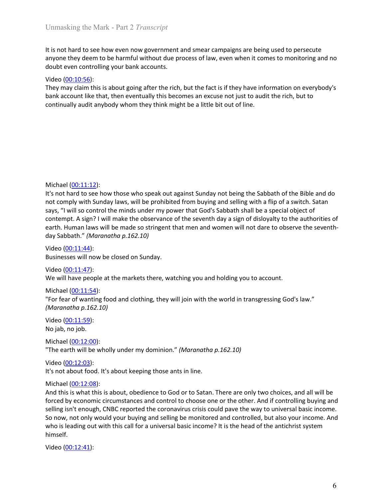Unmasking the Mark - Part 2 *Transcript*<br>It is not hard to see how even now government and smear campaigns are being used to persecute<br>anyone they deem to be harmful without due process of law, even when it comes to monito Unmasking the Mark - Part 2 *Transcript*<br>It is not hard to see how even now government and smear campaigns are being used to persecute<br>anyone they deem to be harmful without due process of law, even when it comes to monito Unmasking the Mark - Part 2 *Transcript*<br>It is not hard to see how even now government and smear campaigns are being used to persecute<br>anyone they deem to be harmful without due process of law, even when it comes to monito Unmasking the Mark - Part 2 *Transcript*<br>It is not hard to see how even now government and smear campaigns are being used to persecute<br>anyone they deem to be harmful without due process of law, even when it comes to monito Unmasking the Mark - Part 2 *Transcript*<br>It is not hard to see how even now government and smear campaigns are being<br>anyone they deem to be harmful without due process of law, even when it com<br>doubt even controlling your b Unmasking the Mark - Part 2 *Transcript*<br>It is not hard to see how even now government and smear campaigns are being used to persecute<br>anyone they deem to be harmful without due process of law, even when it comes to monito Unmasking the Mark - Part 2 *Transcript*<br>It is not hard to see how even now government and smear campaigns are being used to persecute<br>anyone they deem to be harmful without due process of law, even when it comes to monito Unmasking the Mark - Part 2 *Transcript*<br>It is not hard to see how even now government and smear campaigns are being used to persecute<br>anyone they deem to be harmful without due process of law, even when it comes to monito

Unmasking the Mark - Part 2 *I ranscript*<br>
It is not hard to see how even now government and smear campaigns are being us<br>
anyone they deem to be harmful without due process of law, even when it comes<br>
doubt even controll It is not hard to see how even now government and smear campaigns are being used to persecute<br>anyone they deem to be harmful without due process of law, even when it comes to monitoring and no<br>doubt even controlling your b It is not hard to see how even now government and smear campaigns are being used to persecute<br>anyone they deem to be harmful without due process of law, even when it comes to monitoring and no<br>doubt even controlling your b says the minds under the minds under the minds under the minds under the minds under the minds under the minds under the minds under the minds under the minds under the minds under the minds under the minds under the minds contempt. A sign? I will make the observance of the seventh day a sign of disloyalty but metally and the of the seventh and account like that, then eventually this becomes an excuse not just to audit the rich, but to the s exere versumes a present that include field in the fact is if they have information on everybody's<br>They may claim this is about going after the rich, but the fact is if they have information on everybody's<br>bank account lik Video (<u>00:11:656):</u><br>They may claim this is about going after the rich, but the fact is if they have information on everybod<br>Dank account like that, then eventually this becomes an excuse not just to audit the rich, but t Wichael (00:11:12):<br>
Wichael (00:11:12):<br>
Michael (00:11:12):<br>
Michael (00:11:12):<br>
Michael (00:11:12):<br>
Wichael (00:11:12):<br>
It's not hard to see how those who speak out against Sunday not being the Sabb<br>
It's not hard to Example 100:11:42):<br>
Michael (00:11:12)!<br>
It's not hard to see how those who speak out against Sunday not being the Sabbath of the Bible and do<br>
It's not hard to see how those who speak out against Sunday not being the Sab Michael (<u>00:11:12</u>):<br>It's not hard to see how those who speak out against Sunday not being the Sabits not comply with Sunday laws, will be prohibited from buying and selling with a hot<br>says, "I will so control the minds u Michael (<u>00:11:12</u>):<br>It's not hard to see how those who speak out against Sunday not being the Sabbath of the Bible and do<br>not comply with Sunday laws, will be prohibited from buying and selling with a flip of a switch. Michael (<u>00:11:12)</u>:<br>
It's not hard to see how those who speak out against Sunday not being the Sabbat<br>
It's not hard to see how those who speak out against Sunday not being the Sabbat<br>
not comply with Sunday laws, will b Michael (<u>00:11:12</u>):<br>It's not hard to see how those who speak out against Sunday not being the Sabbath of the Bible and do<br>not comply with Sunday laws, will be prohibited from buying and selling with a flip of a switch. Michael ( $Q0:11:12$ ):<br>It's not hard to see how those who speak out against Sunday not being the Sabbath of<br>not comply with Sunday laws, will be prohibited from buying and selling with a flip of a<br>says, "I will so control Michael (<u>00:11:12</u>):<br>
It's not hard to see how those who speak out against Sunday not being the Sable<br>
It's not hard to see how those who speak out against Sunday not being the Sable<br>
Into comply with Sunday laws, will b Michael (<u>00:11:12</u>):<br>
It's not hard to see how those who speak out against Sunday not being the Sabbath<br>
not comply with Sunday laws, will be prohibited from buying and selling with a flip o<br>
says, "I will so control the Michael (<u>00:11:12)</u>:<br>
Michael (0<u>0:11:12)</u>:<br>
It's not hard to see how those who speak out against Sunday not being the Sabbat<br>
It's not hard on the minds under my power that God's Sabbath shall be a sp<br>
says, "I will so It's not hard to see how those who speak out against Sunday not being the Sabbath of the Bible and do<br>not comply with Sunday laws, will be prohibited from buying and selling with a flip of a switch. Satan<br>says, "I will so says, "I will so control he minds under my power that God's Sabbath shall be a contempt. A sign? I will make the observance of the seventh day a sign of disloy<br>cantempt. A sign? I will make the observance of the seventh da

Example the alternal may will be made to ostero and the expected the several disloyalty to the authorities of<br>each Human laws will be made so stringent that men and women will not dare to observe the seventh-<br>had ay Sabbat earth. Human laws will be made so stringent that men and women will not dare to<br>day Sabbath." (Maranatha p.162.10)<br>Video (<u>00:11:44):</u><br>Businesses will now be closed on Sunday.<br>Nieteo (<u>00:11:44):</u><br>We will have people at th day Sabbath." *(Moronotha p.162.10)*<br>Video (<u>00-11:44)</u>:<br>Businesses will now be closed on Sunday.<br>Wieleo (<u>00-11:45)</u>:<br>We will have people at the markets there, watching you and holding you to account.<br>"For fear of wanting Video (<u>00:11:44</u>):<br>Businesses will now be closed on Sunday.<br>Video (<u>00:11:47</u>):<br>We will have people at the markets there, watching you and holding you to account.<br>Michael (<u>00:11:54):</u><br>Michael (<u>00:11:59</u>):<br>Michael (<u>00:1</u> is usinesses will now be closed on Sunday.<br>
Businesses will now be cople at the markets there, watching you and holding you to account.<br>
Michael (00:11:45):<br>
Wichael (00:11:54):<br>
"For fear of wanting food and clothing, the Trieto (00:11:47):<br>
We will have people at the markets there, watching you and holding you to account.<br>
Michael (00:11:54):<br>
"For fear of wanting food and clothing, they will join with the world in transgressing God's law. Video (00.11.247):<br>We will have people at the markets there, watching you and holding you to account.<br>Michael (<u>00.11.54</u>):<br>"For fear of wanting food and clothing, they will join with the world in transgressing God's law. himself. Michael (<u>00:11:54</u>):<br>"For fear of wanting food and clothing, they will join with the world in transgres<br>"For fear of wanting food and clothing, they will join with the world in transgres<br>(*Maranatha p.162.10*):<br>Video (<u>0</u>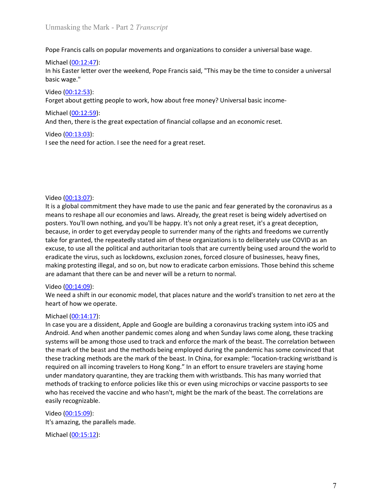Unmasking the Mark - Part 2 *Transcript*<br>Pope Francis calls on popular movements and organizations to consider a universal base wage.<br>Michael (00:12:47):

Unmasking the Mark - Part 2 *Transcript*<br>Pope Francis calls on popular movements and organizations to consider a universal base wage.<br>Michael (<u>00:12:47</u>):<br>In his Easter letter over the weekend, Pope Francis said, "This ma Unmasking the Mark - Part 2 *Transcript*<br>Pope Francis calls on popular movements and organizations to consider a universa<br>Michael <u>(00:12:47)</u>:<br>In his Easter letter over the weekend, Pope Francis said, "This may be the tim Unmasking the Mark - Part 2 *Transcript*<br>Pope Francis calls on popular movements and organizations to consider a universal base wage.<br>Michael <u>(00:12:47</u>):<br>In his Easter letter over the weekend, Pope Francis said, "This ma Unmasking the Mark - Part 2 *Transcript*<br>Pope Francis calls on popular movements and organizations to consider a unive<br>Michael (<u>00:12:47</u>):<br>In his Easter letter over the weekend, Pope Francis said, "This may be the time<br>b Unmasking the Mark - Part 2 *Transcript*<br>Pope Francis calls on popular movements and organizations to consider a univer<br>Michael (<u>00:12:47</u>):<br>In his Easter letter over the weekend, Pope Francis said, "This may be the time Unmasking the Mark - Part 2 *Transcript*<br>Pope Francis calls on popular movements and organizations to consider a universal base wage.<br>Michael <u>(00:12:47)</u>:<br>In his Easter letter over the weekend, Pope Francis said, "This ma Unmasking the Mark - Part 2 *Transcript*<br>
Pope Francis calls on popular movements and organizations to consider a universa<br>
Michael (<u>00:12:47</u>):<br>
In his Easter letter over the weekend, Pope Francis said, "This may be the Unmasking the Mark - Part 2 *Transcript*<br>Pope Francis calls on popular movements and organizations to consider a universal base wage.<br>Michael (<u>00:12:47</u>):<br>In his Easter letter over the weekend, Pope Francis said, "This ma Unmasking the Mark - Part 2 *Transcript*<br>
Pope Francis calls on popular movements and organizations to consider a univer<br>
Michael (<u>00:12:47</u>):<br>
In his Easter letter over the weekend, Pope Francis said, "This may be the ti Unmasking the Mark - Part 2 *Transcript*<br> **Pope Francis calls on popular movements and organizations to consider a universal base wage.**<br>
Michael <u>(00:12:47):</u><br> **Distinct Field Transform of Properties Francis said, "This m** 

Pope Francis calls on popular movements and organizations to consider a unive<br>Michael (<u>00:12:47</u>):<br>In his Easter letter over the weekend, Pope Francis said, "This may be the time t<br>basic wage."<br>Video (<u>00:12:59</u>):<br>Forget Pope Francis calls on popular movements and organizations to consider a universal base wage.<br>
Michael (<u>00:12:4</u>):<br>
In his Easter letter over the weekend, Pope Francis said, "This may be the time to consider a universal<br>
b Michael (<u>00:12:47</u>):<br>In his Easter letter over the weekend, Pope Francis said, "This may be the time to consider a universal<br>basic wage."<br>Video (<u>00:12:53</u>):<br>Forget about getting people to work, how about free money? Univ In its Easter letter over the weekend, Pope Francis said, "This may be the time to consider a universal<br>
basic wage."<br>
Video (00:12:53):<br>
Video (00:12:53):<br>
Forget about getting people to work, how about free money? Univer basic wage."<br>
Video (<u>00:12:53</u>):<br>
Video (<u>00:12:53</u>):<br>
Michael (0<u>:112:55</u>):<br>
Michael (0:<u>113:55</u>):<br>
And then, there is the great expectation of financial collapse and an economic reset.<br>
Video (<u>00:13:03)</u>:<br>
Is see the n The form of the repeated, the repeated of the repeated of the repeated and the repeated and the repeated at the repeated aim of the repeated aim of the repeated by the coronavirus as an example (0<u>0-13-03):</u><br>
Yideo (0<u>0-13</u> Video (00:12:53):<br>
Video (00:12:59):<br>
Forget about getting people to work, how about free money? Universal basic income-<br>
Michael (00:13:03):<br>
And then, there is the great expectation of financial collapse and an economic Forget about getting people to work, how about free money? Universal basic income-<br>Michael (<u>00:13:05)</u>:<br>And then, there is the great expectation of financial collapse and an economic reset.<br>Video (<u>00:13:03)</u>:<br>Is ee the n Michael (<u>00:12:59</u>):<br>And then, there is the great expectation of financial collapse and an economic reset.<br>Video (<u>00:13:03</u>):<br>Sit is a global commitment they have made to use the panic and fear generated by the coronavir And then, there is the great expectation of financial collapse and an economic reset.<br>Video (00:13:03):<br>Video (00:13:03):<br>It is a global commitment they have made to use the panic and fear generated by the coronavirus as Video (<u>00:13:03</u>):<br>
Video (<u>00:13:07</u>):<br>
Video (0<u>0:13:07</u>):<br>
It is a global commitment they have made to use the panic and fear generated the<br>
means to reshape all our economies and laws. Already, the great reset is bei Is see the need for action. I see the need for a great reset.<br>
Yideo (00:13:07):<br>
Video (00:13:07):<br>
Wideo (00:13:07):<br>
This a global commitment they have made to use the panic and fear generated by the coronavirus as a<br> Video ( $\underline{00:13:07}$ ):<br>Video ( $\underline{0.01:00:13:07}$ ):<br>The singlolal committment they have made to use the panic and fear generated by the coro<br>means to reshape all our economies and laws. Already, the great reset is bein Video (<u>00:13:07</u>):<br>
It is a global commitment they have made to use the panic and fear generated by<br>
means to reshape all our economies and laws. Already, the great reset is being with<br>
posters. You'll own nothing, and y Video ( $0\underline{0.13:07}$ ):<br>
It is a global commitment they have made to use the panic and fear generated by the coronavirus as a<br>
means to reshape all our economies and laws. Already, the great reset is being widely adverti Video (<u>00:13:07</u>):<br>
It is a global commitment they have made to use the panic and fear generated by the coronavirus as a<br>
tris a global commitment they have made to use the panic and fear generated by the coronavirus as a Video (<u>00-13-07</u>):<br>It is a global commitment they have made to use the panic and fear generated by the coronavirus as a<br>means to reshape all our economies and laws. Already, the great reset is being widely advertised on<br>p

Video (<u>00-13:</u><sub>0</sub>)?):<br>This a global commitment they have made to use the panic and fear generated by the coronavirus as a<br>means to reshape all our economies and laws. Already, the great reset is being widely advertised o the set is such a mark of the particle mark of the particle are spent and fear generated by the coronavirus as a<br>means to reshape all our economies and laws. Already, the great reset is being widely advertised on<br>posters. means to reshape all our economies and laws. Already, the great reset is being widely advertised on posters. You'll own nothing, and you'll be happy. It's not only a great recet, it's a great deception, because, in order t posters. You'll own nothing, and you'll be happy. It's not only a great resee, it', s a great deception, choosing in order to get everyday people to surrectly because, in order to get everyday people to surrectly that effe because, in order to get everyday people to surrender many of the rights and freedoms we currently<br>because, in order to get everyday people to surrender many of the rights and freedoms we currently<br>take for granted, the re the for granted, the repeatedly stated aim of these organizations is to deliberately use COVID as an exact, to use all the political and authoritation tools that are currently being used around the word to exuste, to use a excuse, to use all the political and authoritarian tools that are currently being use<br>activate, to use all the political and authoritarian tools that are currently being use<br>radicate the virus, such as lockdowns, exclusio eradicate the virus, such as lockdowns, exclusion zones, forced closure of busine<br>making protesting illegal, and so on, but now to eradicate carbon emissions. The<br>are adamant that there can be and never will be a return to making protesting illegal, and so on, but now to eradicate carbon emissions. Those behind this sche<br>are adamant that there can be and never will be a return to normal.<br>Video (<u>00:14:19</u>):<br>We need a shift in our economic mo Video (00:14:09):<br>We need a shift in our economic model, that places nature and the world's transit<br>Neart of how we operate.<br>Michael (00:14:17):<br>In case you are a dissident, Apple and Google are building a coronavirus tra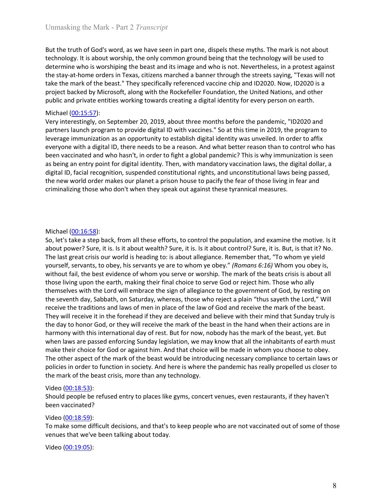Unmasking the Mark - Part 2 *Transcript*<br>But the truth of God's word, as we have seen in part one, dispels these myths. The mark is not about<br>technology. It is about worship, the only common ground being that the technolog Unmasking the Mark - Part 2 *Transcript*<br>But the truth of God's word, as we have seen in part one, dispels these myths. The mark is not about<br>technology. It is about worship, the only common ground being that the technolog Unmasking the Mark - Part 2 *Transcript*<br>But the truth of God's word, as we have seen in part one, dispels these myths. The mark is not about<br>technology. It is about worship, the only common ground being that the technolog Unmasking the Mark - Part 2 *Transcript*<br>But the truth of God's word, as we have seen in part one, dispels these myths. The mark is not about<br>technology. It is about worship, the only common ground being that the technolog Unmasking the Mark - Part 2 *Transcript*<br>But the truth of God's word, as we have seen in part one, dispels these myths. The mark is not about<br>technology. It is about worship, the only common ground being that the technolog Unmasking the Mark - Part 2 *Transcript*<br>But the truth of God's word, as we have seen in part one, dispels these myths. The mark is not about<br>technology. It is about worship, the only common ground being that the technolog Unmasking the Mark - Part 2 *Transcript*<br>
But the truth of God's word, as we have seen in part one, dispels these myths. The mark is not about<br>
technology. It is about worship, the only common ground being that the technol Unmasking the Mark - Part 2 *Transcript*<br>But the truth of God's word, as we have seen in part one, dispels these myths. The mark is not about<br>determine who is worshiping the boat and its image and who is not. Nevertheless, Unmasking the Mark - Part 2 *Transcript*<br>
But the truth of God's word, as we have seen in part one, dispels these myths. The<br>
technology. It is about worship, the only common ground being that the technolog<br>
determine who Unmasking the Mark - Part 2 *Transcript*<br>But the truth of God's word, as we have seen in part one, dispels these myths. The mark is not about<br>technology. It is about worship, the only common ground being that the technolog

Unmasking the Mark - Part 2 *Transcript*<br>But the truth of God's word, as we have seen in part one, dispels these myths. The mark is not about<br>technology. It is about worship, the only common ground being that the technolog Unmasking the Mark - Part 2 *Transeript*<br>But the truth of God's word, as we have seen in part one, dispels these myths. The mark is not about<br>technology. It is about worship, the only common ground being that the technolog Unmasking the Mark - Part 2 *Transcript*<br>But the truth of God's word, as we have seen in part one, dispels these myths. The mark is not about<br>technology. It is about worship, he noly common ground being that the technology Unmasking the Mark - Part 2 *Transcript*<br>But the truth of God's word, as we have seen in part one, dispels these myths. The mark is not about<br>technology. It is about worship, the only common ground being that the technolog Unmasking the Mark - Part 2 *Transcript*<br>But the truth of God's word, as we have seen in part one, dispels these myths. The mark is not about<br>technology, It is about worship, the only common ground being that the technolog Unmasking the Mark - Part 2 *Transcript*<br>But the truth of God's word, as we have seen in part one, dispels these myths. The mark is not about<br>technology. It is about worship, the only common ground being that the technolog Unmasking the Mark - Part 2 *Transcript*<br>But the truth of God's word, as we have seen in part one, dispels these myths. The mark is not about<br>technology, It is about worship, the only common ground being that the technolog But the truth of God's word, as we have seen in part one, dispels these myths. The mark is not about technology. It is about worship, the only common ground being that the technology will be used to determine who is worshi the stay-at-home orders in Texas, citizens marched a banner through the streets s<br>take the mark of the beast." They specifically referenced vaccine chip and ID2020.<br>project backed by Microsoft, along with the Rockefeller take the mark of the beast." They specifically referenced vaccine chip and D22020. Now, ID2020 is a<br>typeict backed by Microsoft, along with the Rockefeller Foundation, the United Nations, and other<br>public and private entit project backed by Microsoft, along with the Rockefeller Foundation, the United Nations, and other<br>poplic and private entities working towards creating a digital identity for every person on earth.<br>Michael (<u>00:15:57):</u><br>Ver public and private entities working towards creating a digital identity for every person on earth.<br>Michael (00:15:57):<br>Wery interestingly, on September 20, 2019, about three months before the pandemic, "ID2020 and<br>partners

Michael (<u>00-15-5</u>7):<br>Very interestingly, on September 20, 2019, about three months before the pandemic, "ID2020 and<br>Very interestingly, on September 20, 2019, about three iness "So at this time in 2019, the program to<br>lev Wery interestingly, on September 20, 2019, about three months before the pandemic, "ID2020 and<br>partners launch program to provide digital ID with vaccines." So at this time in 2019, the program to<br>perverage immunization as partners launch program to provide digital ID with vaccines." So at this time in 2019, the program to<br>partners launch program to provide digital ID with vaccines." So at this time in 2019, the program to<br>everyone with a di Everage immunization as an opportunity to establish digital identity was unveiled. In order to affix<br>everyone with a digital ID, there needs to be a reason. And what better reason than on control who has<br>been vaccinated an everyone with a digital ID, there needs to be a reason. And what better reason than to control who has been vaccinated and who has the invert to fight a global pandemic? This is why immunitation is seen as being an entry p **Example 12**<br>
the avaccinated and who hasn't, in order to fight a global pandemic? This is why immunization is seen<br>
she being an entry point for digital dentity. Then, with mandatory vaccination laws, the digital dolar, a as being an entry point for digital identity. Then, with mandatory vaccination laws, the digital dollar, a<br>digital ID, facial recognition, suspended constitutional rights, and unconstitutional laws being passed,<br>the new wo the the the throw the state of whom the state of the beast in the mark of the mark of the mark of the mark of policies in order to the mark of the mark of the mark of the mark of the mark of the mark of the mark of the mar the method of the lower states our planet a prison house to pacify the fear of those living in fear and<br>triminalizing those who don't when they speak out against these tyramical measures.<br>So, let's take a step back, from a rriminalizing those who don't when they speak out against these tyrannical measures.<br>
So, let's take a step back, from all these efforts, to control the population, and examine the motive. Is it<br>
solved to bower? Sure, it minimizing ancreases the matrix and procedure for the population, and examine the motive. Is it So, let's take a step back, from all these efforts, to control the population, and examine the motive. Is it should pour power Michael (<u>00:16:58</u>):<br>So, let's take a step back, from all these efforts, to control the population, and examine the motive. Is it a<br>bout power? Sure, it is. Is it about wealth? Sure, it is. Is it about control? Sure, it i Michael (<u>00:16:58</u>):<br>So, let's take a step back, from all these efforts, to control the population, and examine the motive. Is it<br>about power? Sure, it is. Is it about wealth? Sure, it is. Is it about control? Sure, it is Michael (<u>00:16:58</u>):<br>So, let's take a step back, from all these efforts, to control the population, and examine the motive. Is it<br>about power? Sure, it is. Is it about weath? Sure, it is. Is it about control? Sure, it is. Michael (<u>00:16:58</u>):<br>
So, let's take a sep back, from all these efforts, to control the population, and e<br>
solout power? Sure, it is. Is it about wealth? Sure, it is. Is it about control? Sure, it<br>
The last great crisis So, let's take a step back, from all these efforts, to conctrol the population, and examine the motive. Is it also, from all theores from the population, and examine the motive. Is the store to whom yere to whom yere to wh about power? Sure, it is. Is it about wealth? Sure, it is. Is it about control? Sure,<br>The last great crisis our wordl is heading to: is about allegiance. Remember tha<br>Yourself, servants, to obey, his servants ye are to who rownter for the best evidence and the best complete of the best without fail, the best evidence of whom ye user or worship. The mark of the those living their final contereof of whom you serve or worship. The mark of the t is the make the station of the passes of whom you serve or worship. The mark of the beats crisis is about all those living the forement by montently may be the conducted out reject him. Those who ally the there went hat p those living upon the earth, making their final choice to serve God or reject him. Those who ally<br>those living upon the earth, making their final choice to serve God or reject him. Those who ally<br>themselves with the Lord w themselves with the Lord will embrace the sign of allegiance to the government<br>the seventh day, Sabbath, on Saturday, whereas, those who reject a plain "thus<br>receive the traditions and laws of men in place of the law of Go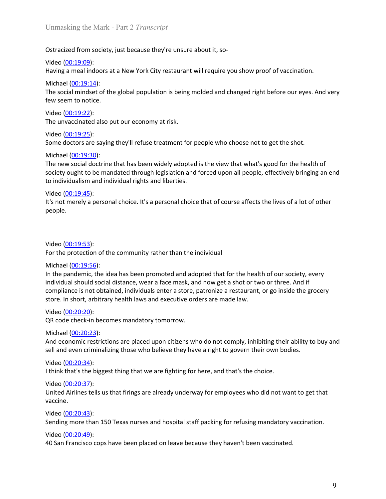Unmasking the Mark - Part 2 *Transcript*<br>Ostracized from society, just because they're unsure about it, so-<br>Video <u>(00:19:09</u>):

Unmasking the Mark - Part 2 *Transcript*<br>Ostracized from society, just because they're unsure about it, so-<br>Video <u>(00:19:09):</u><br>Having a meal indoors at a New York City restaurant will require you show proof of vaccination Unmasking the Mark - Part 2 *Transcript*<br>Ostracized from society, just because they're unsure about it, so-<br>Video (<u>00:19:09</u>):<br>Having a meal indoors at a New York City restaurant will require you show proot<br>Michael (<u>00:1</u> Unmasking the Mark - Part 2 *Transcript*<br>Ostracized from society, just because they're unsure about it, so-<br>Video <u>(00:19:09</u>):<br>Having a meal indoors at a New York City restaurant will require you show proof of vaccination Unmasking the Mark - Part 2 *Transcript*<br>Ostracized from society, just because they're unsure about it, so-<br>Video <u>(00:19:09)</u>:<br>Having a meal indoors at a New York City restaurant will require you show proof o<br>Michael <u>(00</u> Unmasking the Mark - Part 2 *Transcript*<br>Ostracized from society, just because they're unsure about it, so-<br>Video <u>(00:19:09)</u>:<br>Having a meal indoors at a New York City restaurant will require you show proof of vaccination

Unmasking the Mark - Part 2 *Transcript*<br>Ostracized from society, just because they're unsure about it, so-<br>Video <u>(00:19:09)</u>:<br>Having a meal indoors at a New York City restaurant will require you show proof of vao<br>Michael Unmasking the Mark - Part 2 *Transcript*<br>Ostracized from society, just because they're unsure about it, so-<br>Video <u>(00:19:09)</u>:<br>Having a meal indoors at a New York City restaurant will require you show proor<br>Michael <u>(00:1</u> Unmasking the Mark - Part 2 *Transcript*<br>Ostracized from society, just because they're unsure about it, so-<br>Video (<u>00:19:09)</u><br>Having a meal indoors at a New York City restaurant will require you show proof of vaccination.

Unmasking the Mark - Part 2 *Transcript*<br>
Ostracized from society, just because they're unsure about it, so-<br>
Video <u>(00:19:09</u>):<br>
Having a meal indoors at a New York City restaurant will require you show proor<br>
Michael <u></u> Unmasking the Mark - Part 2 *Transcript*<br>Ostracized from society, just because they're unsure about it, so-<br>Video (<u>00:19:09</u>):<br>Michael (<u>00:19:14</u>):<br>The social mindset of the global population is being molded and changed Unmasking the Mark - Part 2 *Transcript*<br>
Ostracized from society, just because they're unsure about it, so-<br>
Video <u>(00:19:09)</u>:<br>
Having a meal indoors at a New York City restaurant will require you show proof o<br>
Michael Unmasking the Mark - Part 2 *Transcript*<br>Video (<u>00:19:09</u>):<br>Video (<u>00:19:09):</u><br>Having a meal indoors at a New York City restaurant will require you show proof of vaccination.<br>Michael (<u>00:19:14)</u>:<br>The social mindset of t Unmasking the Mark - Part 2 *Transcript*<br>Ostracized from society, just because they're unsure about it, so-<br>Video (<u>00:19:09</u>):<br>Michael (<u>00:19:04)</u>:<br>The social mindset of the global population is being molded and changed Unmasking the Mark - Part 2 *Transcript*<br>Ostracized from society, just because they're unsure about it, so-<br>Video (<u>00:19:09</u>):<br>Having a meal indoors at a New York City restaurant will require you show proof of vaccination Ostracized from society, just because they're unsure about it, so-<br>Video (<u>00:19:09</u>):<br>Having a meal indoors at a New York City restaurant will require you show proor<br>Michael (<u>00:19:14</u>):<br>The social mindset of the global Ostracized from society, just because they're unsure about it, so-<br>Video <u>(00:19:09)</u>:<br>Having a meal indoors at a New York City restaurant will require you show proof of vaccination.<br>Michael (<u>00:19:22)</u>:<br>The social mindse The social mindset of the global population is being molded and changed right b<br>
The social mindset of the global population is being molded and changed right b<br>
Evideo (00:19:22):<br>
The unvaccinated also put our economy a

people.

few seem to notice.<br>
Video (<u>00:19:22</u>):<br>
Video (<u>00:19:22)</u>:<br>
The unwaccinated also put our economy at risk.<br>
The divideo (<u>00:19:25</u>):<br>
Some doctors are saying they'll refuse treatment for people who choose not to get t Video (<u>00:19:22</u>):<br>The unvaccinated also put our economy at risk.<br>Video (<u>00:19:25)</u>:<br>Some doctors are saying they'll refuse treatment for people who choose not to ge<br>Michael (<u>00:19:30</u>):<br>Some doctors are saying they'll The unvactinated also put our economy at risk.<br>
Video (<u>00:19:25</u>):<br>
Some doctors are saying they'll refuse treatment for people who choose not to get the shot.<br>
Michael (0<u>:01:39:30):</u><br>
The new social doctrine that has be <sup>17</sup> Video (<u>00:19:53</u>):<br>
Some doctors are saying they'll refuse treatment for people who choose not to get the shot.<br>
Michael (<u>00:19:30</u>):<br>
Michael (<u>00:19:30</u>):<br>
The new social doctrine that has been widely adopted is Video <u>(00:19:32</u>5):<br>Some doctors are saying they'll refuse treatment for people who choose not to get the shot.<br>Michael (<u>00:19:30</u>):<br>The new social doctrine that has been widely adopted is the view that what's good for t Some doctors are saying they'll refuse treatment for people who choose not to get the shot.<br>Michael (<u>00:19:30</u>):<br>The new social doctrine that has been widely adopted is the view that what's good for the health of<br>society Michael (<u>00:19:30</u>):<br>The new social doctrine that has been widely adopted is the view that what's go<br>society ought to be mandated through legislation and forced upon all people, ef<br>to individualism and individual rights The new social doctrine that has been widely adopted is the view that what's good for the health of<br>society ought to be mandated through legislation and forced upon all people, effectively bringing an end<br>to individualism to individualism and individual rights and liberties.<br>
Uto individualism and individual rights and liberties.<br>
Video (<u>00:19:45)</u>:<br>
It's not merely a personal choice. It's a personal choice that of course affects the li<br> The constrained mean interesting and the matter are placed video (00:19:45):<br>It's not merely a personal choice. It's a personal choice that of course affects the lives of a lot of other<br>people.<br>Michael (00:19:53):<br>In the Video (<u>00:1945)</u>:<br>
Viso on the sell and those of the community rather than the individual<br>
It's not merely a personal choice. It's a personal choice that of course affects the lives of a lot of other<br>
Pore the protection Video  $(00:19:53)$ :<br>
Video  $(00:19:53)$ :<br>
For the protection of the community rather than the individual<br>
Michael  $(00:19:56)$ :<br>
For the protection of the community rather than the individual<br>
Individual should social dis Video <u>(00:19:53)</u>:<br>For the protection of the community rather than the individual<br>Incheal (<u>00:19:56):</u><br>In the pandemic, the idea has been promoted and adopted that for the health of our society, every<br>individual should Video (<u>00:19:53</u>):<br>For the protection of the community rather than the individual<br>Michael (<u>00:19:56)</u>:<br>In the pandemic, the idea has been promoted and adopted that for the health o<br>individual should social distance, wea Video (<u>00:19:53</u>):<br>
For the protection of the community rather than the individual<br>
Michael (<u>00:19:56)</u>:<br>
In the pandemic, the idea has been promoted and adopted that for the health of our society, every<br>
individual shou Michael (<u>00:19:56):</u><br>
Michael (<u>00:19:56):</u><br>
In the pandemic, the idea has been promoted and adopted that for the health o<br>
individual should social distance, wear a face mask, and now get a shot or two o<br>
compliance is Michael (<u>00-10-45-6):</u><br>In the pandemic, the idea has been promoted and adopted that for the health of our society, every<br>individual should social distance, wear a face mask, and now get a shot or two or three. And if<br>stor individual should social distance, wear a face mask, and now get a shot or two compliance is not obtained, individuals enter a store, patronize a restaurant, or store. In short, arbitrary health laws and executive orders compliance is not obtained, individuals enter a store, patronize a restaurant, or go inside the grocery<br>store. In short, arbitrary health laws and executive orders are made law.<br>Video (<u>00-20,20):</u><br>QR code check-in becomes

vaccine.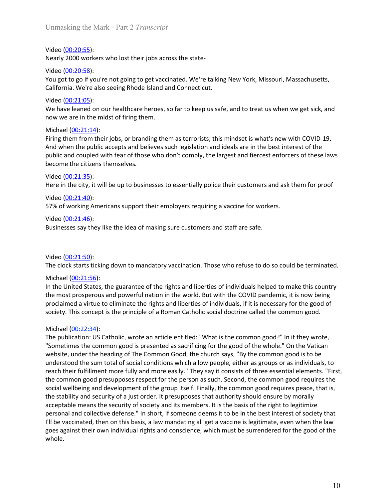Unmasking the Mark - Part 2 *Transcript*<br>Video (<u>00:20:55</u>):<br>Nearly 2000 workers who lost their jobs across the state-

Unmasking the Mark - Part 2 *Transcript*<br>Video (<u>00:20:55)</u>:<br>Nearly 2000 workers who lost their jobs across the state-<br>Video (<u>00:20:58</u>):<br>You got to go if you're not going to get vaccinated. We're talking New York, Mis:<br>C Unmasking the Mark - Part 2 *Transcript*<br>Video (<u>00:20:55</u>):<br>Nearly 2000 workers who lost their jobs across the state-<br>Video (<u>00:20:58</u>):<br>You got to go if you're not going to get vaccinated. We're talking New York, Missou Unmasking the Mark - Part 2 *Transcript*<br>Video (<u>00:20:55</u>):<br>Nearly 2000 workers who lost their jobs across the state-<br>Video (<u>00:20:58</u>):<br>You got to go if you're not going to get vaccinated. We're talking New York, Mis:<br>C Unmasking the Mark - Part 2 *Transcript*<br>Video (00:20:55):<br>Nearly 2000 workers who lost their jobs across the state-<br>Video (00:20:58):<br>You got to go if you're not going to get vaccinated. We're talking New York, Mis:<br>Cali

Unmasking the Mark - Part 2 *Transcript*<br>Video <u>(00:20:55)</u>:<br>Nearly 2000 workers who lost their jobs across the state-<br>Video <u>(00:20:58)</u>:<br>You got to go if you're not going to get vaccinated. We're talking New York, Missou Unmasking the Mark - Part 2 *Transcript*<br>Video (<u>00:20:55)</u>:<br>Nearly 2000 workers who lost their jobs across the state-<br>Video (<u>00:20:58)</u>:<br>California. We're also seeing Rhode Island and Connecticut.<br>California. We're also

Unmasking the Mark - Part 2 *Transcript*<br>Ween (00:20:55):<br>Nearly 2000 workers who lost their jobs across the state-<br>Video (00:20:58):<br>You got to go if you're not going to get vaccinated. We're talking New York, Missouri, Unmasking the Mark - Part 2 *Transcript*<br>Video <u>(00:20:55);</u><br>Video <u>(00:20:58)</u>:<br>Video (<u>00:20:58)</u>:<br>You got to go if you're not going to get vaccinated. We're talking New York, Missouri, Massachusetts,<br>California. We're a Unmasking the Mark - Part 2 *Transcript*<br>Video <u>(00:20:55)</u>:<br>Nearly 2000 workers who lost their jobs across the state-<br>Video <u>(00:20:58)</u>:<br>You got to go if you're not going to get vaccinated. We're talking New York, Misso Unmasking the Mark - Part 2 *Transcript*<br>
Wideo <u>(00:20:55):</u><br>
Nearly 2000 workers who lost their jobs across the state-<br>
Video <u>(00:20:58)</u>:<br>
California. We're also seeing Rhode Island and Connecticut.<br>
Video (<u>00:21:05):</u> Unmasking the Mark - Part 2 *Transcript*<br>Video <u>(00:20:55)</u>:<br>Video <u>(00:20:55)</u>:<br>Video <u>(00:20:55)</u>:<br>Video (00:<u>20:55):</u><br>You got to go if you're not going to get vaccinated. We're talking New York, Missouri, Massachusetts, Unmasking the Mark - Part 2 *Transcript*<br>Video (<u>00-20:55</u>):<br>Wideo (<u>00-20:55)</u>:<br>Video (<u>00-20:55)</u>:<br>You got to go if you're not going to get vaccinated. We're talking New York, Missouri, Massachusetts,<br>California. We're a Unmasking the Mark - Part 2 *Transcript*<br>Video (<u>00:20:55):</u><br>Nearly 2000 workers who lost their jobs across the state-<br>Video (<u>00:20:58</u>):<br>You got to go if you're not going to get vaccinated. We're talking New York, Missou Unmasking the Mark - Part 2 *Transcript*<br>Video (00:20:55):<br>
Nearly 2000 workers who lost their jobs across the state-<br>
Video (00:20:58):<br>
You got to go if you're not going to get vaccinated. We're talking New York, Mis:<br> Unmasking the Mark - Part 2 *I ranseripit*<br>
Nideo <u>(00:20:55)</u>:<br>
Nideo <u>(00:20:55)</u>:<br>
Niceo <u>(00:20:55)</u>:<br>
You got to go if you're not going to get vaccinated. We're talking New York, Missouri, Massachusetts,<br>
California. Video (<u>00:20:55)</u>:<br>
Nearly 2000 workers who lost their jobs across the state-<br>
Video (<u>00:20:58</u>):<br>
You got to go if you're not going to get vaccinated. We're talking New York, Mis:<br>
California. We're also seeing Rhode Is Video (<u>00:20:55</u>):<br>
Video (<u>00:20:55</u>):<br>
Nearly 2000 workers who lost their jobs across the state-<br>
Video (<u>00:20:58</u>):<br>
You got to go if you're not going to get vaccinated. We're talking New York, Missouri, Massachusett Video (00:20:58):<br>
Video (00:20:58):<br>
Video (00:20:58):<br>
Video (00:20:58):<br>
Video (00:21:05):<br>
We have leaned on our healthcare heroes, so far to keep us safe, and to treat us<br>
Video (00:21:05):<br>
We have leaned on our hea Video (<u>00:20:58</u>):<br>
Vidu got the point you're not going to get vaccinated. We're talking New York, Missouri, Massachusetts,<br>
California. We're also seeing Rhode Island and Connecticut.<br>
Video (<u>00:21:05</u>):<br>
Video (<u>00:21</u> Video (<u>00:21:05)</u>:<br>
We have leaned on our healthcare heroes, so far to keep us safe, and to treat us<br>
We have leaned on our healthcare heroes, so far to keep us safe, and to treat us<br>
now we are in the midst of firing the We have leaned on our healthcare heroes, so far to keep us safe, and to treat us when we get sick, and<br>now we are in the midst of firing them.<br>Michael (<u>00:21:14</u>):<br>Firing them from their jobs, or branding them as terroris Michael  $(00:21:14)$ :<br>Firing them from their jobs, or branding them as terrorists; this mindset is what's<br>And when the public accepts and believes such legislation and ideals are in the be-<br>public and coupled with fear of Michael (<u>00:21:4</u>4):<br>
Michael (<u>00:21:14)</u>:<br>
Hiring them from their jobs, or branding them as terrorists; this mindset is what's new with COVID-19.<br>
And when the public accepts and believes such legislation and ideals are

Firing them from their jobs, or branding them as terrorists; this mindset is what's new with COVID-19.<br>And when the public accepts and believes such legislation and ideals are in the best interest of the<br>public and coupled And when the public accepts and believes such legislation and ideals are in the best interest of the<br>public and coupled with fear of those who don't comply, the largest and fiercest enforcers of these laws<br>become the citiz public and coupled with fear of those who don't comply, the largest and fiercest enforcers of these laws<br>Video (<u>00:21:35</u>):<br>Video (<u>00:21:35</u>):<br>Here in the city, it will be up to businesses to essentially police their cus

Video (<u>00:21:35)</u>:<br>
Here in the city, it will be up to businesses to essentially police their customers an<br>
Video (<u>00:21:40)</u>:<br>
57% of working Americans support their employers requiring a vaccine for worker<br>
Video (<u>00:</u> Here in the city, it will be up to businesses to essentially police their customers and ask them for proof<br>Video (<u>00:21:40</u>):<br>57% of working Americans support their employers requiring a vaccine for workers.<br>Wideo (<u>00:21</u> "<br>
"Some the common good persons support their employers requiring a vaccine for workers.<br>
Some (00:21:40):<br>
"Businesses say they like the idea of making sure customers and staff are safe.<br>
Nichoe (00:21:50):<br>
The clock st Video (<u>00:22.1</u>40):<br>
Video (<u>00:21:46</u>):<br>
S7% of working Americans support their employers requiring a vaccine for workers.<br>
Video (<u>00:21:46</u>):<br>
The clock starts ticking down to mandatory vaccination. Those who refuse t 57% of working Americans support their employers requiring a vaccine for workers.<br>Video <u>(00:21:46)</u>:<br>Businesses say they like the idea of making sure customers and staff are safe.<br>The clock starts ticking down to mandator Video (<u>00:21:46</u>):<br>Businesses say they like the idea of making sure customers and staff are safe,<br>The clock starts ticking down to mandatory vaccination. Those who refuse to do so could be terminated.<br>Michael (<u>00:21:56)</u> Example 11 and the common good presupposes respect for the person as such. Second the common good presuppose respectively. The elock starts ticking down to mandatory vaccination. Those who refuse to do so could be terminat Example 19 may must are selected to the group itself. Finally, the common good reterminated with the clock starts ticking down to mandatory vaccination. Those who refuse to do so could be terminated.<br>
Michael (<u>00:21:56</u>): Video (<u>00:21:50</u>):<br>The clock starts ticking down to mandatory vaccination. Those who refuse to do so could be terminated.<br>Michael (<u>00:21:56):</u><br>In the United States, the guarantee of the rights and liberties of individual Video (<u>00:21:50</u>):<br>The clock starts ticking down to mandatory vaccination. Those who refuse to do so could be terminated.<br>
Michael (<u>00:21:56</u>):<br>
In the United States, the guarantee of the rights and liberties of individu Video (00221:50):<br>The clock starts ticking down to mandatory vaccination. Those who refuse to do so could be terminated.<br>Michael (00:21:56):<br>In the United States, the guarantee of the rights and liberties of individuals he The clock starts ticking down to mandatory vaccination. Those who refuse to do so could be terminated.<br>Michael (00:21:56):<br>In the United States, the guarantee of the rights and liberties of individuals helped to make this Michael (<u>00:21:56</u>):<br>In the United States, the guarantee of the rights and liberties of individuals helped to make this country<br>In the United States, the guarantee of the rights and liberties of individuals, if it is nece whole.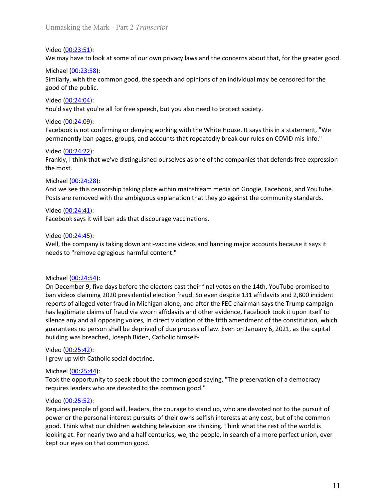Unmasking the Mark - Part 2 *Transcript*<br>Video (<u>00:23:51</u>):<br>We may have to look at some of our own privacy laws and the concerns about that, for the greater good

Unmasking the Mark - Part 2 *Transcript*<br>Video (<u>00:23:51</u>):<br>We may have to look at some of our own privacy laws and the concerns about t<br>Michael (<u>00:23:58</u>):<br>Similarly, with the common good, the speech and opinions of an Unmasking the Mark - Part 2 *Transcript*<br>Video <u>(00:23:51</u>):<br>We may have to look at some of our own privacy laws and the concerns about that, for the greater good.<br>Michael <u>(00:23:58)</u>:<br>Similarly, with the common good, the Unmasking the Mark - Part 2 *Transcript*<br>Video (<u>00:23:51</u>):<br>We may have to look at some of our own privacy laws and the concerns about tha<br>Michael (<u>00:23:58</u>):<br>Similarly, with the common good, the speech and opinions of Unmasking the Mark - Part 2 *Transcript*<br>Video <u>(00:23:51)</u>:<br>We may have to look at some of our own privacy laws and the concerns about that, for the greater good.<br>Michael (<u>00:23:58</u>):<br>Similarly, with the common good, the Unmasking the Mark - Part 2 *Transcript*<br>Video <u>(00:23:51)</u>:<br>We may have to look at some of our own privacy laws and the concerns about that, fo<br>Michael <u>(00:23:58):</u><br>Similarly, with the common good, the speech and opinion

Unmasking the Mark - Part 2 *Transcript*<br>Video (<u>00:23:51)</u>:<br>We may have to look at some of our own privacy laws and the concerns about t<br>Michael <u>(00:23:58)</u>:<br>Similarly, with the common good, the speech and opinions of an Unmasking the Mark - Part 2 *Transcript*<br>Video <u>(00:23:51)</u>:<br>We may have to look at some of our own privacy laws and the concerns about that, for the greater good.<br>Michael (<u>00:23:58</u>):<br>Similarly, with the common good, the Unmasking the Mark - Part 2 *Transcript*<br>Video <u>(00:23:51)</u>:<br>We may have to look at some of our own privacy laws and the concerns about t<br>Michael <u>(00:23:58)</u>:<br>Similarly, with the common good, the speech and opinions of an Unmasking the Mark - Part 2 *Transcript*<br>Video <u>(00:23:51)</u>:<br>We may have to look at some of our own privacy laws and the concerns about t<br>Michael <u>(00:23:58):</u><br>Similarly, with the common good, the speech and opinions of a

Unmasking the Mark - Part 2 *Transcript*<br>Video (<u>00:23:51)</u>:<br>We may have to look at some of our own privacy laws and the concerns about that, for the greater good.<br>Michael (<u>00:23:58):</u><br>Video <u>(00:24:04):</u><br>Video (<u>00:24:04</u> Unmasking the Mark - Part 2 *Transcript*<br>Video (<u>00:23:51)</u>:<br>We may have to look at some of our own privacy laws and the concerns about that, for the greater good.<br>Michael (<u>00:23:58</u>):<br>good of the public.<br>good of the publ

Unmasking the Mark - Part 2 *Transcript*<br>Video <u>(00:23:51)</u>:<br>We may have to look at some of our own privacy laws and the concerns about that, for the greater good.<br>Michael (<u>00:24:58</u>):<br>Similarly, with the common good, the Unmasking the Mark - Part 2 *Transcript*<br>Video <u>(00:23:51)</u>:<br>We may have to look at some of our own privacy laws and the concerns abou<br>Michael <u>(00:23:58)</u>:<br>Similarly, with the common good, the speech and opinions of an in Unmasking the Mark - Part 2 *Transcript*<br>Video (<u>00:23:51)</u>:<br>We may have to look at some of our own privacy laws and the concerns about tha<br>Michael (<u>00:23:58)</u>:<br>Similarly, with the common good, the speech and opinions of Video (<u>00:23:51)</u>:<br>We may have to look at some of our own privacy laws and the concerns about that, for the greater good.<br>Michael (<u>00:23:58):</u><br>Similarly, with the common good, the speech and opinions of an individual may Video <u>(00:23:51)</u>:<br>We may have to look at some of our own privacy laws and the concerns about that, for the greater good.<br>Michael <u>(00:23:58):</u><br>Similarly, with the common good, the speech and opinions of an individual may We may have to look at some of our own privacy laws and the concerns about t<br>
We may have to look at some of our own privacy laws and the concerns about t<br>
Michael (<u>00:24:58</u>):<br>
Similarly, with the common good, the speec Facebook says it will ban ads that discourage vaccinations.<br>
Similarly, with the common good, the speech and opinions of an individual may be censored for the<br>
good of the public.<br>
Video (00:24:04):<br>
Video (00:24:04):<br>
Vi Similarly, with the common good, the speech and opinions of an individual may<br>good of the public.<br>Video (<u>00:24:04)</u>:<br>Video (<u>00:24:04)</u><br>You'd say that you're all for free speech, but you also need to protect society.<br>Vid good of the public.<br>Vioud <u>(00.24.04</u>):<br>Vioud (00.24.04):<br>Vioud (say that you're all for free speech, but you also need to protect society.<br>Facebook is not confirming or denying working with the White House. It says this i

Video (<u>00:24:04</u>):<br>Video (<u>00:24:09</u>):<br>Video (<u>00:24:09</u>):<br>Graecolook is not confirming or denying working with the White House. It says this in a statement, "We<br>Video (<u>00:24:22):</u><br>Video (<u>00:24:22):</u><br>Video (<u>00:24:22):</u> Video (<u>00:24:09</u>):<br>
Facebook is not confirming or denying working with the White House. It says this is<br>
Permanently ban pages, groups, and accounts that repeatedly break our rules on t<br>
Video (<u>00:24:22</u>):<br>
Frankly, I t Facebook is not confirming or denying working with the White House. It says this in a statement, "We<br>permanently ban pages, groups, and accounts that repeatedly break our rules on COVID mis-info."<br>Video (<u>00:24:22</u>):<br>Frank permanently ban pages, groups, and accounts that repeatedly break our rules on COVID mis-info."<br>Video (<u>00:24:22)</u>:<br>Frankly, 1think that we've distinguished ourselves as one of the companies that defends free expression<br>th Video (<u>00:24:22)</u>:<br>Frankly, I think that we've distinguished ourselves as one of the companies that defends free expression<br>The most.<br>Michael (<u>00:24:28):</u><br>And we see this censorship taking place within mainstream media o Frankly, I think that we've distinguished ourselves as one of the companies that defends free expression<br>the most.<br>Michael (<u>00:24:28</u>):<br>And we see this censorship taking place within mainstream media on Google, Facebook, she are this center of the membershees and all opposes and all opposes and all opposes are removed with the ambiguous explanation that they go against the community standards.<br>Posts are removed with the ambiguous explanati mether (00:24:28):<br>Michael (00:24:28):<br>And we see this censorship taking place within mainstream media on Google, Facebook, and YouTube.<br>Posts are removed with the ambiguous explanation that they go against the community s Michael (<u>0024-254)</u><br>And we see this censorship taking place within mainstream media on Google, Facebook, and YouTube.<br>Posts are removed with the ambiguous explanation that they go against the community standards.<br>Video (<u></u> Posts are removed with the ambiguous explanation that they go against the composts are removed with the ambiguous explanation that they go against the condition of the composition of the ambiguous explanation that they go Video ( $\underline{00:24:541}$ ):<br>
Wideo ( $\underline{00:24:41}$ ):<br>
Facebook says it will ban ads that discourage vaccinations.<br>
Video ( $\underline{00:24:45}$ ):<br>
Well, the company is taking down anti-vaccine videos and banning major accounts b Facebook says it will ban ads that discourage vaccinations.<br>
Video (00:24:45):<br>
Well, the company is taking down anti-vaccine videos and banning major accounts<br>
needs to "remove egregious harmful content."<br>
Michael (00:24 **Example 10.223-43**<br>
Well, the company is taking down anti-vaccine videos and banning major accounts because it says it<br>
Well, the company is taking down anti-vaccine videos and banning major accounts because it says it<br> Video (<u>00:24:45</u>):<br>Well, the company is taking down anti-vaccine videos and banning major accounts because it says it<br>needs to "remove egregious harmful content."<br>Michael (<u>00:24:54):</u><br>Michael (<u>00:24:54):</u><br>Dincender 9, f Well, the company is taking down anti-vaccine videos and banning major accounneeds to "remove egregious harmful content."<br>
Michael (<u>00:24:54)</u>:<br>
On December 9, five days before the electors cast their final votes on the 1 needs to "remove egregious harmful content."<br>
Michael (<u>00:24:54)</u>:<br>
On December 9, five days before the electors cast their final votes on the 14th, YouTube promised to<br>
ban videos claiming 2020 presidential election frau Michael (<u>00:24:54)</u>:<br>On December 9, live days before the electors cast their final votes on the 14th, YouTube promised to<br>ban videos claiming 2020 presidential election fraud. So even despite 131 affidavits and 2,800 inci Michael (<u>00:24:5-4)</u>:<br>On December 9, five days before the electors cast their final votes on the 14th, YouTube promised to<br>ban videos claiming 2020 presidential election fraud. So even despite 131 affidavits and 2,800 inc Michael ( $0.0245.94$ ):<br>On December 9, five days before the electors cast their final votes on the 14th, YouTube promised to<br>ban videos claiming 2020 presidential election fraud. So even despite 131 affidavits and 2,800 in On December 9, five days before the electors cast their final votes on the 14th, YouTube promised to<br>chan videos claiming 2020 presidential election fraud. So even despite 131 affidavits and 2,800 incident<br>reports of alleg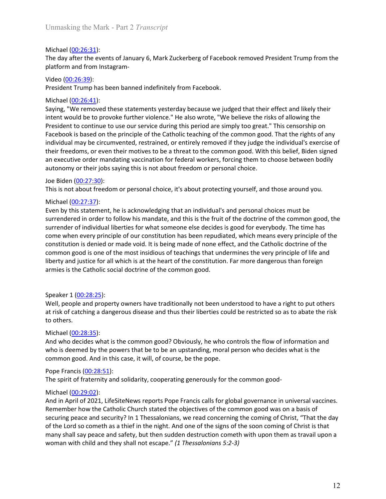Unmasking the Mark - Part 2 *Transcript*<br>Michael (<u>00:26:31</u>):<br>The day after the events of January 6, Mark Zuckerberg of Facebook removed President Trump from the<br>platform and from Instagram-Unmasking the Mark - Part 2 *Transcript*<br>Michael <u>(00:26:31</u>):<br>The day after the events of January 6, Mark Zuckerberg of Facebook removed Pres<br>platform and from Instagram-<br>Video (<u>00:26:39</u>):<br>President Trump has been banne Unmasking the Mark - Part 2 *Transcript*<br>Michael (<u>00:26:31</u>):<br>The day after the events of January 6, Mark Zuckerberg of Facebook removed President Trump from the<br>platform and from Instagram-<br>Video (<u>00:26:39</u>):<br>President Unmasking the Mark - Part 2 *Transcript*<br>Michael (<u>00:26:31</u>):<br>The day after the events of January 6, Mark Zuckerberg of Facebook removed President Trur<br>platform and from Instagram-<br>Video (<u>00:26:39</u>):<br>President Trump has

Unmasking the Mark - Part 2 *Transcript*<br>
Michael (<u>00:26:31</u>):<br>
The day after the events of January 6, Mark Zuckerberg of Facebook removed Pr<br>
platform and from Instagram-<br>
Video (<u>00:26:39</u>):<br>
President Trump has been b Unmasking the Mark - Part 2 *Transcript*<br>
Michael (<u>00:26:31</u>):<br>
The day after the events of January 6, Mark Zuckerberg of Facebook removed President Trump from the<br>
platform and from Instagram-<br>
President Trump has been b Unmasking the Mark - Part 2 *Transcript*<br>
Michael (<u>00:26:31</u>):<br>
The day after the events of January 6, Mark Zuckerberg of Facebook removed Pres<br>
platform and from Instagram-<br>
Video (<u>00:26:39</u>):<br>
President Trump has been Unmasking the Mark - Part 2 *Transcript*<br>Michael <u>(00:26:31)</u>:<br>The day after the events of January 6, Mark Zuckerberg of Facebook removed President Trump from the<br>platform and from Instagram-<br>Video <u>(00:26:31)</u>:<br>President Unmasking the Mark - Part 2 *Transcript*<br>
Michael (<u>00:26:31</u>):<br>
The day after the events of January 6, Mark Zuckerberg of Facebook removed President Trump from the<br>
platform and from Instagram-<br>
Video (<u>00:26:39</u>):<br>
Micha Unmasking the Mark - Part 2 *Transcript*<br>
Michael (<u>00:26:31)</u>:<br>
The day after the events of January 6, Mark Zuckerberg of Facebook removed President Trump from the<br>
platform and from Instagram-<br>
Video (<u>00:26:33)</u>:<br>
Presi Unmasking the Mark - Part 2 *Transcript*<br>The day after the events of January 6, Mark Zuckerberg of Facebook removed President Trump from the<br>platform and from Instagram-<br>Video (<u>00:26:39):</u><br>President Trump has been banned Unmasking the Mark - Part 2 *Transcript*<br>
Michael (<u>00:26:31</u>):<br>
The day after the events of January 6, Mark Zuckerberg of Facebook removed President Trump from the<br>
platform and from Instagram-<br>
Video (<u>00:26:34)</u>:<br>
Presi Unmasking the Mark - Part 2 *Transcript*<br>
Michael <u>(00:26:31)</u>:<br>
The day after the events of January 6, Mark Zuckerberg of Facebook removed President Trump from the<br>
platform and from Instagram-<br>
Video (<u>00:26:34)</u>:<br>
Presi Unmasking the Mark - Part 2 *Transcript*<br>
Michay differ the events of January 6, Mark Zuckerberg of Facebook removed President Trump from the<br>
dyator and from Instagram-<br>
platform and from Instagram-<br>
Michael (<u>00:26:31)</u>: Unmasking the Mark - Part 2 *Transcript*<br>
Michael (<u>00:26:31)</u>:<br>
The day after the events of January 6, Mark Zuckerberg of Facebook removed President Trump from the<br>
platform and from Instagram-<br>
Yrele (<u>00:26:41)</u>:<br>
Yrele Unmasking the Mark - Part 2 *Transcript*<br>
Michael (<u>00:26:31)</u>:<br>
Michael (<u>00:26:31)</u>:<br>
The day after the events of January 6, Mark Zuckerberg of Facebook removed President<br>
platform and from Instagram-<br>
Yieldo (00:26:39) Michael <u>(00:26:31)</u>:<br>The day after the events of January 6, Mark Zuckerberg of Facebook removed President Trump from the<br>platform and from Instagram-<br>Video (<u>00:26:34)</u>:<br>Michael (<u>00:26:34)</u>:<br>The instead control method ch Michael (<u>00:26:31</u>):<br>The day after the events of January 6, Mark Zuckerberg of Facebook removed Pres<br>platform and from Instagram-<br>Video (<u>00:26:39)</u>:<br>Wieco (<u>00:26:39)</u>:<br>Michael (00:<u>26:41):</u><br>Saying, "We removed these st The day after the events of January 6, Mark Zuckerberg of Facebook removed President Trump from the<br>platform and from Instagram-<br>Video (00:26:39):<br>President Trump has been banned indefinitely from Facebook.<br>
Michael (00:2 platform and from Instagram-<br>
Video (00:<u>26:39)</u>:<br>
President Trump has been banned indefinitely from Facebook.<br>
Michael (00:26:41):<br>
Saying, "We removed these statements yesterday because we judged that their effect and l

**EVERT THE SURFAT SURFAT SURFAT SURFAT SURFAT SURFAT SURFAT SURFAT SURFAT SURFAT SURFAT SURFAT SURFAT SURFAT SURFAT SURFAT SURFAT SURFAT SURFAT SURFAT SURFAT (THE ALT CONDUCT THE VIDEO THE CHARGE THE SURFAT THE THE THE TH** Video (<u>00:26:38</u>):<br>President Trump has been banned indefinitely from Facebook.<br>
Michael (<u>00:26:41</u>):<br>
Saying, "We removed these statements yesterday because we judged that their effect and likely their<br>
nitent would be President Trump has been banned indefinitely from Facebook.<br>Michael (<u>00:26:41)</u>:<br>Saying, "We removed these statements yesterday because we judged that their effect and likely their<br>intent would be to provoke further viole Michael <u>(00:26:41</u>):<br>Saying, "We removed these statements yesterday because we judged that their effect and likely their<br>Saying, "We removed to provoke further violence." He also wrote, "We believe the risks of allowing Saying, "We removed these statements yesterday because we judged that their effect and likely their<br>intert would be to provide further violence." He also worte, "We believe the risks of allowing the<br>Fresident to continue intent would be to provoke further violence." He also worde, "We believe the risks of allowing the<br>Intent would be to provoke further violence." He also worde, "We believe the risks of allowing the<br>President to continue to individual may be circumvented, restrained, or entirely removed if they judge the in<br>individual may be circumvented, restrained, or entirely removed if they judge the in<br>their freedoms, or even their motives to be a threa their freedoms, or even their motives to be a threat to the common good. With this belief, Biden signed<br>an executive order mandating vacination for federal workers, forcing them to choose between bodily<br>antonomy or their j an executive order mandating vaccination for federal workers, forcing them to choose between bodily<br>autonomy or their jobs saying this is not about freedom or personal choice.<br>This is not door (00:27:30):<br>This is not door autonomy or their jobs saying this is not about freedom or personal choice.<br>Loe Biden (<u>00:27:30)</u>:<br>Loe Biden (<u>00:27:30</u>):<br>This is not about freedom or personal choice, it's about protecting yourself,<br>Michael (<u>00:27:37</u>) Joe Biden (<u>00:27:30</u>):<br>This is not about freedom or personal choice, it's about protecting yourself, and th<br>Michael (<u>00:27:37</u>):<br>Even by this statement, he is acknowledging that an individual's and personal choi<br>surrend This is not about freedom or personal choice, it's about protecting yourself, and those around you.<br>
Michael (<u>00:27:37</u>):<br>
Siven by this statement, he is acknowledging that an individual's and personal choices must be<br>
E Wichael ( $\underline{00.27:37}$ ):<br>Even by this statement, he is acknowledging that an individual fail of the doctrine of the common good, the<br>surrendered in order to follow his mandate, and this is the fruit of the doctrine of t Michael ( $\underline{00.273.32}$ ):<br>The moment ( $\underline{0.273.2}$ ):<br>The poly this statement, he is acknowledging that an individual's and personal choices must be<br>surrendered in order to follow his mandate, and this is the fruit of surrendered in order to follow his mandate, and this is the fruit of the doctrine of the exarrendered in order to follow his mandate, and this is the fruit of the doctrine of the exarrender of individual liberties for what surrender of individual liberties for what someone else decides is good for everybody. The time has<br>currender of individual liberties for wars to tution has been repudiated, which means every principle of the<br>constitution

come when every principle of our constitution has been repudiated, which means<br>constitution is denied or made void. It is being made of one effect, and the Cathe<br>construction is denied or made void. It is being made of one constitution is denied or made void. It is being made of none effect, and the Catholic doctrine of the<br>common good is one of the most insidious of teachings that undermimes the very principle of life and<br>liberty and justic common good is one of the most triadious of feachings that undermines the very principle of life and<br>ilberty and justice for all which is at the heart of the constitution. Far more dangerous than foreign<br>armies is the Cath liberty and justice for all which is at the heart of the constitution. Far more dangerous than foreign<br>armies is the Catholic social doctrine of the common good.<br>Speaker 1 <u>(00:28:25)</u>:<br>Well, people and property owners hav armies is the Catholic social doctrine of the common good.<br>Speaker 1 (<u>00:28:25</u>):<br>Well, people and property owners have traditionally not been understood to have a right to put others<br>at risk of catching a dangerous disea Speaker 1 (<u>00:28:25</u>):<br>Well, people and property owners have traditionally not been understood to have a right to put others<br>at risk of catching a dangerous disease and thus their liberties could be restricted so as to ab Speaker 1 (<u>00:28:25</u>):<br>Well, people and property owners have traditionally not been understood to have a right to put others<br>at risk of catching a dangerous disease and thus their liberties could be restricted so as to ab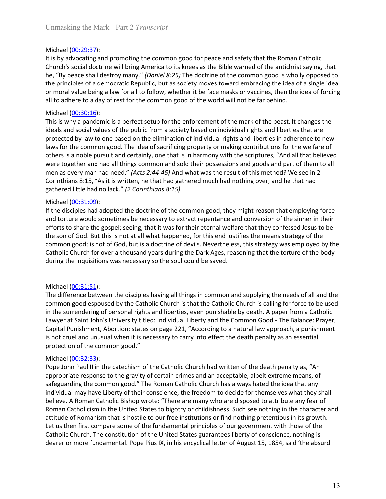Unmasking the Mark - Part 2 *Transcript*<br>Michael (00:29:37):<br>It is by advocating and promoting the common good for peace and safety that the Roman Catholic<br>Church's social doctrine will bring America to its knees as the Bi Unmasking the Mark - Part 2 *Transcript*<br>Michael (<u>00:29:37</u>):<br>It is by advocating and promoting the common good for peace and safety that the<br>Church's social doctrine will bring America to its knees as the Bible warned of Unmasking the Mark - Part 2 *Transcript*<br>Michael (<u>00:29:37)</u>:<br>It is by advocating and promoting the common good for peace and safety that the Roman Catholic<br>Church's social doctrine will bring America to its knees as the Unmasking the Mark - Part 2 *Transcript*<br>Michael (<u>00:29:3</u>7):<br>It is by advocating and promoting the common good for peace and safety that the Roman Catholic<br>Church's social doctrine will bring America to its knees as the Unmasking the Mark - Part 2 *Transcript*<br>Michael (<u>00:29:37</u>):<br>It is by advocating and promoting the common good for peace and safety that the Roman Catholic<br>Church's social doctrine will bring America to its knees as the Unmasking the Mark - Part 2 *Transcript*<br>
Michael (<u>00:29:37</u>):<br>
It is by advocating and promoting the common good for peace and safety that the Roman Catholic<br>
Church's social doctrine will bring America to its knees as Unmasking the Mark - Part 2 *Transcript*<br>
Michael (<u>00:29:37</u>):<br>
tti bs by advocating and promoting the common good for peace and safety that the Roman Catholic<br>
Church's social doctrine will bring America to its knees as Unmasking the Mark - Part 2 *Transcript*<br>
Michael (<u>00:29:3</u>7):<br>
It is by advocating and promoting the common good for peace and safety that the Roman Catholic<br>
Church's social doctrine will bring America to its knees as Unmasking the Mark - Part 2 *Transcript*<br>
Michael (<u>00:29:3</u>7):<br>
It is by advocating and promoting the common good for peace and safety that the<br>
Church's social doctrine will bring America to its knees as the Bible warned

Unmasking the Mark - Part 2 *Transcript*<br>
Michael (00:29:37):<br>
It is by advocating and promoting the common good for peace and safety that the Roman Catholic<br>
Church's social doctrine will bring America to its knees as the Unmasking the Mark - Part 2 *Transcript*<br>
Michael (<u>00:29:37)</u>:<br>
Michael (00:29:37):<br>
It is by advocating and promoting the common good for peace and safety that the Roman Catholic<br>
Church's social doctrine will bring Ame Unmasking the Mark - Part 2 *Transcript*<br>
Michael (00:29:37):<br>
It is by advocating and promoting the common good for peace and safety that the Roman Catholic<br>
Church's social doctrine will bring America to its knees as the Unmasking the Mark - Part 2 *Transcript*<br>
Michael (00:29:37):<br>
It is by advocating and promoting the common good for peace and safety that the Roman Catholic<br>
Church's social doctrine will bring America to its knees as the Unmasking the Mark - Part 2 *Transcript*<br>
Michael (<u>00:29:37</u>):<br>
It is by advocating and promoting the common good for peace and safety that the Roman Catholic<br>
Church's social doctrine will thing America to its knees as Unmasking the Mark - Part 2 *Transcript*<br>
Wichael (<u>00:29:37</u>):<br>
It is by advocating and promoting the common good for peace and safety that the Roman Catholic<br>
Church's social dectrine will bring America to its knees as Unmasking the Mark - Part 2 *Transcript*<br>
Michael (<u>00-29:37):</u><br>
Michael (1<u>00-29:37):</u><br>
It is by advocating and promoting the common good for peace and safety that the Roman Catholic<br>
Church's social dectror will bring Am Unmasking the Mark - Part 2 *Transcript*<br>
Michael (<u>00:29:37</u>):<br>
It is by advocating and promoting the common good for peace and safety that the Roman Catholic<br>
Church's social doctrine will bring America to its knees as t Michael ( $\underline{00:29:37}$ ):<br>
With also the social doctrine will bring America to its knees as the Bible warned of the antichrist saying, that<br>
the thy space shall destroy many." (Donce *B* 2:25) The doctrine of the common Michael ( $\underline{00.29.37}$ ):<br>It is by advocating and promoting the common good for peace and safety that the<br>thurch's social doctrine will bring America to its knees as the Bible warned of the<br>church's social doctrine will It is by advocating and promoting the common good for peace and safety that the Roman Catholic<br>Church's social doctrine will bring America to it is knees as the Bible warned of the antichinst saying, that<br>Church's social d Christian determination of individual repentation of the antichrist saying, that Christ Social determination in the metal of the some state and the antichrist saying, that the formation of the sympactic propare of the com be, "By peace shall destroy many." (Daniel 8:25) The doctrine of the common good is wholly opposed to the principles of a democratic Republic, but as society moves toward embracing the liea of a single ideal or moral value the principles of a democratic Republic, but as society moves toward embracing the idea of a single ideal<br>the principles of a democratic Republic, but as society moves toward embracing the idea of a single ideal<br>of or mora or moral value being a law for all to follow, whether it be face masks or vaccines, then the idea of forcing<br>all to adhere to a day of rest for the common good of the world will not be far behind.<br>Michael (00:30:16):<br>This all to adhere to a day of rest for the common good of the world will not be far behind.<br>
Michael <u>(00:30:16</u>):<br>
Michael (<u>00:30:16</u>):<br>
This is why a panaemic is a perfect setup for the enforcement of the mark of the beast. Michael (<u>00:30:15):</u><br>
Michael (<u>00:30:16):</u><br>
This is why a pandemic is a perfect setup for the enforcement of the mark of the beast. It changes the<br>
dietals and social values of the public from a society based on individ ideals and social values of the public from a society based on individual rights and<br>protected by law to one based on the elimination of individual rights and liberties<br>laws for the common good. The idea of sacrificing pro

protected by law to one based on the elimination of individual rights and liberties in adherence to new present to the surration of individual rights and liberties in a memory and the scriptures, "And all that believed oth flaws for the common good. The idea of sacrificing property or making contributions for the welfare of<br>tothers is a noble pursuit and etertainly, one that is in harmony with the scriptures, "And all that believed<br>were toge others is a noble pursult and certainly, one that is in harmony with the scriptures, "And all that believed there coeffer and had all things common and sold their possessions and goods and part of them to all<br>men as every were together and had all things common and sold their possessions and goods and part of them to all<br>men as every man had need." (Acts 2:44-45) And what was the result of this method? We see in 2<br>Corinthians 8:15, "As it i men as every man had need." (Acts 2:44-45) And what was the result of this method? We see in 2<br>Corinthians 8:15, "As it is written, he that had gathered much had nothing over; and he that had<br>gathered little had no lack." Corinthians 8:15, "As it is written, he that had gathered much had nothing over; and he that had<br>gathered little had no lack." (2 Corinthians 8:15)<br>Michael (<u>00:31:09):</u><br>The disciples had adopted the doctrine of the common gathered little had no lack." (2 *Corinthians 8:15)*<br>Michael (00:31:09):<br>If the disciples had adopted the doctrine of the common good, they might reason that employing for<br>Michael (00:31:09):<br>If the disciples had adopted t Michael (<u>00:31:09</u>):<br>
Michael (<u>00:31:09</u>):<br>
If the disciples had adopted the doctrine of the common good, they might reason<br>
and torture would sometimes be necessary to extract repentance and conversion<br>
efforts to shar

if the disciples had adopted the doctrine of the common good, they might reason that employing force the catholic Bandopted the doctrine of the Sinner Inferential order that the Catholic Share the gospel; seeing, that it w

and to the mean the stand to meltimes be necessary to extract repentance and conversion of the sinner in their stand to the stand reduction of the sinner in their stand to the stand to the stand that happened, for this end efforts to share the googel; seeing, that it was for their eleranal welfare that they confessed lesus to be<br>the son of God. But this is not at all what happened, for this end lustifies the means strategy of the<br>common good the son of God. But this is not at all what happened, for this end justifies the means strategy of the contomon good; But this is dottine of devils. Nevertheless, this strategy was employed by the Catholic Church for over common good," is not of Good, but is a doctrine of deviis. Nevertheless, this strategy was employed by the Catholic Church for over a thousand years during the Dark Ages, reasoning that the torture of the body during the i Catholic Church for over a thousand years during the Dark Ages, reasoning that the torture of the body<br>during the inquisitions was necessary so the soul could be saved.<br>The difference between the disciples having all thing during the inquisitions was necessary so the soul could be saved.<br>
Michael (<u>00:31:51)</u>:<br>
The difference between the disciples having all things in common and supplying the needs of all and the<br>
common good espoused by the Michael (<u>00:31:51)</u>:<br>The difference between the disciples having all things in common and supplying the needs of all and the<br>common good espoused by the Catholic Church is that the Catholic Church is calling for force to Michael (<u>00:31:51</u>):<br>The difference between the disciples having all things in common and supplying the needs of all and the<br>common good espooned by the Catholic Church is that the Catholic Church is calling for force to Michael (<u>00-31:51)</u>: hinder or more fundamental. Power method is the experience of the absurd of the common good espoused by the Catholic Church is that the Catholic Church is calling for force to be used common good espo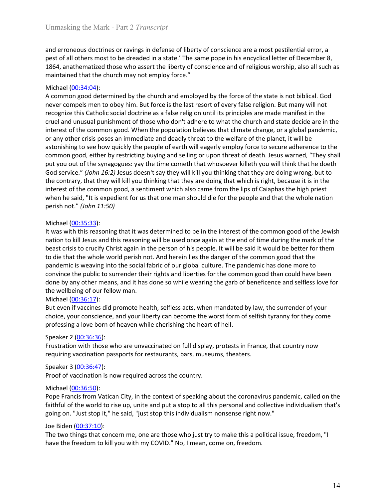Unmasking the Mark - Part 2 *Transcript*<br>and erroneous doctrines or ravings in defense of liberty of conscience are a most pestilential error, a<br>pest of all others most to be dreaded in a state.' The same pope in his encyc Unmasking the Mark - Part 2 *Transcript*<br>and erroneous doctrines or ravings in defense of liberty of conscience are a most pestilential error, a<br>pest of all others most to be dreaded in a state.' The same pope in his encyc Unmasking the Mark - Part 2 *Transcript*<br>and erroneous doctrines or ravings in defense of liberty of conscience are a most pestilential error, a<br>pest of all others most to be dreaded in a state.' The same pope in his encyc Unmasking the Mark - Part 2 *Transcript*<br>
and erroneous doctrines or ravings in defense of liberty of conscience are a most pestilential error, a<br>
pest of all others most to be dreaded in a state.' The same pope in his enc Unmasking the Mark - Part 2 *Transcript*<br>and erroneous doctrines or ravings in defense of liberty of conscience are a most pestilential error, a<br>pest of all others most to be dreaded in a state.' The same pope in his encyc

Unmasking the Mark - Part 2 *Transcript*<br>and erroneous doctrines or ravings in defense of liberty of conscience are a most<br>pest of all others most to be dreaded in a state.' The same pope in his encyclical le<br>1864, anathem Unmasking the Mark - Part 2 *Transcript*<br>and erroneous doctrines or ravings in defense of liberty of conscience are a most pestilential error, a<br>pest of all others most to be deraded in a state.' The same pope in his ency Unmasking the Mark - Part 2 *Transcript*<br>and erroneous doctrines or ravings in defense of liberty of conscience are a most pestilential error, a<br>pest of all others most to be deaded in a state.' The same pope in his encycl Unmasking the Mark - Part 2 *Transcript*<br>and erroneous doctrines or ravings in defense of liberty of conscience are a most pestilential error, a<br>pest of all others most to be dreaded in a state.' The same pope in his encyc Unmasking the Mark - Part 2 *Transcript*<br>and erroneous doctrines or ravings in defense of liberty of conscience are a most pestilential error, a<br>pest of all others most to be dreaded in a state.' The same pope in his encyc Unmasking the Mark - Part 2 *Transcript*<br>and erroneous doctrines or ravings in defense of liberty of conscience are a most pestilential error, a<br>pest of all others most to be dreaded in a state.' The same pope in his encyc Unmasking the Mark - Part 2 *Transcript*<br>and erroneous doctrines or ravings in defense of liberty of conscience are a most pestilential error, a<br>pest of all others most to be dreaded in a state.' The same pope in his encyc Unmasking the Mark - Part 2 *Transcript*<br>and erroneous doctrines or ravings in defense of liberty of conscience are a most pestilential error, a<br>pest of all others most to be dreaded in a state.' The same pope in his encyc Unmasking the Mark - Part 2 *Transcript*<br>and erroneous doctrines or ravings in defense of liberty of conscience are a most pestilential error, a<br>pest of all others most to be dreaded in a state.' The same pope in his encyc Unmasking the Mark - Part 2 *Transcript*<br>and erroneous doctrines or ravings in defense of liberty of conscience are a most pestilential error, a<br>pest of all others most to be dreaded in a state.' The same pope in his encyc Ummasking the Mark - Part 2 *Transcript*<br>and erroneous doctrines or ravings in defense of liberty of conscience are a most pestilential error, a<br>pest of all others most to be dreaded in a state.' The same oppe in his encyc Unmasking the Mark - Part 2 *Transcript*<br>and erroneous doctrines or ravings in defense of liberty of conscience are a most pestilential error, a<br>pest of all others most to be dreaded in a state.' The same pope in his encyc and erroneous doctrines or ravings in defense of liberty of conscience are a most pestilential error, a<br>pest of all others most to be dreaded in a state. The same pope in his encyclical letter of December 8,<br>1864, anathema and erroneous doctrines or ravings in defense of liberty of conscience are a most pestilential error, a<br>pest of all others most to be dreaded in a state.' The same pope in his encyclical letter of December 8,<br>anside, anath and erroneous doctrines or ravings in defense of liberty of conscience are a most pestilential<br>pest of all others most to be dreaded in a state." The same pope in his encyclical letter of De<br>1864, anathematized those who 1864, anathematized those who assert the liberty of conscience and of religious w<br>maintained that the church may not employ force."<br>Michael (00:34:04):<br>A common good determined by the church and employed by the force of t maintained that the church may not employ force."<br>
Michael (<u>00:34:04)</u><br>
Michael (<u>00:34:04)</u><br>
Michael (20:14) and the scala of the state soft of every false religion. But the<br>
recomples mento be by him. But force is the l Michael <u>(00:34:04)</u>:<br>A common good determined by the church and employed by the force of the state is not biblical. Good<br>A common good determined of those who don't adhere to overy false religion. But many will not<br>recog A common good determined by the church and employed by the force of the state is not biblical. God<br>necorromples men to obey him. But force is the last resort of every faste ereligion. But many will not<br>recognize this Catho never compels ment to doby him. But force is the last resort of every false religion. But many will not<br>recognize this Cahrolic social doctrine as a false religion until it is principles are made manifest in the<br>recognize recognize this Catholic social doctrine as a false religion until its principles are made manifest in the crice and unusual punishment of those who don't adhere to what the church and state decide are in the interest of th cruel and unussual punishment of those who don't adhere to what the church and state decide are in the cruel and unussual punishment of those who don't adhere to what the church and state decide are in the punishment of th interest of the common good. When the population believes that climate change, or a global pandemic,<br>or any other cristip coses an immediate and deadly threat to the welflere of the planet, it will be<br>or any other cristip or any other crisis poses an immediate and deadly threat to the wellfare of the planet, it will be<br>astomishing to see how quickly the people of earth will eagerly employ force to secure adherence to<br>common good, either by astonishing to see how quickly the people of earth will eagerly employ force to see<br>astonishing to see how quickly the people of earth will eagerly employ force to see<br>common good, either by restricting buying and selling

common good, elther by restricting buying and selling or upon threat of death. Lesus warned, "They shall<br>put you out of the synagogus: yay the time conefit that whososere killet hy ow will think that he deelt<br>pod service." not the paralemic is weakly all the conscience whill is you have the methan of the synapseus. Yay the time coment that whosoever killeth you will think that he doeth God service." (*foln 16*:2) less doesn't is a they will For the multipulary and the meaning the state of the state is a local service." (*John 16:2)* Jesus doesn't say they will kill you thinking that they are doing wrong, but to the contrary, that they are in the wind the con the contrary, that they will kill you thinking that they are doing that which is right, b<br>interest of the common good, a sentiment which also came from the lips of Caiapha<br>interest of the common good, a sentiment which al interest of the common good, a sentiment which also came from the lips of Caiaphas the high priest<br>when he said, "It is expedient for us that one man should die for the people and that the whole nation<br>perish not." (John 1 when he said, "It is expedient for us that one man should die for the people and that the whole nation<br>persih not." (00:35:33):<br>Nichasel (00:35:33):<br>Nichasel (00:35:33):<br>Nichasel (00:35:33):<br>Nichasel (00:35:33):<br>Nichasel Michael ( $\underline{00:36:33}$ ):<br>
Michael ( $\underline{00:35:33}$ ):<br>
It was with this reasoning that it was determined to be in the interest of the common antion to kill Jesus and this reasoning will be used once again at the end of t Michael <u>(00:35:33):</u><br>
Michael <u>(00:35:33):</u><br>
tt was whit his reasoning that it was determined to be in the interest of the common good of the Jewish<br>
tractor to child is reasoning will be used once again at the end of tim It was with this reasoning that it was determined to be in the interest of the comn<br>
nation to kill lessus and this reasoning will be used once again at the end of time du<br>
heast crisis to crucify Christ again in the perso mation to kill lesus and this reasoning will be used once again at the end of time during the mark of the<br>beast crisis to crucify Christ again in the person of his people. It will be said if would be better for them<br>to die beast crists to cructly Christ again in the person of his people. It will be said it would be better for them<br>to die that the whole world perish not. And herein lies the danger of the common good that the<br>pandemic is weavi to de that the whole world persis not. And herein lies the danger of the common good that the policies to provide the particle to surrender their rights and liberties for the common good than could have been convince the p convince the public to surrender their rights and liberties for the common good that<br>done by any other means, and it has done so while wearing the garb of beneficence<br>the wellbeing of our fellow man.<br>Michael (00:36:17):<br>Bu

done by any other means, and it has done so while wearing the garb of beneficence and selfless love for the wellebeing of our fellow man.<br>The wellebeing of our fellow man.<br>More inferences did promote health, selfless acts, the wellbeing of our fellow man.<br>
the wellbeing of our fellow man.<br>
Michael (00:36:12):<br>
But even if vaccines did promote health, selfless acts, when mandated by law, the surrender of your<br>
But even if vaccines and your li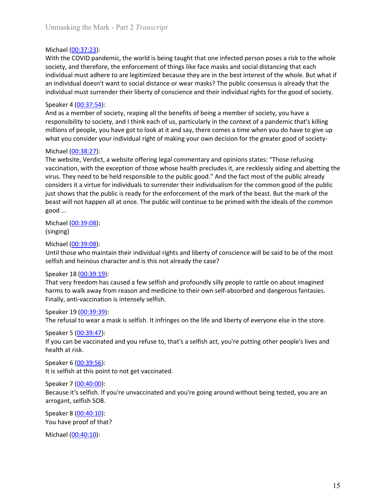Unmasking the Mark - Part 2 *Transcript*<br>Michael (00:37:23):<br>With the COVID pandemic, the world is being taught that one infected person poses a risk to the whole<br>society, and therefore, the enforcement of things like face Unmasking the Mark - Part 2 *Transcript*<br>Michael (<u>00:37:23</u>):<br>With the COVID pandemic, the world is being taught that one infected person pos<br>society, and therefore, the enforcement of things like face masks and social di Unmasking the Mark - Part 2 *Transcript*<br>Michael (<u>00:37:23</u>):<br>With the COVID pandemic, the world is being taught that one infected person poses a risk to the whole<br>society, and therefore, the enforcement of things like fa Unmasking the Mark - Part 2 *Transcript*<br>Michael (<u>00:37:23</u>):<br>With the COVID pandemic, the world is being taught that one infected person poses a risk to the whole<br>society, and therefore, the enforcement of things like fa Unmasking the Mark - Part 2 *Transcript*<br>
Michael (<u>00:37:23</u>):<br>
With the COVID pandemic, the world is being taught that one infected person poses a risk to the whole<br>
society, and therefore, the enforcement of things lik Unmasking the Mark - Part 2 *Transcript*<br>
Michael (<u>00:37:23</u>):<br>
With the COVID pandemic, the world is being taught that one infected person poses a risk to the whole<br>
society, and therefore, the enforcement of things like Unmasking the Mark - Part 2 *Transcript*<br>
Michael (<u>00:37:23</u>):<br>
Wich the COVID pandemic, the world is being taught that one infected person poses a risk to the whole<br>
society, and therefore, the enforcement of things like Unmasking the Mark - Part 2 *Transcript*<br>
Michael (<u>00:37:23</u>):<br>
With the COVID pandemic, the world is being taught that one infected person poses<br>
society, and therefore, the enforcement of things like face masks and soc Unmasking the Mark - Part 2 *Transcript*<br>
Michael (<u>00:37:23</u>):<br>
With the COVID pandemic, the world is being taught that one infected person poses a risk to the whole<br>
society, and therefore, the enforcement of things lik Unmasking the Mark - Part 2 *Transcript*<br>
With the COVID pandemic, the world is being taught that one infected person poses a risk to the whole<br>
society, and therefore, the enforcement of things like face masks and social Unmasking the Mark - Part 2 *Transcript*<br>
With the COVID pandemic, the world is being taught that one infected person poses a risk to the whole<br>
society, and therefore, the enforcement of things like face masks and social Unmasking the Mark - Part 2 *Transcript*<br>
With the COVID pandemic, the world is being taught that one infected person poses a risk to the whole<br>
society, and therefore, the enforcement of things like face masks and social

Unmasking the Mark - Part 2 *Transcript*<br>
Michael (<u>00:37:23</u>):<br>
Michael (<u>00:37:23</u>):<br>
With the COVID pandemic, the world is being taught that one infected person pos<br>
society, and therefore, the enforcement of things li Unmasking the Mark - Part 2 *Transcript*<br>
Witchel (<u>00:37:23</u>):<br>
Witchel (00:37:23):<br>
Society, and therefore, the worded is being taught that one infected person poses a risk to the whole<br>
society, and therefore, the enfor Unmasking the Mark - Part 2 *Transcript*<br>
With the COVID pandemic, the world is being taught that one infected person poses a risk to the whole<br>
society, and therefore, the enforcement of things like face masks and social Unmasking the Mark - Part 2 *Transcript*<br>
With the COVID pandemic, the world is being taught that one infected person poses a risk to the whole<br>
society, and therefore, the enforcement of things like face masks and social Unmasking the Mark - Part 2 *I rranscript*<br>
With the COVID pandenic, the world is being taught that one infected person poses a risk to the whole<br>
society, and therefore, the enforcement of things like face masks and socia Michael (<u>00:37:23</u>):<br>With the COVID pandemic, the world is being taught that one infected person poses a risk to the whole<br>society, and therefore, the enforcement of things like face masks and social distancing that each<br> Michael (<u>00:37:23</u>):<br>Writh the COVID pandemic, the world is being taught that one infected person poses a risk to the whole<br>society, and therefore, the enforcement of things like face masks and social distancing that eac With the COVID pandemic, the world is being taught that one infected person psociety, and therefore, the enforcement of things like face masks and social distingular mindividual must adhere to are legitimized because they society, and therefore, the enforcement of things like face masks and social distantial individual must adhere to are legitimized because they are in the best interest of the minimizion in individual must surrender their l individual must surrender their liberty of conscience and their individual rights for<br>Speaker 4 (00:37:54):<br>And as a member of society, reaping all the benefits of being a member of society,<br>responsibility to society, and Speaker 4 <u>(00:397:54)</u>.<br>
Speaker 4 (<u>00:37:54</u>):<br>
And as a member of society, reaping all the benefits of being a member of society, you have a<br>
responsibility to society, and I think each of us, particularly in the conte Speaker 1 (00:39:<u>71-9</u>):<br>
Speaker 4 (00:<u>37-9-</u>24):<br>
Speaker A (00:23-<u>7-14)</u><br>
And as a member of society, reaping all the benefits of being a member of society, you have a<br>
responsibility to society, and I think each of responsibility to society, and I think each of us, particularly in the context of a pandemillions of people, you have got to look at it and say, there comes a time when you d<br>millions of people, you have got to look at it millions of people, you have got to look at it and say, there comes a time when you do have to give up<br>whitt you consider your individual right of making your own decision for the greater good of society-<br>Michael (00:38:2? what you consider your individual right of making your own decision for the greater good of society-<br>Michael <u>(00:38:27</u>):<br>Michael (<u>00:38:27</u>):<br>The website, Verdict, a website offering legal commentary and opinions states Michael (<u>00:38:27</u>):<br>
The website, Verdict, a website offering legal commentary and opinions states: "Those refusing<br>
virus. They need to be held responsible to the public good." And the fact most of the public already<br> The website, Verdict, a website offering legal commentary and opinions states: "Thos<br>
The website, Verdict, a website offering legal commentary and opinions states: "Thos<br>
virus. They need to be held responsible to the pub vaccination, with the exception of those whose health precludes it, are recklessly aiding and abetting the virus. They need to be held responsible to the public good." And the fact most of the public aready inconsiders it virus. They need to be held responsible to the public good." And the fact most of the pust considers it a virtue for individual to surrender their individuals m for the common side pust shows that the public is ready for t considers it a virtue for individuals to surrender their individualism for the common good of the public<br>just shows that the public is ready for the enforcement of the mark of the beast. But the mark of the<br>beast will not

(singing)

just shows that the public is ready for the enforcement of the mark of the beast. B.<br>beast will not happen all at once. The public will continue to be primed with the ide<br>good ...<br>Michael (<u>00:39:08</u>):<br>Michael (<u>00:39:08</u>) Speaker 6 (00:39:56): **Solution**<br>
Michael (<u>00:39:08</u>):<br>
(singing)<br>
Michael (<u>00:39:08</u>):<br>
Until those who maintain their individual rights and liberty of conscience will be said to be of the most<br>
selfish and heinous character and is this not (singing)<br>
Michael (<u>00:39:08</u>):<br>
Until those who maintain their individual rights and liberty of conscience will be said<br>
selfish and heinous character and is this not already the case?<br>
Speaker 18 (<u>00:39:19</u>):<br>
The tre endote (00:39:08):<br>Until those who maintain their individual rights and liberty of conscience will be said to be of the most<br>selfish and helinous character and is this not already the case?<br>Speaker 18 (00:39:19):<br>That very Michael (<u>00:39:08</u>):<br>
and those who maintain their individual rights and liberty of conscience will be said to be<br>
uchit those who maintain their individual rights and liberty of conscience will be said to be<br>
selfish and selfish and heinous character and is this not already the case?<br>Speaker 18 (<u>00:39:19</u>):<br>That very freedom has caused a few selfish and profoundly silly people to rattle on a<br>harms to walk away from reason and medicine to Speaker 18 (<u>00:39:19</u>):<br>
Speaker 18 (<u>00:39:19</u>):<br>
That very freedom has caused a few selfish and profoundly silly people to rattle on about in<br>
harms to walk away from reason and medicine to their own self-absorbed and d That very freedom has caused a few selfish and profoundly silly people to rattle or<br>That very freedom has caused a few selfish and profoundly silly people to rattle or<br>harms to walk away from reason and medicine to their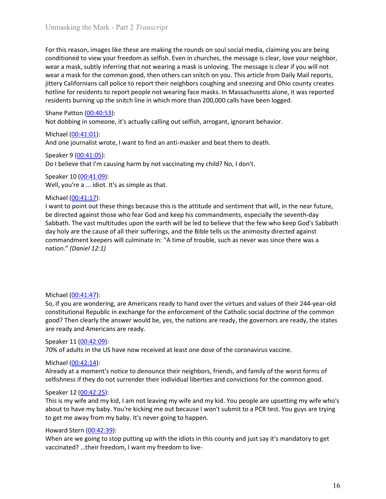Unmasking the Mark - Part 2 *Transcript*<br>For this reason, images like these are making the rounds on soul social media, claiming you are being<br>conditioned to view your freedom as selfish. Even in churches, the message is c Unmasking the Mark - Part 2 *Transcript*<br>For this reason, images like these are making the rounds on soul social media, claiming you are being<br>conditioned to view your freedom as selfish. Even in churches, the message is c Unmasking the Mark - Part 2 *Transcript*<br>For this reason, images like these are making the rounds on soul social media, claiming you are being<br>conditioned to view your freedom as selfish. Even in churches, the message is c Unmasking the Mark - Part 2 *Transcript*<br>For this reason, images like these are making the rounds on soul social media, claiming you are being<br>conditioned to view your freedom as selfish. Even in churches, the message is c Unmasking the Mark - Part 2 *Transcript*<br>For this reason, images like these are making the rounds on soul social media, claiming you are being<br>conditioned to view your freedom as selfish. Even in churches, the message is c Unmasking the Mark - Part 2 *Transcript*<br>For this reason, images like these are making the rounds on soul social media, claiming you are being<br>conditioned to view your freedom as selfish. Even in churches, the message is c Unmasking the Mark - Part 2 *Transcript*<br>For this reason, images like these are making the rounds on soul social media, claiming you are being<br>conditioned to view your freedom as selfish. Even in churches, the message is Unmasking the Mark - Part 2 *Transcript*<br>For this reason, images like these are making the rounds on soul social media, claiming you are being<br>conditioned to view your freedom as selfsh. Even in churches, the message is cl Unmasking the Mark - Part 2 *Transcript*<br>For this reason, images like these are making the rounds on soul social media, claiming<br>conditioned to view your freedom as selfish. Even in churches, the message is clear, lov<br>wear Unmasking the Mark - Part 2 *Transcript*<br>For this reason, images like these are making the rounds on soul social media, claiming you are being<br>conditioned to view your freedom as selfish. Even in churches, the message is Unmasking the Mark - Part 2 *Transcript*<br>For this reason, images like these are making the rounds on soul social media, clai<br>conditioned to view your freedom as selfish. Even in churches, the message is clea<br>wear a mask, Unmasking the Mark - Part 2 *Transcript*<br>For this reason, images like these are making the rounds on soul social media, claiming you are being<br>conditioned to view your freedom as selfish. Even in churches, the message is Unmasking the Mark - Part 2 *Transcript*<br>
For this reason, images like these are making the rounds on soul social media, claim<br>
conditioned to view your freedom as selfish. Even in churches, the message is clear,<br>
wear a Unmasking the Mark - Part 2 *Transcript*<br>For this reason, images like these are making the rounds on soul social media, claiming you are being<br>conditioned to view your freedom as selfish. Even in churches, the message is c Unmasking the Mark - Part 2 *Transcript*<br>
For this reason, images like these are making the rounds on soul social media, claimin<br>
conditioned to view your freedom as selfish. Even in churches, the message is clear, l<br>
wea Unmasking the Mark - Part 2 *I ranscript*<br>For this reason, images like these are making the rounds on soul social media, claiming you are being<br>conditioned to view your freedom as selfish. Even in churches, the message is For this reason, images like these are making the rounds on soul social media, clai<br>conditioned to view your freedom as selfish. Even in churches, the message is clea<br>wear a mask, subtly inferring that not wearing a mask For this reason, images like these are making the rounds on soul social media, claiming you are being<br>conditioned to view your freedom as selfish. Even in churches, the message is clear, love your neighbor,<br>wear a mask su

conditioned to view your freedom as selfish. Even in churches, the message is clear, fore your neighbor,<br>wear a mask, subtly inferring that not wearing a mask is unloving. The message is clear if you will not<br>wear a mask f wear a mask, subtly inferring that not wearing a mask is unloving. The measage is clear if you will not exercist<br>ittery Californians call police to report neter neighbors coughing and sneezing and Ohio county creates<br>jtitu wear a mask for the common good, then others can snitch on you. This article from Daily Mail reports, and the cause are an sinical police to report people not wearing face masks. In Massachusetts alone, it was reported hol jittery Californians call police to report their neighbors coughing and smearing and ohio county creates<br>hotline for residents to report people not wearing face masks. In Massachusetts alone, it was reported<br>residents bur hotline for residents to report people not wearing face masks. In Massachusetts alone, it vesidents burning up the snitch line in which more than 200,000 calls have been logged.<br>Shane Patton (<u>00:40:53)</u>:<br>Not dobbing in so And one journalist wrote, I want to find an anti-masker and beat them to death.<br>
Speaker 9 (<u>00:41:05</u>):<br>
Do I believe that I'm causing harm by not vaccinating my child? No, I don't.<br>
Speaker 10 (<u>00:41:05</u>):<br>
Well, you'r Speaker 9 (<u>00-41:05</u>):<br>
Speaker 9 (<u>00-41:05</u>):<br>
Do I believe that I'm causing harm by not vaccinating my child? No, I don't.<br>
Speaker 10 (<u>00-41:05</u>):<br>
Morie a ... different against those who fear God and keep his comma Speaker 21 (<u>00:44:0</u>5):<br>
Speaker 10 (<u>00:41:09</u>):<br>
Oo I believe that I'm causing harm by not vaccinating my child? No, I don't.<br>
Speaker 10 (<u>00:41:07</u>):<br>
Well, you're a ... idiot. It's as simple as that.<br>
Nivahat (00:41 Do I believe that I'm causing harm by not vaccinating my child? No, I don't.<br>Speaker 10 (<u>00:41:17</u>):<br>Well, you're a ... idiot. It's as simple as that.<br>Well, you're a ... idiot. It's as simple as that.<br>Michael (<u>00:41:17</u>) Speaker 10 (<u>00:41:47</u>):<br>
Well, you're a ... idiot. It's as simple as that.<br>
Michael (<u>00:41:1</u>:1):<br>
Nivant to <u>point out these things</u> because this is the attitude and sentiment that will, in the near future,<br>
be directed Well, you're a ... idiot. It's as simple as that.<br>
Michael <u>(00:41:17</u>):<br>
I want to point out these things because this is the attitude and sentiment that will, i<br>
l want to point out these things because this is the atti Michael (<u>00:41:17</u>):<br>
Whant to point out these things because this is the attitude and sentiment that will, in the near future,<br>
the directed against those who fear God and keep his commandments, especially the seventh-da I want to point out these things because this is the attitude and sentiment that will<br>be directed against those who fear God and keep his commandments, especially t<br>Sabbath. The vast multitudes upon the earth will be led t be directed against those who fear God and keep his commandenents, especially the seventh-day<br>Sabbath. The vast multitudes upon the earth will be led to believe that the few who keep God's Sabbath<br>day holy are the cause of

Sababath. The wast multitudes upon the earth will be led to believe that the few who keep God's Sabbath<br>day holy are the cause of all their sufferings, and the Bible tells us the animosity directed against<br>commandment keep Example the selfishness will culminate in: "A time of trouble, such as never was since<br>commandment keepers will culminate in: "A time of trouble, such as never was since<br>nation." (Daniel 12:1)<br>So, if you are wondering, are mation." (*Daniel 12:1)*<br>
So, if you are wondering, are Americans ready to hand over the virtues and values of their 244-year-old<br>
constitutional Republic in exchange for the enforcement of the Catholic social doctrine of Michael (<u>00:41:47</u>):<br>So, if you are wondering, are Americans ready to hand over the virtues and values of their 244-year-old<br>constitutional Republic in exchange for the enforcement of the Catholic social doctrine of the c Michael <u>(00-41-47):</u><br>So, if you are wondering, are Americans ready to hand over the virtues and values of their 244-year-old<br>constitutional Republic in exchange for the enforcement of the Catholic social doctrine of the Michael (<u>00:41:47</u>):<br>So, if you are wondering, are Americans ready to hand over the virtues and values of the<br>constitutional Republic in exchange for the enforcement of the Catholic social doctrine good? Then clearly the Michael (<u>00-41-47</u>):<br>So, if you are wondering, are Americans ready to hand over the virtues and values of their 244-year-old<br>constitutional Republic in exchange for the enforcement of the Catholic social doctrine of the c Michael <u>(00:41:47):</u><br>
So, If you are wondering, are Americans ready to hand over the virtues and values of their 244-year-old<br>
So, If you are wondering for the enforcement of the Catholic social doctrine of the common<br>
g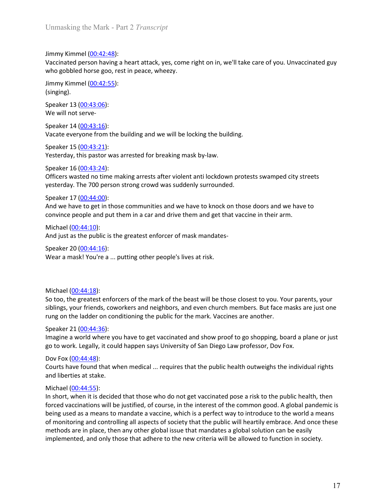Unmasking the Mark - Part 2 *Transcript*<br>Jimmy Kimmel (<u>00:42:48</u>):<br>Vaccinated person having a heart attack, yes, come right on in, we'll take care of you. Unvaccinated guy Unmasking the Mark - Part 2 *Transcript*<br>Jimmy Kimmel (<u>00:42:48</u>):<br>Vaccinated person having a heart attack, yes, come right on in, we'll take care of you. Un<br>who gobbled horse goo, rest in peace, wheezy.<br>Jimmy Kimmel (<u>00</u> Unmasking the Mark - Part 2 *Transcript*<br>Jimmy Kimmel (<u>00:42:48</u>):<br>Vaccinated person having a heart attack, yes, come right on in, we'll take care of you. Unvaccinated guy<br>who gobbled horse goo, rest in peace, wheezy.<br>Jim Unmasking the Mark - Part 2 *Transcript*<br>Jimmy Kimmel (<u>00:42:48</u>):<br>Vaccinated person having a heart attack, yes, come right on in, we'll take care of you. Unvaccinated guy<br>who gobbled horse goo, rest in peace, wheezy.<br>Jim Unmasking the Mark - Part 2 *Transcript*<br>Jimmy Kimmel <u>(00:42:48)</u>:<br>Vaccinated person having a heart attack, yes, come right on in, we'll take care of you. Un<br>who gobbled horse goo, rest in peace, wheezy.<br>Jimmy Kimmel <u>(00</u> Unmasking the Mark - Part 2 *Transcript*<br>Jimmy Kimmel (<u>00:42:48)</u>:<br>Vaccinated person having a heart attack, yes, come right on in, we'll take care of you.<br>who gobbled horse goo, rest in peace, wheezy.<br>Jimmy Kimmel (<u>00:43</u> Unmasking the Mark - Part 2 *Transcript*<br>Jimmy Kimmel (<u>00:42:48</u>):<br>Vaccinated person having a heart attack, yes, come right on in, we'll take care of you.<br>who gobbled horse goo, rest in peace, wheezy.<br>Jimmy Kimmel (<u>00:43</u> Unmasking the Mark - Part 2 *Transcript*<br>Jimmy Kimmel (<u>00:42:48</u>):<br>Vaccinated person having a heart attack, yes, come right on in, we'll take care of you.<br>who gobbled horse goo, rest in peace, wheezy.<br>Jimmy Kimmel <u>(00:42</u> Unmasking the Mark - Part 2 *Transcript*<br>Jimmy Kimmel <u>(00:42-48</u>):<br>Vaccinated person having a heart attack, yes, come right on in, we'll take care of you. Unvaccinated guy<br>who gobbled horse goo, rest in peace, wheezy.<br>Jim Unmasking the Mark - Part 2 *Transcript*<br>Jimmy Kimmel (<u>00:42:48</u>):<br>Vaccinated person having a heart attack, yes, come right on in, we'll take care of you. Unvaccinated guy<br>who gobbled horse goo, rest in peace, wheezy.<br>(si Unmasking the Mark - Part 2 *Transcript*<br>
Jimmy Kimmel (<u>00:42:48</u>):<br>
Vaccinated person having a heart attack, yes, come right on in, we'll take care of you. Unvaccinated guy<br>
who gobbled horse goo, rest in peace, wheevy. Unmasking the Mark - Part 2 *Transcript*<br>
Jimmy Kimmel (<u>00:42:48</u>):<br>
Vaccinated person having a heart attack, yes, come right on in, we'll take care of you. Unvaccinated guy<br>
who gobbled horse goo, rest in peace, wheezy. Jimmy Kimmel (00:42:48):<br>Vaccinated person having a heart attack, yes, come right on in, we'll take care of you. Unvaccinated guy<br>vino gobbled horse goo, rest in peace, wheezy.<br>
Jimmy Kimmel (0<u>0:43:55</u>):<br>
Speaker 13 (00:4 Vaccinated person having a heart attack, yes, come right on in, we'll take care of you. Unvaccinated guy<br>who gobbled horse goo, rest in peace, wheery.<br>Jimmy Kimmel (<u>00:42:55)</u>:<br>Speaker 13 (<u>00:43:06</u>):<br>Speaker 13 (<u>00:43:</u>

(singing).

Unmasking the Mark - Part 2 *Transcript*<br>Jimmy Kimmel (<u>00:42:48)</u>:<br>Vaccinated person having a heart attack, yes, come right on in, we'll take care of you.<br>who gobbled horse goo, rest in peace, wheezy.<br>Jimmy Kimmel <u>(00:42</u> Unmasking the Mark - Part 2 *Transcript*<br>
Jimmy Kimmel (<u>00:42:48)</u>:<br>
Vaccinated person having a heart attack, yes, come right on in, we'll take care of you.<br>
Workey (singing).<br>
Jimmy Kimmel (<u>00:42:55)</u>:<br>
Speaker 13 (<u>00</u> Jimmy Kimmel <u>(00:42:48)</u>:<br>Vaccinated person having a heart attack, yes, come right on in, we'll take care of you.<br>Who gobbled horse goo, rest in peace, wheezy.<br>Jimmy Kimmel <u>(00:42:55)</u>:<br>Speaker 13 (<u>00:43:06):</u><br>Speaker 1 who gobbled horse goo, rest in peace, wheezy.<br>
Jimmy Kimmel (00:42:55):<br>
Singing).<br>
Speaker 13 (00:43:06):<br>
Speaker 14 (00:43:06):<br>
Vacate everyone from the building and we will be locking the building.<br>
Speaker 14 (00:43 Jimmy Kimmel (<u>00:42:55</u>):<br>Speaker 13 (<u>00:43:06)</u>:<br>Speaker 13 (<u>00:43:06)</u>:<br>We will not serve-<br>Speaker 15 (<u>00:43:01)</u>:<br>Speaker 15 (<u>00:43:01)</u>:<br>Yesterday, this pastor was arrested for breaking mask by-law.<br>Yesterday, thi (singing).<br>
Speaker 13 (00:43:06):<br>
We will not serve-<br>
Speaker 14 (<u>00:43:16</u>):<br>
Speaker 14 (<u>00:43:16</u>):<br>
Speaker 15 (<u>00:43:21)</u>:<br>
Vacate everyone from the building and we will be locking the building.<br>
Speaker 15 (<u>00</u> Speaker 13 (<u>00-43:06):</u><br>Speaker 13 (<u>00-43:06):</u><br>Speaker 14 (<u>00-43:16</u>):<br>Speaker 15 (<u>00-43:24)</u>:<br>Vacate everyone from the building and we will be locking the building.<br>Speaker 15 (<u>00-43:24)</u>:<br>Speaker 15 (<u>00-43:24)</u>:<br>O

Vacate everyone from the building and we will be locking the building.<br>Speaker 15 (<u>00:43:21)</u>:<br>Yesterday, this pastor was arrested for breaking mask by-law.<br>Speaker 16 (<u>00:43:24</u>):<br>Officers wasted no time making arrests Speaker 15 (<u>00:43:21)</u>:<br>Speaker (15 (<u>00:43:24</u>):<br>Speaker (15 (00:43:24):<br>Officers wasted no time making arrests after violent anti lockdown protests swamped city streets<br>vesterday. The 700 person strong crowd was suddenl Yesterday, this pastor was arrested for breaking mask by-law.<br>Speaker 16 (<u>00:43:24</u>):<br>Officers wasted no time making arrests after violent anti lockdown protests swamped city streets<br>officers wasted no time making arrests Figure 16 (00.43:24):<br>
Speaker 16 (00.43:24):<br>
Officers wasted no time making arrests after violent anti lockdown protests swamped city streets<br>
syester or 10 (00.43:24):<br>
Speaker 17 (00.44:10):<br>
Speaker 17 (00.44:10):<br>
An **CHECT CONSET CONSET CONSET CONSET CONSET CONSET CONSET CONSET AND INDIVIDENT AND DETERMAL SPEAKER 17 (00:44:00):**<br>
Speaker 17 (00:44:00):<br>
Speaker 17 (00:44:00):<br>
Speaker 17 (00:44:00):<br>
Speaker 17 (00:44:00):<br>
Convince p vesterday. The 700 person strong rowd was suddenly surrounded.<br>
Speaker 17 (<u>00:44:0)</u>:<br>
Speaker 17 (<u>00:44:0)</u>:<br>
Convince people and the them in a car and drive them and get that vaccine in their arm.<br>
And we have to get Speaker 17 (<u>00-44-30</u>):<br>Speaker 17 (<u>00-44-00)</u>:<br>And we have to get in those communities and we have to knock on those doors and we have to<br>convince people and put them in a car and drive them and get that vaccine in the And we have to get in those communities and we have to knock on those doors are<br>onvince people and put them in a car and drive them and get that vaccine in thei<br>Michael (00:44:10):<br>And just as the public is the greatest e courts have found that when medical ... requires that the public health outweighs the public is the public is the preatest enforcer of mask mandates-<br>
Speaker 20 (00:44:16):<br>
Speaker 20 (00:44:16):<br>
Speaker 20 (00:44:16):<br>

Michael (00:44:10):<br>
Michael (00:44:10):<br>
And just as the public is the greatest enforcer of mask mandates-<br>
Speaker 20 (00:44:16):<br>
Wear a mask! You're a ... putting other people's lives at risk.<br>
Michael (00:44:18):<br>
So And just as the public is the greatest enforcer of mask mandates-<br>Speaker 20 (<u>00:44:16</u>):<br>Wear a mask! You're a ... putting other people's lives at risk.<br>Michael (<u>00:44:16</u>):<br>Wear a mask! You're a ... putting other peop Speaker 20 (00:44:18):<br>
Wear a mask! You're a ... putting other people's lives at risk.<br>
So too, the greatest enforcers of the mark of the beast will be those closest to you. Your parents, your<br>
stillings, your friends, co Speaker 20 (<u>00-44-18</u>):<br>
Speaker 20 (<u>00-44-18</u>):<br>
Michael (<u>00-44-18</u>):<br>
So too, the greatest enforcers of the mark of the beast will be those closest to you. Your parents, your<br>
siblings, your friends, coworkers and nei Wear a mask! You're a ... putting other people's lives at risk.<br>
Michael (<u>00-44-18</u>):<br>
So too, the greatest enforcers of the mark of the beast will be those closest to you. Your parents, your<br>
Siblings, your friends, cowo Michael <u>(00:44:18</u>):<br>So too, the greatest enforcers of the mark of the beast will be those closest to you. Your parents, your<br>siblings, your friends, coworkers and neighbors, and even church members. But face masks are ju Michael (<u>00:44:18</u>):<br>So too, the greatest enforcers of the mark of the beast will be those closest to you. Your parents, your<br>siblings, your friends, coworkers and neighbors, and even church members. But face masks are ju Michael (<u>00:44:18):</u><br>So too, the greatest enforcers of the mark of the beast will be those closest to you. Your parents, your<br>siblings, your friends, coworkers and neighbors, and even church members. But face masks are ju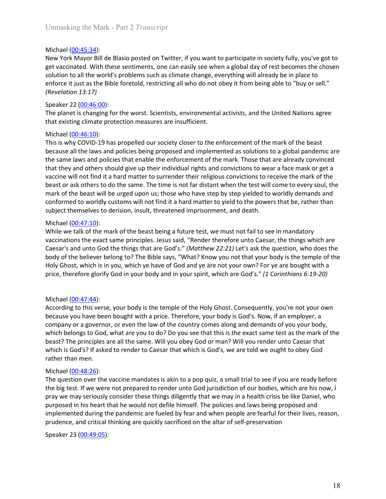Unmasking the Mark - Part 2 *Transcript*<br>Michael (<u>00:45:34</u>):<br>New York Mayor Bill de Blasio posted on Twitter, if you want to participate in society fully, you've got to<br>get vaccinated. With these sentiments, one can easi Unmasking the Mark - Part 2 *Transcript*<br>Michael <u>(00:45:34</u>):<br>New York Mayor Bill de Blasio posted on Twitter, if you want to participate in socia<br>get vaccinated. With these sentiments, one can easily see when a global da Unmasking the Mark - Part 2 *Transcript*<br>Michael (<u>00:45:34)</u>:<br>New York Mayor Bill de Blasio posted on Twitter, if you want to participate in society fully, you've got to<br>get vaccinated. With these sentiments, one can easi Unmasking the Mark - Part 2 *Transcript*<br>Michael (<u>00:45:34)</u>:<br>New York Mayor Bill de Blasio posted on Twitter, if you want to participate in society fully, you've got to<br>get vaccinated. With these sentiments, one can easi Unmasking the Mark - Part 2 *Transcript*<br>Nichael (<u>00:45:34</u>):<br>New York Mayor Bill de Blasio posted on Twitter, if you want to participate in society fully, you've got to<br>get vaccinated. With these sentiments, one can easi Unmasking the Mark - Part 2 *Transcript*<br>
Michael (<u>00:45:34</u>):<br>
New York Mayor Bill de Blasio posted on Twitter, if you want to participate in society fully, you've got to<br>
get vaccinated. With these sentiments, one can e Unmasking the Mark - Part 2 *Transcript*<br>
Michael (<u>00:45:34</u>):<br>
New York Mayor Bill de Blasio posted on Twitter, if you want to participate in society<br>
get vaccinated. With these sentiments, one can easily see when a glob Unmasking the Mark - Part 2 *Transcript*<br>
Michael (<u>00:45:34</u>):<br>
New York Mayor Bill de Blasio posted on Twitter, if you want to participate in society<br>
get vaccinated. With these sentiments, one can easily see when a glo Unmasking the Mark - Part 2 *Transcript*<br>Michael (<u>00:45:34</u>):<br>New York Mayor Bill de Blasio posted on Twitter, if you want to participate in society fully, you've got to<br>get vaccinated. With these sentiments, one can easi Unmasking the Mark - Part 2 *Transcript*<br>
Nichael (00:45:34):<br>
New York Mayor Bill de Blasio posted on Twitter, if you want to participate in society fully, you've got to<br>
get vaccinated. With these sentiments, one can eas

Unmasking the Mark - Part 2 *Transcript*<br>
Michael (<u>00:45:34</u>):<br>
New York Mayor Bill de Blasio posted on Twitter, if you want to participate in soci<br>
get vaccinated. With these sentiments, one can easily see when a global Unmasking the Mark - Part 2 *Transcript*<br>
Nichael (<u>00:45:34</u>):<br>
New York Mayor Bill de Blasio posted on Twitter, if you want to participate in society fully, you've got to<br>
get vaccinated. With these enfinents, one can ea Unmasking the Mark - Part 2 *Transcript*<br>New York Mayor Bill de Blasio posted on Twitter, if you want to participate in society fully, you've got to<br>Ret Vaccinated. With these sentiments, one can easily see when a global d Unmasking the Mark - Part 2 *Transcript*<br>New York Mayor Bill de Blasio posted on Twitter, if you want to participate in society fully, you've got to<br>New York Mayor Bill de Blasio posted on Twitter, if you want to participa Unmasking the Mark - Part 2 *Transcript*<br>
Michael (<u>00:45:34</u>):<br>
New York Mayor Bill de Blasio posted on Twitter, if you want to participate in society fully, you've got to<br>
get vaccinated. With these sentiments, one can e Unmasking the Mark - Part 2 *Transcript*<br>
Niew York Mayor Bill de Blasio posted on Twitter, if you want to participate in society fully, you've got to<br>
Ree York Mayor Bill de Blasio posted on Twitter, if you want to partic Unmasking the Mark - Part 2. *Pranscript*<br>
Nichael (<u>00:45:34</u>):<br>
New York Mayor Bill de Blasio posted on Twitter, if you want to participate in society fully, you've got to<br>
Rev vaccinated. With these sentiments, one can Michael (<u>00:45:34</u>):<br>New York Mayor Bill de Blasio posted on Twitter, if you want to participate in society fully, you've got to<br>get vaccinated. With these sentiments, one can easily see when a global day of rest becomes Michael (<u>00:45:34</u>):<br>New York Mayor Bill de Blasio posted on Twitter, if you want to participate in society fully, you've got to<br>New York Mayor Bill de Blasio posted on Twitter, if you want to participate in society tully New York Mayor Bill de Blasio posted on Twitter, if you want to participate in society fully, you've got to<br>get vaccinated. With these sentiments, one can easily see when a global day of rest becomes the chosen<br>solution to get vaccinated. With these sentiments, one can easily see when a global day of resolution to all the world's problems such as climate change, everything will alread solution to all the world's problems such as climate cha solution to all the world's problems such as climate change, everything will already be in place to<br>enforce it just as the Bible foretold, restricting all who do not obey it from being able to "buy or sell."<br>(Revelation 13 enforce it just as the Bible foretold, restricting all who do not obey it from being able to "buy or sell."<br>Speaker 22 (<u>00:46:00)</u>.<br>The planet is changing for the worst. Scientists, environmental activists, and the United (Revelation 13:17)<br>Speaker 22 (00.46.00):<br>The planet is changing for the worst. Scientists, environmental activists, and the United Nations agree<br>that existing climate protection measures are insufficient.<br>Michael (00:46: Speaker 22 (<u>00:46:00</u>):<br>The planet is changing for the worst. Scientists, environmental activists, and the United Nations agree<br>That existing climate protection measures are insufficient.<br>
Michael (<u>00:46:10</u>):<br>
This is w The planet is changing for the worst. Scientists, environmental activists, and the United Nations agree<br>that existing climate protection measures are insufficient.<br>Michael ( $Q0.462.10$ ).<br>This is why COVID-19 has propelled that existing dimate protection measures are insufficient.<br>
Michael (<u>00:46:10</u>):<br>
This is why COVID-19 has propelled our society closer to the enforcement of the mark of the beast<br>
This is why COVID-19 has propelled our s This is why COVID-19 has propelled our society closer to the enforcement of the necause all the laws and policies being proposed and implemented as solutions to the same laws and policies their enable the enforcement of t because all the laws and policies being proposed and implemented as solutions to a golbal pandemic are all the laws and policies that enable the enforcement of the mark. Those that are already convinced that they and othe

the same law san policies that enable the enforcement of the mark. Those that are already convicted<br>that they and others should give up their individual rights and convictions to recaive the mark of the<br>vaccine will not f that they and colters should give up their individual rights and convictions to wear a face mask or get a<br>twaccine will not find it a hard matter to surrender their religious convictions to receive the mark of the<br>beast or vacine will not find it a hard matter to surrender their religious convictions to receive the mark of the beast will be urged upon us; those who have step by step yielded to worldly demands and conformed to worldly customs beast or ask others to do the same. The time is not far distant when the test will come to every soul, the<br>mark of the beast will be urged upon us; those who have step by step yielded to worldly demands and<br>conformed to wo mark of the beast will be urged upon us; those who have step by step yield to to worldly demands and<br>subject themselves to derision, insult, threatened imprisonment, and death.<br>Subject themselves to derision, insult, threa conformed to worldly customs will not find it a hard matter to yield to the powers the<br>subject themselves to derision, insult, threatened imprisonment, and death.<br>Michael (00:47:10):<br>While we talk of the mark of the beast Michael  $(00.47:10)$ :<br>
Michael  $(00.47:10)$ :<br>
While we talk of the mark of the beast being a future test, we must not fail to see<br>
vaccinations the exact same principles. Jesus said, "Render therefore unto Caesar,<br>
Caesar Michael ( $00.427.10$ )<br>While we talk of the mark of the beast being a future test, we must not fail to see in mandatory<br>vaccinations the exact same principles. Jesus said, "Render therefore unto Caesar, the things which ar Which we talk of the mark of the beast being a future test, we must not fail to see in manatory<br>Waccinations the exact same principles. Jesus sial, "Render therefore unto Caesar, the things which are<br>Caesar's and unto God vacionations the exact same principles. Jesus said, "Render therefore unto Caesar, the things which are Gasty, the discussion, the consideration, who does the body of the believer belong to? The Bible says, "What? Know you Caesar's and tunto God the things that are God's." (Matthew 22:21) Let's ask the question, who does the beight of the beight of the beight of the beight of the policies would be the policies would be the policies the polic body of the believer belong to? The Bible says, "What? Know you not that your body is the temple of the believer belong to? The Bible says, "What? Know you not that your body is the temple of the price, therefore glorify G Holy Ghost, which is in you, which ye have of God and ye are not your own? For ye are bought with a<br>price, therefore glorify God in your body and in your spirit, which are God's." (*1 Corinthions 6:19-20*)<br>Michael (<u>00-47</u> Michael ( $\underline{00.44:24}$ );  
According to this verse, your body is the temple of the Holy Ghost. Consequently, you  
because you have been bought with a price. Therefore, your body is God's. Now, if ar  
common or a government, or even the law of the country comes along and demands of  
which belongs to God, what are you to do? Do you see that this is the exact same test  
beast? The principles are all the same. Will you obey God or man? Will you render un  
which is God's? If asked to render to Caesar that which is God's, we are told we ought  
rather than men.  
Michael (00.48:26):  
The question over the vaccine mandates is akin to a pop quiz, a small trial to see if yo  
the big test. If we were not prepared to render auto God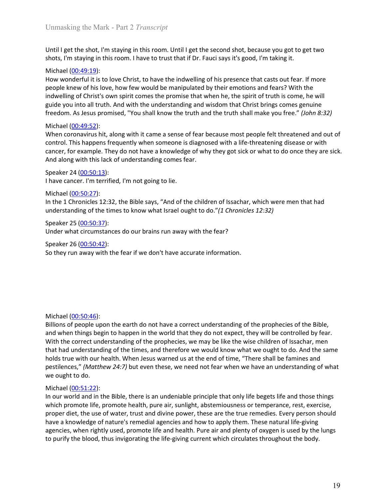Unmasking the Mark - Part 2 *Transcript*<br>Until I get the shot, I'm staying in this room. Until I get the second shot, because you got to get two<br>shots, I'm staying in this room. I have to trust that if Dr. Fauci says it's

Unmasking the Mark - Part 2 *Transcript*<br>Until I get the shot, I'm staying in this room. Until I get the second shot, because you got to get two<br>shots, I'm staying in this room. I have to trust that if Dr. Fauci says it's Unmasking the Mark - Part 2 *Transcript*<br>Until I get the shot, I'm staying in this room. Until I get the second shot, because you got to get two<br>shots, I'm staying in this room. I have to trust that if Dr. Fauci says it's Unmasking the Mark - Part 2 *Transcript*<br>Until I get the shot, I'm staying in this room. Until I get the second shot, because y<br>shots, I'm staying in this room. I have to trust that if Dr. Fauci says it's good, I'm tal<br>Mic Until I get the shot, I'm staying in this room. Until I get the second shot, because you got to get two<br>shots, I'm staying in this room. I have to trust that if Dr. Fauci says it's good, I'm taking it.<br>Michael (<u>00:49:19</u>) Unmasking the Mark - Part 2 *Transcript*<br>
Until I get the shot, I'm staying in this room. Until I get the second shot, because you got to get two<br>
shots, I'm staying in this room. I have to trust that if Dr. Fauci says it Unmasking the Mark - Part 2 *Transcript*<br>
Until I get the shot, I'm staying in this room. Until I get the second shot, because you got to get two<br>
shots, I'm staying in this room. I have to trust that if Dr. Fauci says it Unmasking the Mark - Part 2 *Transcript*<br>Until I get the shot, I'm staying in this room. Until I get the second shot, because you got to get two<br>shots, I'm staying in this room. I have to trust that if Dr. Fauci says it's Unmasking the Mark - Part 2 *Transcript*<br>Until I get the shot, I'm staying in this room. Until I get the second shot, because you got to get two<br>shots, I'm staying in this room. I have to trust that if Dr. Fauci says it's Unmasking the Mark - Part 2 *Transcript*<br>
Until I get the shot, I'm staying in this room. Until I get the second shot, because y<br>
shots, I'm staying in this room. I have to trust that if Dr. Fauci says it's good, I'm ta<br>
M Unmasking the Mark - Part 2 *Transcript*<br>Until I get the shot, I'm staying in this room. Until I get the second shot, because you got to get two<br>shots, I'm staying in this room. I have to trust that if Dr. Fauci says it's Unmasking the Mark - Part 2 *Transcript*<br>Until I get the shot, I'm staying in this room. Until I get the second shot, because you got to get two<br>shots, I'm staying in this room. I have to trust that if Dr. Fauci says it's Unmasking the Mark - Part 2 *Transcript*<br>Until I get the shot, I'm staying in this room. Until I get the second shot, because you got to get two<br>shots, I'm staying in this room. I have to trust that if Dr. Fauci says it's Unmasking the Mark - Part 2 *Transcript*<br>Until I get the shot, I'm staying in this room. Until I get the second shot, because you got to get two<br>shots, I'm staying in this room. I have to trust that if Dr. Fauci says it's Unmasking the Mark - Part 2 *Transcript*<br>Until I get the shot, I'm staying in this room. Until I get the second shot, because you<br>shots, I'm staying in this room. I have to trust that if Dr. Fauci says it's good, I'm taki Unmasking the Mark - Part 2 *Transcript*<br>Until I get the shot, I'm staying in this room. Until I get the second shot, because you got to get two<br>shots, I'm staying in this room. I have to trust that if Dr. Fauci says it's Until I get the shot, I'm staying in this room. Until I get the second shot, because y<br>shots, I'm staying in this room. I have to trust that if Dr. Fauci says it's good, I'm ta<br>Michael (<u>00:49:19</u>):<br>Michael (0<u>0:49:19</u>):<br>H Until I get the shot, I'm staying in this room. Until I get the second shot, because you got to get two<br>Shots, I'm staying in this room. I have to trust that if Dr. Fauci says it's good, I'm taking it.<br>Michael (<u>00:49:19)</u> shots, I'm staying in this room. I have to trust that if Dr. Fauci says it's good, I'm taking it.<br>Shots, I'm staying in this room. I have to trust that if Dr. Fauci says it's good, I'm taking it.<br>Michael <u>(00:49:19</u>):<br>Mich Michael (<u>00:49:19</u>):<br>How wonderful it is to love Christ, to have the indwelling of his presence that casts or<br>people knew of his love, how few would be manipulated by their emotions and fears<br>indwelling of Christ's own s How wonderfull it is to love Christ, to have the indwelling of his presence that casts out fear. If more people knew of his love, how do the manipulated by their emotions and fears? With the predictions propies that when t

people knew of his love, how few would be manipulated by their emotions and fears<br>indwelling of Christ's own spirit cromes the promise that when he, the spirit of truth is<br>guide you into all truth. And with the understandi indowelling of Chris's own spirit comes the promise that when he, the spirit of truth is come, he will<br>guide you into all truth. And with the understanding and wisdom that Christ brings comes genuine<br>freedom. As Jesus prom

And along with this lack of understanding comes fear.<br>
Speaker 24 (<u>00:50:27)</u>:<br>
I have cancer. I'm terrified, I'm not going to lie.<br>
Michael (<u>00:50:27)</u>:<br>
Michael (<u>00:50:27)</u>:<br>
Under 1 chronicles 12:32, the Bible says, Speaker 24 (<u>00:50:13</u>):<br>
In have cancer. I'm terrified, I'm not going to lie.<br>
In the 1 (Do:50:22):<br>
In the 1 (Do:50:23):<br>
In the 1 (Do:50:25):<br>
Speaker 25 (<u>00:50:34</u>):<br>
Speaker 25 (<u>00:50:43</u>):<br>
Speaker 25 (<u>00:50:43</u>): *i*<br>
have cancer. I'm terrified, I'm not going to lie.<br>
Michael (<u>00:50:27</u>):<br>
Michael (<u>00:50:27</u>):<br>
sumedicant and the action of the state of world that they do not "*(a Chronicles 12:32)*<br>
Speaker 25 (<u>00:50:45</u>):<br>
Spea Michael (<u>00-50-25</u>):<br>In the 1 Chronicles 12:32, the Bible says, "And of the children of Issachar, which were men that had<br>understanding of the times to know what Israel ought to do."(1 *Chronicles 12:32)*<br>Speaker 25 (00: Michael (<u>00-50-27</u>):<br>In the 1 Chronicles 12:32, the Bible says, "And of the children of Issachar, which were men that had<br>understanding of the times to know what Israel ought to do."(1 Chronicles 12:32)<br>Speaker 25 (<u>00-5</u> In the 1 Chronicles 12:32, the Bible says, "And of the children of Issachar, which were men that had<br>the derstanding of the times to know what Israel ought to do."(1 *Chronicles 12:32)*<br>Speaker 25 (00:50:42):<br>Under what c understanding of the times to know what Israel ought to do."(*1 Chronicles 12:32)*<br>Speaker 25 (<u>00:50:42)</u>:<br>Under what circumstances do our brains run away with the fear?<br>Speaker 26 (<u>00:50:42)</u>:<br>So they run away with the Speaker 25 (<u>00:50:37</u>):<br>
Under what circumstances do our brains run away with the fear?<br>
Speaker 26 (<u>00:50:42</u>):<br>
Speaker 26 (<u>00:50:42</u>):<br>
So they run away with the fear if we don't have accurate information.<br>
Billions Under what circumstances do our brains run away with the fear?<br>
Speaker 26 (<u>00:50:42)</u>:<br>
So they run away with the fear if we don't have accurate information.<br>
Billions of people upon the earth do not have a correct unde Speaker 26 (<u>00:50:42)</u>:<br>
So they run away with the fear if we don't have a correct understanding of the prophecies of the Bible,<br>
Billions of people upon the earth do not have a correct understanding of the prophecies of So they run away with the fear if we don't have accurate information.<br>
So they run away with the fear if we don't have a correct understanding of the prophecies of the Bible,<br>
Billions of people upon the earth do not have Michael (<u>00:50:46</u>):<br>and when things begin to happen in the world that they do not expect, they will be controlled by fear.<br>Billions of people upon the earth do not have a correct understanding of the prophecies of the Bi Michael <u>(00:50:46):</u><br>Billions of people upon the earth do not have a correct understanding of the prophecies of the Bible,<br>and when things begin to happen in the word that they do not expect, they will be controlled by fe Michael (<u>00:50:46</u>):<br>Billions of people upon the earth do not have a correct understanding of the prophecies of the Bible,<br>and when things begin to happen in the world that they do not expect, they will be controlled by f Michael <u>(00:50:46</u>):<br>Billions of people upon the earth do not have a correct understanding of the prophecies of the Bible,<br>Billions of people upon the aarth do not have do not expect, they will be controlled by fear.<br>With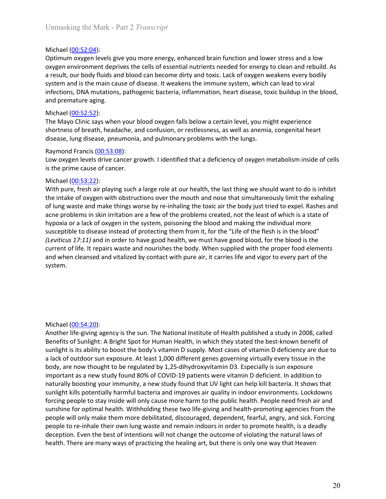Unmasking the Mark - Part 2 *Transcript*<br>Michael (<u>00:52:04</u>):<br>Optimum oxygen levels give you more energy, enhanced brain function and lower stress and a low<br>oxygen environment deprives the cells of essential nutrients nee Unmasking the Mark - Part 2 *Transcript*<br>Michael (<u>00:52:04</u>):<br>Optimum oxygen levels give you more energy, enhanced brain function and lower<br>oxygen environment deprives the cells of essential nutrients needed for energy to Unmasking the Mark - Part 2 *Transcript*<br>Optimum oxygen levels give you more energy, enhanced brain function and lower stress and a low<br>oxygen environment deprives the cells of essential nutrients needed for energy to clea Unmasking the Mark - Part 2 *Transcript*<br>
Michael (<u>00:52:04</u>):<br>
Optimum oxygen levels give you more energy, enhanced brain function and lower stress and a low<br>
oxygen environment deprives the cells of essential nutrients Unmasking the Mark - Part 2 *Transcript*<br> **Optimum oxygen levels give you more energy, enhanced brain function and lower stress and a low**<br> **oxygen environment deprives the cells of essential nutrients needed for energy to** Unmasking the Mark - Part 2 *Transcript*<br> **Optimum oxygen levels give you more energy, enhanced brain function and lower stress and a low**<br> **oxygen environment deprives the cells of essential nutrients needed for energy t** Unmasking the Mark - Part 2 *Transcript*<br>
Michael (<u>00:52:04</u>):<br>
Optimum oxygen levels give you more energy, enhanced brain function and lower stress and a low<br>
oxygen environment deprives the cells of essential nutrients Unmasking the Mark - Part 2 *Transcript*<br>
Michael (<u>00:52:04</u>):<br>
Optimum oxygen levels give you more energy, enhanced brain function and lower stress<br>
oxygen environment deprives the cells of essential nutrients needed for Unmasking the Mark - Part 2 *Transcript*<br>
Michael (<u>00:52:04</u>):<br>
Optimum oxygen levels give you more energy, enhanced brain function and lower<br>
oxygen environment deprives the cells of essential nutrients needed for energ Unmasking the Mark - Part 2 *Transcript*<br>
Michael (00:52:04):<br>
Optimum oxygen levels give you more energy, enhanced brain function and lower stress and a low<br>
oxygen environment depires the cells of essential nutrients nee Unmasking the Mark - Part 2 *Transcript*<br>Michael (<u>00:52:04</u>):<br>Optimum oxygen levels give you more energy, enhanced brain function and lower stress and a low<br>oxygen environment deprives the cells of essential nutrients nee Unmasking the Mark - Part 2 *Transcript*<br>
Michael (<u>00:52:04</u>):<br>
Optimum oxygen levels give you more energy, enhanced brain function and lower stress and a low<br>
oxygen environment deprives the cells of essential nutrients Unmasking the Mark - Part 2 *Transcript*<br>
Michael (<u>00:52:04</u>):<br>
Optimum oxygen eivers (sive you more energy, enhanced brain function and lower stress are<br>
oxygen environment deprives the cells of essential nutrients need Unmasking the Mark - Part 2 *Transcript*<br>
Optimium oxygen levels give you more energy, enhanced brain function and lower stress and a low<br>
oxygen environment deprives the cells of essential nutrients needed for energy to c Unmasking the Mark - Part 2 *Transcript*<br>
Michael <u>(00:52:04</u>):<br>
Optimium oxygen levels give you more energy, enhanced brain function and lower stress and a<br>
Oxygen environment deprives the cells of essential nutrients nee Unmasking the Mark - Part 2 *Transcript*<br>
Michael (<u>00:52:04</u>):<br>
Optimum oxygen levels give you more energy, enhanced brain function and lower<br>
oxygen environment deprives the cells of essential nutrients needed for energ

Michael ( $\underline{00.52:04}$ ):<br>Optimum oxygen levels give you more energy, enhanced brain function and lower stress and a low<br>oxygen environment deprives the cells of essential nutrients needed for energy to clean and rebuild Michael <u>(00:52:04)</u><br>Optimum oxygen levels give you more energy, enhanced brain function and lower stress and a low<br>oxygen weivomement deprives the cells of essential nutrients needed for energy to clean and rebuild. As<br>sy Michael (<u>00-53:04</u>):<br>
Michael (10.12:04):<br>
Michael (10.12:12:04):<br>
Optimum oxygen environment deprives the cells of essential nutrients needed for energy to clean and rebuild. As<br>
aresult, our body fluds and blood can bec Optimum oxygen levels dive up on the energy, enhanced brain function and lower strees and al low<br>oxygen environment deprives the cells of essential nutrients needed for energy to clean and rebuild. As<br>a result, our body fl oxygen environment deprives the cells of essential nutrients needed for energy to clean and rebuild. As<br>a result, our body fluids and blood can become dirty and toxic. Lack of oxygen weakens every bodily<br>system and is the a result, our body fluids and blood can become dirty and toxic. Lack of oxygen weakers tever borely bodily system and is the main cause of disease. It weakens the immune system, which can lead to viral<br>infections, DNA muta system and is the main cause of disease. It weakens the immune system, which can lead to viral<br>infections, DNA mutations, pathogenic bacteria, inflammation, heart disease, toxic buildup in the blood,<br>and premature aging.<br>M infections, DNA mutations, pathogenic bacteria, inflammation, heart disease, toxic buildup in the blood,<br>and premature aging.<br>The Mayo Clinic says when your blood oxygen falls below a certain level, you might experience<br>Th and premature aging.<br>The Mayo Clinic says when your blood oxygen falls below a certain level, you might experience<br>The Mayo Clinic says when your blood oxygen falls below a certain level, you might experience<br>shortness of system. is the prime cause of cancer.<br>
Michael ( $\underline{00:53:22}
With pure, fresh air playing such a large role at our health, the last thing we shoul  

Whit pure, fresh air playing such a large role at our health, the last simu$ Michael (<u>00:53:22):</u><br>With pure, fresh air playing such a large role at our health, the last thing we should want to do is inhibit<br>Whe intake of oxygen with obstructions over the mouth and nose that simultaneously limit th With pure, fresh air playing such a large role at our health, the last thing we should want to do is inhibit<br>the intiate of oxygen with obstructions over the mouth and nose that simultaneously limit the exhaling<br>of lung wa the interior of the interior of the model in the body is the model in the state of orange the model in the prichal institute the body in the the body in the schaing of lung waste and make things worse by re-inhaling the to

of ung waste and make things worse by re-inhaling the toxic air the body just tried to expel. Rashes and of outdoor sun sink in ritration are a lew of the problems created, not the least of wholch is a state of obyposia or acce problems in skin irritation are a few of the problems created, not the least of which is a state of<br>hypoxia or a lack of oxygen in the system, poisoning the blood and making the inclividual more<br>susceptible to disease important as a new study found 80% of COVID-19 patients were vitamin D deficient. In addition to discusse instead of protecting them from it, for the "Life of the flesh is in the boloo"<br>susceptible to discesse instead of p systeptible to disease instead of protecting them from it, for the "Life of the flesh is in the blood"<br>(Levitcus 27:21) and in order to have good elealth, we must have good blood, for the blood "<br>Cervictos" 27:21) and in o (Lewitcus 17:11) and in order to have good health, we must have good blood, for the blood is the leavel (Lewitcus 17:11) and in order to have good health, we must have good blood, for the blood is the harm of life. It repa forcing people to stay inside will only cause more than the public health, new yay inside when the people to celements and when cleansed and vitalized by contact with pure air, it carries life and vigor to every part of th sunshine for optimal health. Withholding these two life-giving and health promotion Event in the system.<br>System.<br>System.<br>Another life-giving agency is the sun. The National Institute of Health published a study in 2008, ca people will only make them more debilitated, discouraged, dependent, fearful, and sick. There are more detection. The National Institute of Health published a study in 2008, called Benefits of Sunlight is A Bright Spot for Michael (<u>00-54-20</u>):<br>Another life-giving agency is the sun. The National Institute of Health published a study in 2008, called<br>Benefits of Sunlight: A Bright Spot for Human Health, in which they stated the best-known bene Michael (<u>00:54:20</u>):<br>Another life-giving agency is the sun. The National Institute of Health published a study in 2008, called<br>Another life-giving agency is the sun. The National Institute of Health published a study in 2 Michael  $[Q0:54:20]$ :<br>Another life-giving agency is the sun. The National Institute of Health published a study in 2008, called<br>Benefits of Sunlight A Birght Spotfor Human Health, in which they stated the bast-known benef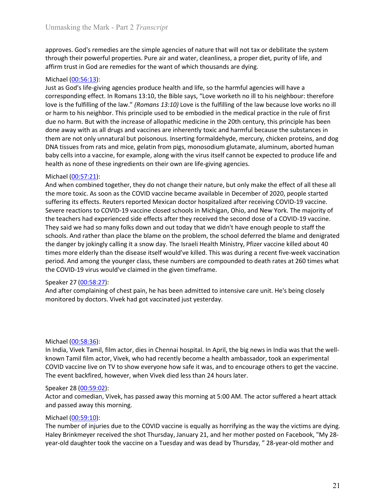Unmasking the Mark - Part 2 *Transcript*<br>approves. God's remedies are the simple agencies of nature that will not tax or debilitate the system<br>through their powerful properties. Pure air and water, cleanliness, a proper di Unmasking the Mark - Part 2 *Transcript*<br>approves. God's remedies are the simple agencies of nature that will not tax or debilitate the system<br>through their powerful properties. Pure air and water, cleanliness, a proper di Unmasking the Mark - Part 2 *Transcript*<br>approves. God's remedies are the simple agencies of nature that will not tax or debilitate the system<br>through their powerful properties. Pure air and water, cleanliness, a proper di

Unmasking the Mark - Part 2 *Transcript*<br>approves. God's remedies are the simple agencies of nature that will not tax or debilitate the system<br>through their powerful properties. Pure air and water, cleanliness, a proper di Unmasking the Mark - Part 2 *Transcript*<br>approves. God's remedies are the simple agencies of nature that will not tax or de<br>through their powerful properties. Pure air and water, cleanliness, a proper diet, p<br>affirm trust Unmasking the Mark - Part 2 *Transcript*<br>approves. God's remedies are the simple agencies of nature that will not tax or debilitate the system<br>through their powerful properties. Pure air and water, cleanliness, a proper di Unmasking the Mark - Part 2 *Transcript*<br>approves. God's remedies are the simple agencies of nature that will not tax or debilitate the system<br>through their powerful properties. Pure air and water, cleanliness, a proper di Unmasking the Mark - Part 2 *Transcript*<br>approves. God's remedies are the simple agencies of nature that will not tax or debilitate the system<br>affirm trust in God are remedies for the want of which thousands are dying.<br>Aff Unmasking the Mark - Part 2 *Transcript*<br>approves. God's remedies are the simple agencies of nature that will not tax or debilitate the system<br>aftrom trust in God are remedies for the want of which thousands are dying.<br>Aff Unmasking the Mark - Part 2 *Transcript*<br>approves. God's remedies are the simple agencies of nature that will not tax or debilitate the system<br>through their powerful properties. Pure air and water, cleanliness, a proper di Unmasking the Mark - Part 2 *Transcript*<br>approves. God's remedies are the simple agencies of nature that will not tax or debilitate the system<br>aftrom trust in God are remedies for the want of which thousands are dying.<br>di Unmasking the Mark - Part 2 *Transcript*<br>approves. God's remedies are the simple agencies of nature that will not tax or debilitate the system<br>through their powerful properties. Pure air and water, cleanliness, a proper di Unmasking the Mark - Part 2 *Transcript*<br>approves. God's remedies are the simple agencies of nature that will not tax or debilitate the system<br>driving their powerful properties. Pure air and water, cleanliness, a proper d Unmasking the Mark - Part 2 *Transcript*<br>approves. God's remedies are the simple agencies of nature that will not tax or debilitate the system<br>through their powerful properties, Pure air and water, cleanliness, a proper di Unmasking the Mark - Part 2 *Transcript*<br>approves. God's remedies are the simple agencies of nature that will not tax or debilitate the system<br>through their powerful properties. Pure air and water, cleanliness, a proper di Unmasking the Mark - Part 2 *Transcript*<br>
upproves. God's remedies are the simple agencies of nature that will not tax or de<br>
through their powerful properties. Pure air and water, cleanliness, a proper diet,<br>
affirm trus Unmasking the Mark - Part 2 *I rranscript*<br>approves. God's remedies are the simple agencies of nature that will not tax or debilitate the system<br>through their powerful properties. Pure air and water, cleanliness, a proper approves. God's remedies are the simple agencies of nature that will not tax or debilitate the system<br>through their powerful properties. Pure air and water, cleanliness, a proper diet, purity of life, and<br>affirm trust in G approves. God's remedies are the simple agencies of nature that will not tax or debilitate the system<br>diffuncture the powerful properties. Pure air and water, cleanliness, a proper diet, purity of life, and<br>diffunctural fi From the properties. Pure air and weter, cleanliness, a proper diet, purity of life, and<br>affirm trust in God are remedies for the want of which thousands are dying.<br>Michael (OD:56:13):<br>Michael (OD:56:13):<br>Michael (OD:56:13

film trust in God are remedies for the want of which thousands are dying.<br>
Michael (<u>00:56:13</u>):<br>
Michael (<u>00:56:13</u>):<br>
Michael (<u>00:56:13</u>):<br>
Ionce is the fulfilling of the law". "Romons 13:10, the Bible says, "Love work Michael (<u>00.57:31)</u><br>
Michael (<u>00.56:13)</u>:<br>
Just as God's life-giving agencies produce health and vife, so the harmful agencies will have a<br>
corresponding effect. In Romans 13:10), the Bible say, "Love we invertible point Michael (00556:13):<br>Michael (0056:13): Michael genotics produce health and life, so the harmful agencies will have a<br>corresponding effect. In Romans 13:10, the Bible says, "Love worketh no ill to his neighbour: therefore<br>l Just as God's life-giving agenteis produce health and life, so the harmful agencies will have a<br>borresponding effect. In Romans 13:10, the Bible say, "Cove worketh no ill to his neighbour: therefore<br>love is the fulfilling corresponding effect. In Romans 13:3.10, the Bible say, "Love worketh no ill to bis neighbour: therefore<br>towe is the fulfilling of the law." (Romans 13:30) Love is the fulfilling of the law because love works no ill<br>or lar love is the fulfilling of the lawy" *(Romons 13:10)* Love is the cliftling of the law because love works no ill<br>or harm to his neighbor. This principle used to be embodied in the medical practice in the rule of first<br>due n or harm to his meighbor. This principle used to be embodied in the medical practice in the rule of first principle has been down. But with the increase of allopabitic medicine in the 20th century, this principle has been d done away with as all drugs and vaccines are inherently toxic and harmful because them are not only unnatural but poisonous. Inserting formaldehyde, mercury, chicke DNA tissues from rats and mice, gelatin from pigs, monoso them are not only unnatural but poisonous. Inserting formaldehyde, mercury, chicken proteins, and dop DNA tissues from rats and mice, gelatin from pigs, mnoosodium glutamate, aluminum, aborted human baby cells into a vacci DMA tissues from rats and mice, gelatin from pigs, monosodium glutamate, aluminum, aborted human<br>DMA tissues from rats and mice, gelatin from pigs, monosodium glutamate, aluminum, aborted human<br>beaklth as none of these ing And when combined together, they do not change their nature, but only make the<br>
the more toxic. As soon as the COVID vaccine became available in December of 2C<br>
suffering its effects. Reuters reported Mexican doctor hospi the more toxic. As soon as the COVID vaccine became available in December of 2020, people started<br>suffering its effects. Reuters reported Mexican doctor hospitalized after receiving COVID-19 vaccine.<br>Severe reactions to CO suffering its effects. Reuters reported Mexican doctor hospitalized after receiving COVID-19 vaccine.<br>Severe reactions to COVID-19 vaccine dosed schools in Michigan, Ohio, and New York. The majority of<br>the teachers had exp Seexer earctions to COVID-19 vaccine closed schools in Michigan, Ohio, and New York. The majority of<br>the teachers had experienced side effects after they received the second dose of a COVID-19 vaccine.<br>They said we had so the teachers had experienced side effects after they received the second dose of a COVID-19 vaccine.<br>They said we had so many folks down and out today that we didn't have enough people to staff the<br>schools. And rather than schools. And rather than place the blame on the problem, the school deferred the blackhools. And rather than place the blame on the problem, the school deferred the blackhools. And rather than place the blame on the proble the danger by jokingly calling it a snow day. The Israell Health Ministry, Pfizer vaccine killed about 40<br>times more delerly than the discase itself would's killed. This was during a recent five-week vaccination<br>period. An

times more elderly than the disease itself would've killed. This was during a recent five-week variation.<br>
Repeated And among the younger class, these numbers are compounded to death rates at 260 time<br>
Speaker 27 (00:58:27 period. And among the younger class, these numbers are compounded to death rathe COVID-19 virus would've claimed in the given timeframe.<br>Speaker 27 (<u>00:58:327):</u><br>And after complaining of chest pain, he has been admitted t the COVID-19 virus would've claimed in the given timeframe.<br>Speaker 27 (<u>00-58-27</u>):<br>And after complaining of chest pain, he has been admitted to intensive care unit. He's being closely<br>Morbael (0<u>0-58-36</u>):<br>Michael (00-58 Speaker 27 (<u>00:58:27)</u>:<br>And after complaining of chest pain, he has been admitted to intensive care unit. He's being closely<br>monitored by doctors. Vivek had got vaccinated just yesterday.<br>In India, Vivek Tamil, film actor entiant of the complaining of chest pain, he has been admitted to intensive care unit. He's being closely<br>monitored by doctors. Vivek had got vaccinated just yesterday.<br>
Michael (<u>00:58:36</u>):<br>
In India, Vivek Tamil, film a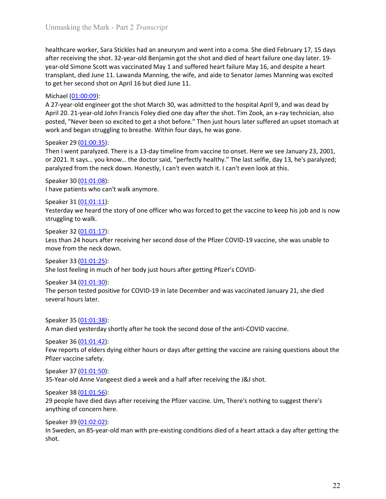Unmasking the Mark - Part 2 *Transcript*<br>healthcare worker, Sara Stickles had an aneurysm and went into a coma. She died February 17, 15 days<br>after receiving the shot. 32-year-old Benjamin got the shot and died of heart fa Unmasking the Mark - Part 2 *Transcript*<br>healthcare worker, Sara Stickles had an aneurysm and went into a coma. She died February 17, 15 days<br>after receiving the shot. 32-year-old Benjamin got the shot and died of heart fa Unmasking the Mark - Part 2 *Transcript*<br>healthcare worker, Sara Stickles had an aneurysm and went into a coma. She died February 17, 15 days<br>after receiving the shot. 32-year-old Benjamin got the shot and died of heart fa Unmasking the Mark - Part 2 *Transcript*<br>healthcare worker, Sara Stickles had an aneurysm and went into a coma. She died February 17, 15 days<br>after receiving the shot. 32-year-old Benjamin got the shot and died of heart fa Unmasking the Mark - Part 2 *Transcript*<br>healthcare worker, Sara Stickles had an aneurysm and went into a coma. She died February 17, 15 days<br>gare-old Simone Scott was vaccinated Mary 1 and suffered heart failure May 16, a Unmasking the Mark - Part 2 *Transcript*<br>healthcare worker, Sara Stickles had an aneurysm and went into a coma. She died February 17, 15 days<br>after receiving the shot. 32-year-old Benjamin got the shot and died of heart fa Unmasking the Mark - Part 2 *Transcript*<br>
healthcare worker, Sara Stickles had an aneurysm and went into a coma. She died<br>
after receiving the shot. 32-year-old Benjamin got the shot and died of heart failu<br>
year-old Simon Unmasking the Mark - Part 2 *Transcript*<br>healthcare worker, Sara Stickles had an aneurysm and went into a coma. She died February 17, 15 days<br>after receiving the shot. 32-year-old Benjamin got the shot and died of heart fa Unmasking the Mark - Part 2 *Transcript*<br>healthcare worker, Sara Stickles had an aneurysm and went into a coma. She died February 17, 15 days<br>after receiving the shot. 32-year-old Benjamin got the shot and died of heart fa Unmasking the Mark - Part 2 *Transcript*<br>healthcare worker, Sara Stickles had an aneurysm and went into a coma. She died February 17, 15 days<br>year-old Simons Ecott was vaccinated May 1 and suffrered heart failure May 16, a Unmasking the Mark - Part 2 *Transcript*<br>healthcare worker, Sara Stickles had an aneurysm and went into a coma. She died February 17, 15 days<br>after receiving the shot. 32-year-old Benjamin got the shot and ded of heart fai Unmasking the Mark - Part 2 *Transcript*<br>
healthcare worker, Sara Stickles had an aneurysm and went into a coma. She died Fel<br>
after receiving the shot. 32-year-old Benjamin got the shot and died of heart failure vear-old Unmasking the Mark - Part 2 *Transcript*<br>healthcare worker, Sara Stickles had an aneurysm and went into a coma. She died February 17, 15 days<br>after receiving the shot. 32-year-old Benjamin got the shot and died of heart fa Unmasking the Mark - Part 2 *Transcript*<br>healthcare worker, Sara Stickles had an aneurysm and went into a coma. She died February 17, 15 days<br>after receiving the shot. 32-year-old Benjamin got the shot and died of heart fa Unmasking the Mark - Part 2 *Transcript*<br>healthcare worker, Sara Stickles had an aneurysm and went into a coma. She died February 17, 15 days<br>after receiving the shot. 32-year-old Benjamin got the shot and died of heart fa Unmasking the Mark - Part 2 *Transcript*<br>
healthcare worker, Sara Stickles had an aneurysm and went into a coma. She died Fel<br>
after receiving the shot. 32-year-old Benjamin got the shot and died of heart failure cyear-old healthcare worker, Sara Stickles had an aneurysm and went into a coma. She died February 17, 15 days<br>after receiving the shot. 32-year-old Benjamin got the shot and died of heart failure one day later. 19-<br>gear-old Simone healthcare worker, Sara Stickles had an aneurysm and went into a coma. She died Felter receiving the shot. 32-year-old Benjamin got the shot and died of heart failure cyear-old Simone Scott was vaccinated May 1 and suffree and the storial store and the story and the story of one officer who was forced to the storial the story of one officer who was concided May 1 and suffered heart failure one day later. 19-<br>exacold Simmes Scott was vaccinat

exar-old Simone Scott was vaccinated May 1 and suffered heart failure May 16, and de<br>vear-old Simone Scott was vaccinated May 1 and suffered heart failure May 16, and de<br>transplant, died June 11. Lawanda Manning, the wife, transplant, died June 11. Lawanda Manning, the wife, and aide to Senator James Mar<br>
to get her second shot on April 16 but died June 11.<br>
Michael (01:00:00):<br>
Alcorate (01:00:00):<br>
Alcorate (01:00:00):<br>
Alcorated Conding F to get her second shot on April 16 but died June 11.<br>Michael (<u>01:00:09)</u>:<br>Michael (<u>01:00:09)</u>:<br>An 27-year-old engineer got the shot March 30, was admitted to the hospital April 9, and was dead by<br>April 20. 21-year-old Jo Michael <u>(01:00:09)</u>:<br>
A 27-year-old engineer got the shot March 30, was admitted to the hospital April 9, and was d<br>
April 20. 21-year-old pion Francis Foley died one day after the shot. Tim Zook, an x-ray technic<br>
appril A 27-year-old engineer got the shot March 30, was admitted to the hospital April 9, a<br>posted, "Never been so excited to get a shot before." Then just houst later since, an x-ra<br>posted, "Never been so excited to get a shot

**EVALUATION**<br> **EVALUATION**<br> **EVALUATION**<br> **EVALUATION**<br> **EVALUATION**<br> **EVALUATION:** Then I went paralyzed. There is a 13-day timeline from vaccine to onset. Here we see<br> **Speaker 29 (<u>01:00:35)</u>:**<br> **Then I went paralyzed.** Speaker 29 (<u>01:00:35)</u>:<br>Then I went paralyzed. There is a 13-day timeline from vaccine to onset. Here we see Ja<br>Then I went paralyzed. There is a 13-day timeline from vaccine to onset. Here we see Ja<br>or 2021. It says... y

April 20. 21-year-old John Francis Foley died one day affer the shot. Tim Zook, an x-ray technician, also<br>posted, "Never been so excited to get a shot before." Then just hours later suffered an upset stomach at<br>work and be The person tested positive for COVID-19 in late December and was vaccinated January 21, 2001,<br>Then I went paralyzed. There is a 13-day timeline from vaccine to onset. Here we see January 23, 2001,<br>Then I went paralyzed. Th paralyzed from the neck down. Honestly, I can't even watch it. I can't even look at thi<br>Speaker 30 (<u>01:01:08</u>):<br>Speaker 30 (<u>01:01:08</u>):<br>Thave patients who can't walk anymore.<br>Speaker 31 (<u>01:01:13)</u>:<br>New teetrday we hear Speaker 30 <u>(01:01:03)</u>:<br>
Speaker 30 <u>(01:01:08)</u>:<br>
Speaker 30 <u>(01:01:08)</u>:<br>
Speaker 31 (<u>01:01:11)</u>:<br>
Speaker 32 (<u>01:01:11)</u>:<br>
Speaker 32 (<u>01:01:17</u>):<br>
Struggling to walk.<br>
Speaker 32 (<u>01:01:17</u>):<br>
Speaker 34 (<u>01:01:</u> Flawe patients who can't walk anymore.<br>
Speaker 31 (0<u>1:01:11</u>):<br>
Yesterday we heard the story of one officer who was forced to get the vaccine to kee<br>
struggling to walk.<br>
Speaker 32 (01:01:17):<br>
Speaker 33 (01:01:12):<br>
S Freeker 31 (<u>01-01-141)</u>:<br>Speaker 31 (<u>01-01-11)</u>:<br>Yesterday we heard the story of one officer who was forced to get the vaccine to keep his job and is now<br>struggling to walk.<br>Less than 24 hours after receiving her second Speaker 31 <u>(01:01:11</u>):<br>
Speaker 31 (<u>01:01:11</u>):<br>
Streetday we heard the story of one officer who was forced to get the vaccine to keep h<br>
Streetday we heard the story of one officer who was forced to get the vaccine to

Example 10:01:01:32):<br>
Speaker 32 (01:01:17):<br>
Speaker 32 (01:01:17):<br>
Less than 24 hours after receiving her second dose of the Pfizer COVID-19 vaccine, sh<br>
speaker 33 (01:01:25):<br>
Speaker 38 (01:01:25):<br>
She lost feeling <sup>27</sup> Speaker 32 <u>(01-01-35</u>):<br>Speaker 32 <u>(01-01-17)</u>:<br>Less than 24 hours after receiving her second dose of the Pfizer COVID-19 vaccine, she was unable to<br>move from the neck down.<br>She lost feeling in much of her body just Fess than 24 hours after receiving her second dose of the Pfizer COVID-19 vaccine, sh<br>
Eless than 24 hours after receiving her second dose of the Pfizer COVID-19 vaccine, sh<br>
Speaker 33 (<u>01:01:25</u>):<br>
She lost feeling in m move from the neck down.<br>
Speaker 33 (<u>01:01:25</u>):<br>
She lost freeling in much of her body just hours after getting Pfizer's COVID-<br>
Speaker 34 (0<u>1:01:30</u>):<br>
The person tested positive for COVID-19 in late December and was Speaker 33 (<u>01:01:25</u>):<br>
She lost feeling in much of her body just hours after getting Pfizer's COVID-<br>
Speaker 34 (<u>01:01:30)</u>:<br>
Speaker 34 (<u>01:01:30)</u>:<br>
The person tested positive for COVID-19 in late December and was Free lost feeling in much of her body just hours after getting Pfizer's COVID-<br>Speaker 34 (0<u>1:01:30</u>):<br>Speaker 34 (0<u>1:01:30</u>):<br>The person tested positive for COVID-19 in late December and was vaccinated Januar<br>several ho Speaker 34 (<u>01-01-30</u>):<br>Speaker 34 (<u>01-01-30</u>):<br>The person tested positive for COVID-19 in late December and was vaccinated January 21, she died<br>several hours later.<br>Speaker 35 (<u>01-01-32)</u>:<br>Speaker 36 (<u>01-01-32)</u>:<br>Spea

shot.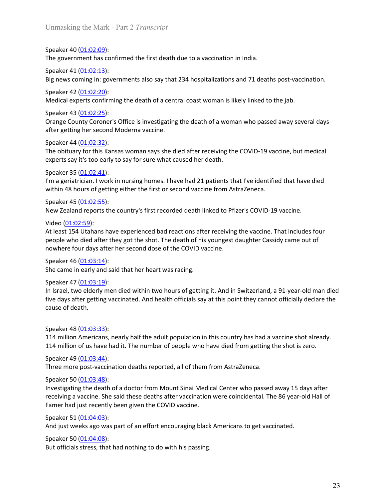Unmasking the Mark - Part 2 *Transcript*<br>Speaker 40 (01:02:09):<br>The government has confirmed the first death due to a vaccination in India.

Unmasking the Mark - Part 2 *Transcript*<br>Speaker 40 (<u>01:02:09</u>):<br>The government has confirmed the first death due to a vaccination in India.<br>Speaker 41 (<u>01:02:13</u>):<br>Big news coming in: governments also say that 234 hospi Unmasking the Mark - Part 2 *Transcript*<br>Speaker 40 (<u>01:02:09)</u>:<br>The government has confirmed the first death due to a vaccination in India.<br>Speaker 41 (<u>01:02:13</u>):<br>Big news coming in: governments also say that 234 hospi

Unmasking the Mark - Part 2 *Transcript*<br>Speaker 40 (<u>01:02:09)</u>:<br>The government has confirmed the first death due to a vaccination in India.<br>Speaker 41 (<u>01:02:13):</u><br>Big news coming in: governments also say that 234 hospi

Unmasking the Mark - Part 2 *Transcript*<br>Speaker 40 (<u>01:02:09)</u>:<br>The government has confirmed the first death due to a vaccination in India.<br>Speaker 41 <u>(01:02:13</u>):<br>Big news coming in: governments also say that 234 hospi Unmasking the Mark - Part 2 *Transcript*<br>Speaker 40 (<u>01:02:09</u>):<br>The government has confirmed the first death due to a vaccination in India.<br>Speaker 41 <u>(01:02:13</u>):<br>Big news coming in: governments also say that 234 hospi Unmasking the Mark - Part 2 *Transcript*<br>Speaker 40 (<u>01:02:09)</u>:<br>The government has confirmed the first death due to a vaccination in India.<br>Speaker 41 (<u>01:02:13)</u>:<br>Big news coming in: governments also say that 234 hospi Unmasking the Mark - Part 2 *Transcript*<br>
Speaker 40 (<u>01:02:09</u>):<br>
The government has confirmed the first death due to a vaccination in India.<br>
Speaker 41 (<u>01:02:13</u>):<br>
Big news coming in: governments also say that 234

Unmasking the Mark - Part 2 *Transcript*<br>Speaker 40 <u>(01:02:09):</u><br>The government has confirmed the first death due to a vaccination in India.<br>Speaker 41 <u>(01:02:13</u>):<br>Speaker 42 <u>(01:02:20)</u>:<br>Medical experts confirming the Unmasking the Mark - Part 2 *Transcript*<br>Speaker 40 <u>(01:02:09)</u>:<br>The government has confirmed the first death due to a vaccination in India.<br>Speaker 41 <u>(01:02:13)</u>:<br>Big news coming in: governments also say that 234 hospi Unmasking the Mark - Part 2 *Transcript*<br>
Speaker 40 (0<u>1:02:09)</u>:<br>
The government has confirmed the first death due to a vaccination in India.<br>
Speaker 41 (0<u>1:02:13):</u><br>
Big news coming in: governments also say that 234 Unmasking the Mark - Part 2 *Transcript*<br>Speaker 40 (<u>01:02:09)</u>:<br>Speaker 41 (<u>01:02:13)</u>:<br>Speaker 41 (01:<u>02:23)</u>:<br>Big news coming in: governments also say that 234 hospitalizations and 71 deaths post-vaccination.<br>Speaker Unmasking the Mark - Part 2 *Transcript*<br>Speaker 40 <u>(01:02:09)</u>:<br>Speaker 41 <u>(01:02:13)</u>:<br>Speaker 41 <u>(01:02:13)</u>:<br>Speaker 41 <u>(01:02:13)</u>:<br>Big news coming in: governments also say that 234 hospitalizations and 71 deaths Unmasking the Mark - Part 2 *Transcript*<br>
Speaker 40 (<u>01:02:09</u>):<br>
Speaker 40 (<u>01:02:09</u>):<br>
The government has confirmed the first death due to a vaccination in India.<br>
Speaker 41 (<u>01:02:13)</u>:<br>
Big news coming in: gove Unmasking the Mark - Part 2 *Transcript*<br>Speaker 40 <u>(01:02:09</u>):<br>The government has confirmed the first death due to a vaccination in India.<br>Speaker 41 <u>(01:02:13</u>):<br>Big news coming in: governments also say that 234 hospi Speaker 40 <u>(01:02:09)</u>:<br>The government has confirmed the first death due to a vaccination in India.<br>Speaker 41 <u>(01:02:13)</u>:<br>Big news coming In: governments also say that 234 hospitalizations and 71 deaths post-vaccinatio

Speaker 40 (<u>01:02:09)</u>:<br>
Speaker 40 (<u>01:02:09</u>):<br>
The government has confirmed the first death due to a vaccination in India.<br>
Speaker 41 (<u>01:02:13</u>):<br>
Big news coming in: governments also say that 234 hospitalizations The government has confirmed the first death due to a vaccination in India.<br>Speaker 41 (<u>01:02:13</u>):<br>Big news coming in: governments also say that 234 hospitalizations and 71 deaths post-vaccination.<br>Speaker 42 (01:02:20): Speaker 41 (<u>01:02:13</u>):<br>
Big news coming in: governments also say that 234 hospitalizations and 71 deat<br>
Speaker 42 (<u>01:02:20</u>):<br>
Medical experts confirming the death of a central coast woman is likely linked to<br>
Speake **Example 15 Utahans have experienced bad reactions and 71 deaths post-vaccination.**<br>Speaker 42 (<u>01:02:20</u>):<br>Medical experts confirming the death of a central coast woman is likely linked to the jab.<br>Orange County Coroner Speaker 42 <u>(01:02:55</u>):<br>Speaker 42 <u>(01:02:20</u>):<br>Medical experts confirming the death of a central coast woman is likely linked to the jab.<br>Speaker 43 <u>(01:02:25</u>):<br>Speaker 44 (<u>01:02:25</u>):<br>Speaker 44 (<u>01:02:32</u>):<br>The ob Speaker 43 <u>(01.02:52</u>):<br>Medical experts confirming the death of a central coast woman is likely linked to the jab.<br>Speaker 43 <u>(01.02:25</u>):<br>Orange County Coroner's Office is investigating the death of a woman who passed a Speaker 43 (0<u>1:02:35)</u>:<br>
Speaker 43 (0<u>1:02:25</u>):<br>
Speaker 43 (0<u>1:02:25</u>):<br>
Orange County Coroner's Office is investigating the death of a woman who passed ave<br>
after getting her second Moderna vaccine.<br>
Speaker 44 (0<u>1</u>

Speaker 43 <u>(01:02:-3</u>):<br>
Speaker 43 (<u>01:02:-35</u>):<br>
Speaker 44 (<u>01:02:-35</u>):<br>
Orange County Coroner's Office is investigating the death of a woman who passed away several days<br>
after getting her second Moderna vaccine.<br> after getting her second Moderna vaccine.<br>
Speaker 44 (01:02:32):<br>
The obituary for this Kansas woman says she died after receiving the COVID-19 vaccine<br>
Speaker 44 (01:02:32):<br>
The obituary for this Kansas woman says she Speaker 44 <u>(01:03:13</u>):<br>
The obituary for this Kansas woman says she died after receiving the COVID-19 vaccine, but medical<br>
experser as (01:02:41):<br>
Speaker 44 (01:02:41):<br>
I'm a geriatrician. I vork in nursing homes. I Speaker 44 (<u>OLO3:33</u>):<br>
Speaker 48 (O<u>LO</u>3:23):<br>
Speaker 18 (Daloy for this Kansas woman says she died after receiving the COVID-19 vaccine, but medical<br>
experts say it's too early to say for sure what caused her death.<br> The obituary for this Kansas woman says she died after receiving the COVID-19 vacunents say it's too early to say for sure what caused her death.<br>
Speaker 35 (<u>01:02:41)</u>:<br>
Speaker 35 (01:02:41):<br>
I'm a geriatrician. I wo Speaker 35 (0<u>1:02:41)</u>:<br>
Sheaker 35 (0<u>1:02:41</u>):<br>
I'm a geriatrician I work in nursing homes. I have had 21 patients that I've identified the within 48 hours of getting either the first or second vaccine from AstraZeneca I'm a geriatrican. I work in nursing homes. I have had 21 patients that I've identified that have died<br>speaker 45 (<u>01:02:55</u>):<br>Speaker 45 (<u>01:02:55</u>):<br>New Zealand reports the country's first recorded death linked to Pfiz within 48 hours of getting either the first or second vaccine from AstraZeneca.<br>Speaker 45 (<u>01:02:55</u>):<br>New Zealand reports the country's first recorded death linked to Pfizer's COVID-19 vaccine.<br>Video (0<u>1:02:59</u>):<br>At le Speaker 45 (0<u>1:02:55)</u>:<br>
New Zealand reports the country's first recorded death linked to Pfizer's COVID-19 va<br>
Video (01:02:59):<br>
Video (01:02:59):<br>
At least 154 Utahans have experienced bad reactions after receiving th New Zealand reports the country's first recorded death linked to Pfizer's COVID-19 vaccine.<br>Video (<u>01:02:59</u>):<br>Video (01:<u>02:59</u>):<br>At least 154 Utahans have experienced bad reactions after receiving the vaccine. That incl Video <u>(01:02:59):</u><br>Video <u>(01:02:59):</u><br>At least 154 Utahans have experienced bad reactions after receiving the vaccine. Tha<br>experienced after they got the shot. The death of his youngest daughter Cassidy<br>nowhere four day At least 154 Ultahans have experienced bad reactions after receiving the vaccine. That includes four<br>people who died after they got the shot. The death of his youngest daughter Cassidy came out of<br>nowhere four days after people who died after they got the shot. The death of his youngest daughter Cassidy came out of<br>nowhere four days after her second dose of the COVID vaccine.<br>Speaker 46 <u>(01:03:14)</u>:<br>She came in early and said that her hea nowhere four days after her second dose of the COVID vaccine.<br>Sheceme in early and said that her heart was racing.<br>Sheceme in early and said that her heart was racing.<br>In Israel, two elderly men died within two hours of ge Speaker 46 (0<u>1:03:14</u>):<br>
She came in early and said that her heart was racing.<br>
She came in early and said that her heart was racing.<br>
Sheaker 47 (0<u>1:03:14</u>):<br>
In Israel, two elderly men died within two hours of getting She came in early and said that her heart was racing.<br>Speaker 47 (<u>OL-03</u>:19):<br>In Israel, two elderly men died within two hours of getting it. And in Switzerland, a 91-year-old man died<br>five days after getting vaccinated. Speaker 47 (0<u>1:03:19</u>):<br>
Since day, two elderly men died within two hours of getting it. And in Switzerland, a 91<br>
In teracl, two elderly mendied within two hours of getting it. And in Switzerland, a 91<br>
five days after g

In Israel, two elderly men died within two hours of getting it. And in Switzerland, a 91-year-old man died<br>nive days after getting vaccinated. And health officials say at this point they cannot officially declare the<br>cause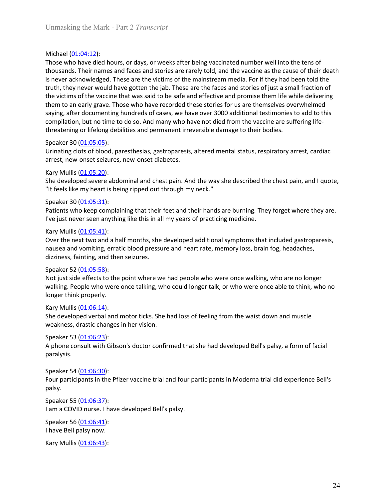Unmasking the Mark - Part 2 *Transcript*<br>Michael (<u>01:04:12</u>):<br>Those who have died hours, or days, or weeks after being vaccinated number well into the tens of Unmasking the Mark - Part 2 *Transcript*<br>Michael (01:04:12):<br>Those who have died hours, or days, or weeks after being vaccinated number well<br>thousands. Their names and faces and stories are rarely told, and the vaccine as Unmasking the Mark - Part 2 *Transcript*<br>Those who have died hours, or days, or weeks after being vaccinated number well into the tens of<br>thousands. Their names and faces and stories are rarely told, and the vaccine as the Unmasking the Mark - Part 2 *Transcript*<br>Michael (<u>01:04:12</u>):<br>Those who have died hours, or days, or weeks after being vaccinated number well into the tens of<br>thousands. Their names and faces and stories are rarely told, Unmasking the Mark - Part 2 *Transcript*<br>Michael (<u>01:04:12</u>):<br>Those who have died hours, or days, or weeks after being vaccinated number well into the tens of<br>thousands. Their names and faces and stories are rarely told, Unmasking the Mark - Part 2 *Transcript*<br>Those who have died hours, or days, or weeks after being vaccinated number well into the tens of<br>thousands. Their names and faces and stories are rarely told, and the vaccine as the Unmasking the Mark - Part 2 *Transcript*<br>
Michael (<u>01:04:12)</u>:<br>
Those who have died hours, or days, or weeks after being vaccinated number well into the tens of<br>
thousands. Their names and faces and stories are rarely to Unmasking the Mark - Part 2 *Transcript*<br>
Those who have died hours, or days, or weeks after being vaccinated number well into the tens of<br>
thousands. Their names and faces and stories are rarely told, and the vaccine as Unmasking the Mark - Part 2 *Transcript*<br>
Michael (0<u>1:04:12</u>):<br>
Those who have died hours, or days, or weeks after being vaccinated number well into the tens of<br>
thousands. Their names and faces and stories are rarely to Unmasking the Mark - Part 2 *Transcript*<br>Michael (<u>01:04:12</u>):<br>Those who have diel hours, or days, or weeks after being vaccinated number well into the tens of<br>thousands. Their names and faces and stories are rarely told, Unmasking the Mark - Part 2 *Transcript*<br>Thichael <u>(01:04:12)</u>:<br>Those who have died hours, or days, or weeks after being vaccinated number well into the tens of<br>Thousands. Their names and faces and stories are rarely told, Unmasking the Mark - Part 2 *Transcript*<br>
Wichael (01:04:12):<br>
Those who have died hours, or days, or weeks after being vaccinated number well int<br>
thousands. Their names and faces and stories are rarely told, and the vac Unmasking the Mark - Part 2 *Transcript*<br>
Those who have died hours, or days, or weeks after being vaccinated number well into the tens of<br>
thousands. Their names and faces and stories are rarely told, and the vacine as th Unmasking the Mark - Part 2 *Transcript*<br>
Michael (01:04:12):<br>
Those who have died hours, or days, or weeks after being vaccinated number well into the tens of<br>
thousands. Their names and faces and stories are rarely told, Unmasking the Mark - Part 2 *Transcript*<br>
Michael (0<u>1:04:12</u>):<br>
Michael (01:04:12):<br>
Those who have died hours, or days, or weeks after being vaccinated number well in<br>
thousands. Their names and faces and stories are ra Unmasking the Mark - Part 2 *Transcript*<br>
Those who have died hours, or days, or weeks after being vaccinated number well into the tens of<br>
thousands. Their names and faces and stories are rarely told, and the vaccine as t Michael (0<u>1-04-12</u>):<br>Those who have died hours, or days, or weeks after being vaccinated number well into the tens of<br>thousands. Their names and faces and stories are rarely told, and the vaccine as the cause of their dea Michael ( $0\underline{1.04:12}$ ):<br>Those who have died hours, or days, or weeks after being vaccinated number well in<br>thousands. Their names and faces and stories are rarely told, and the vaccine as the<br>tis never acknowledged. T Michael (01-04-02)<br>
Michael (01-04-12)<br>
Michael (01-04-12)<br>
Those who have died hours, or days, or weeks after being vaccinated number well into the tens of<br>
thousands. Their names and faces and stories are reach y told, a Those who have died hours, or days, or weeks after being vaccinated number well into the tens of<br>thousands. Their names and faces and stories are rarely told, and the vacuite as the cause of their death<br>is never acknowledg is never acknowledged. These are the victims of the mainstream media. For if they has<br>is never acknowledged. These are the victims of the mainstream media. For if they has<br>truth, they never would have gotten the jab. Thes truth, they never would have gotten the jab. These are the faces and stories of just a small fraction of<br>the wictins of the vaccine that was said to be safe and effective and promise them life while delivering<br>the number o the victims of the waccine that was said to be safe and effective and promise them life while delivering<br>the victims of the waccine that was said to be safe and effective and promise them life while delivering<br>them to an e them to an early grave. Those who have recorded these stories for us are themselves overwhelmed<br>tay and the documenting hundreds of cases, we have voew over 3000 additional testimonies to add to this<br>compilation, but no ti

saying, after documenting hundreds of cases, we have over 3000 additional testimon<br>compilation, but not time to do so. And many who have not died from the vaccine are<br>theatening or lifelong debilities and permanent irrever Speaker 30 (<u>01:05:05</u>):<br>Urinating clots of blood, paresthesias, gastroparesis, altered mental status, respiratory<br>arrest, new-onset seizures, new-onset diabetes.<br>Kary Mullis (<u>01:05:20</u>):<br>She developed severe abdominal an Urinating clots of blood, paresthesias, gastroparesis, altered mental status, respiraton<br>arrest, new-onset seizures, new-onset diabetes.<br>Kary Mullis (<u>01:05:20</u>):<br>She developed severe abdominal and chest pain. And the way She developed severe abdominal and chest pain. And the way she described the ches<br>"It feels like my heart is being ripped out through my neck."<br>Speaker 30 (<u>01:05:31</u>):<br>Patients who keep complaining that their feet and the The given the properties and promotion of the Pfizer vaccine trial and four participants in Moderna trial did palsy.<br>
Speaker 54 (0<u>1:05:41</u>):<br>
Over the next two and a half months, she developed additional symptoms that i

compilation, but no time to do so. And many who have not died from the vaccine are suffering life-<br>Speaker 30 (<u>01.05.05</u>):<br>Speaker 30 (<u>01.05.05</u>):<br>Urinating clots of blood, paresthesias, gastroparesis, altered mental sta threatening or lifelong debilities and permanent irreversible damage to their bodies.<br>Speaker 20 <u>(01.05:05):</u><br>Urinating clots of blood, paresthesias, gastroparesis, altered mental status, respiratory arrest, cardiac<br>arres arrest, new-onset seizures, new-onset diabetes.<br>She developed severe abdominal and chest pain. And the way she described the chest pain, and I quote,<br>"It feels like my heart is being ripped out through my neck."<br>The feels Kary Mullis <u>(01:05:20)</u>:<br>
Kary Mullis <u>(01:05:20</u>):<br>
She developed severe abdominal and chest pain. And the way she described the chest pain, and I quote,<br>
"It feels like my heart is being ripped out through my neck."<br>
Sp "It feels like my heart is being ripped out through my neck."<br>Speaker 20 <u>(01.05</u>:31):<br>Patients who keep complaining that their feet and their hands are burning. They forget where they are.<br>I've just never seen anything li **Example 10.**<br> **Example 10.1** Constraints in the Pfizer vaccine trial and distinguished in the pfizer of the next two and a half months, she developed additional symptoms that included gastroparesis, or<br>
dizziness, an and nausea and vomiting, erratic blood pressure and heart rate, memory loss, brain fog, b<br>dizziness, fainting, and then seizures.<br>Speaker 52 (<u>01:05:58)</u>:<br>Speaker 52 (<u>01:05:58)</u>:<br>Not just side effects to the point where we ha dizziness, fainting, and then seizures and enoughly wearbooking waters of dizziness, fainting, and then seizures.<br>Speaker 52 (0<u>1:05:58)</u>:<br>Not just side effects to the point where we had people who were once walking, who a Speaker 52 (<u>01:05:58</u>):<br>Not just side effects to the point where we had people who were once walking, who walking. People who were once able<br>walking. People who were once talking, who could longer talk, or who were once a **Process that the process of the point where we had people who were once walking, who are n<br>Wot just side effects to the point where we had people who were once valking, People who were once talking, who could longer talk,** 

paralysis.

palsy. walking. People who were once talking, who could longer talk, or who were once able<br>longer think properly.<br>Kary Mullis (01:06:14):<br>She developed verbal and motor ticks. She had loss of feeling from the waist down ar<br>weakne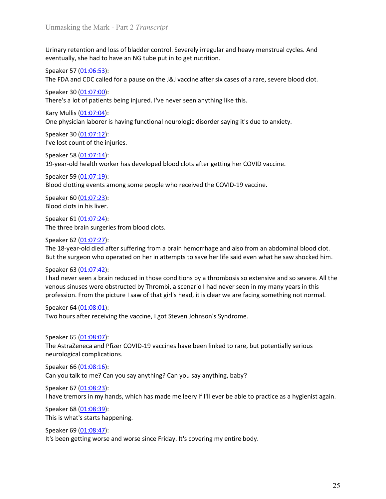Unmasking the Mark - Part 2 *Transcript*<br>Urinary retention and loss of bladder control. Severely irregular and heavy menstrual cycles. And<br>eventually, she had to have an NG tube put in to get nutrition. Unmasking the Mark - Part 2 *Transcript*<br>Urinary retention and loss of bladder control. Severely irregular and heavy menstrual cycles. And<br>eventually, she had to have an NG tube put in to get nutrition.<br>Speaker 57 (<u>01:06:</u> Unmasking the Mark - Part 2 *Transcript*<br>Urinary retention and loss of bladder control. Severely irregular and heavy menstrual cycles. And<br>eventually, she had to have an NG tube put in to get nutrition.<br>Speaker 57 <u>(01:06:</u> Unmasking the Mark - Part 2 *Transcript*<br>Urinary retention and loss of bladder control. Severely irregular and heavy menstrual<br>eventually, she had to have an NG tube put in to get nutrition.<br>Speaker 57 (<u>01:06:53):</u><br>The FD Urinary retention and loss of bladder control. Severely irregular and heavy menstrual cycles. And<br>eventually, she had to have an NG tube put in to get nutrition.<br>Speaker 57 <u>(01:06:53</u>):<br>The FDA and CDC called for a pause Unmasking the Mark - Part 2 *Transcript*<br>Urinary retention and loss of bladder control. Severely irregular and heavy menstrual<br>eventually, she had to have an NG tube put in to get nutrition.<br>Speaker 57 <u>(01:06:53</u>):<br>The FD Unmasking the Mark - Part 2 *Transcript*<br>Urinary retention and loss of bladder control. Severely irregular and heavy menstrual cycles. And<br>eventually, she had to have an NG tube put in to get nutrition.<br>Speaker 57 (<u>01:06:</u> Unmasking the Mark - Part 2 *Transcript*<br>Urinary retention and loss of bladder control. Severely irregular and heavy menstrual<br>eventually, she had to have an NG tube put in to get nutrition.<br>Speaker 57 <u>(01:06:53)</u>:<br>The FD Unmasking the Mark - Part 2 *Transcript*<br>Urinary retention and loss of bladder control. Severely irregular and heavy menstrual cycles. And<br>eventually, she had to have an NG tube put in to get nutrition.<br>Speaker 57 (<u>01:05:</u> Unmasking the Mark - Part 2 *Transcript*<br>
Urinary retention and loss of bladder control. Severely irregular and heavy menstrual<br>
eventually, she had to have an NG tube put in to get nutrition.<br>
Speaker 57 (<u>01:06:53</u>):<br>
T Unmasking the Mark - Part 2 *Transcript*<br>Urinary retention and loss of bladder control. Severely irregular and heavy menstrual cycles. A<br>speaker 57 (<u>01:06:53</u>):<br>Speaker 30 (<u>01:07:53)</u>:<br>The FDA and CDC called for a pause Unmasking the Mark - Part 2 *Transcript*<br>Urinary retention and loss of bladder control. Severely irregular and heavy menstrual<br>eventually, she had to have an NG tube put in to get nutrition.<br>Speaker 57 (<u>01:06:53</u>):<br>The F Unmasking the Mark - Part 2 *Transcript*<br>Urinary retention and loss of bladder control. Severely irregular and heavy menstrual cycles. And<br>eventually, she had to have an NG tube put in to get nutrition.<br>Speaker 57 (<u>01:06:</u> Unmasking the Mark - Part 2 *Transcript*<br>
Urinary retention and loss of bladder control. Severely irregular and heavy menstrual<br>
eventually, she had to have an NG tube put in to get nutrition.<br>
Speaker 57 (<u>01:06:53</u>):<br>
T Unmasking the Mark - Part 2 *I ranseripi*<br>Urinary retention and loss of bladder control. Severely irregular and heavy menstrual cycles. And<br>eventually, she had to have an NG tube put in to get nutrition.<br>Speaker 37 (<u>01:05</u> Urinary retention and loss of bladder control. Severely irregular and heavy menstrual<br>eventually, she had to have an NG tube put in to get nutrition.<br>Speaker 57 (<u>01:06:53</u>):<br>The FDA and CDC called for a pause on the J&J v

Urinary retention and loss of bladder control. Severely irregular and heavy menstrual cycle<br>eventually, she had to have an NG tube put in to get nutrition.<br>Speaker 57 (<u>01:06:53</u>):<br>The FDA and CDC called for a pause on the

Speaker 57 (0<u>1:06:53</u>):<br>
Speaker 57 (0<u>1:06:53</u>):<br>
The FDA and CDC called for a pause on the J&J vaccine after six cases of a rare, severe<br>
Speaker 30 (0<u>1:07:00</u>):<br>
There's a lot of patients being injured. I've never see Speaker 30 (01:07:00):<br>
Speaker 30 (01:07:00):<br>
Sheaker 30 (01:07:00):<br>
Sheaker 30 (01:07:00):<br>
Sheaker 30 (01:07:04):<br>
One physician laborer is having functional neurologic disorder saying it's due to anxies<br>
Speaker 58

Speaker 57 (<u>01:07:53)</u>:<br>
Speaker 37 (<u>01:05:53)</u>:<br>
Speaker 30 (<u>01:07:00</u>):<br>
The FDA and CDC called for a pause on the J&J vaccine after six cases of a rare, severe blood clot.<br>
Speaker 30 (<u>01:07:04)</u>:<br>
There's a lot of

Speaker 30 <u>(01.07.22)</u>:<br>
Speaker 38 (0<u>1.07.00</u>):<br>
There's a lot of patients being injured. I've never seen anything like this.<br>
Kary Mullis <u>(01.07.12)</u>:<br>
Speaker 58 (<u>01.07.12)</u>:<br>
Speaker 58 (0<u>1.07.12)</u>:<br>
19-year-old There's a lot of patients being injured. I've never seen anything like this.<br>
Kary Mullis (<u>01.07:04)</u>:<br>
Speaker 30 (<u>01.07:14)</u>:<br>
Speaker 30 (<u>01.07:14)</u>:<br>
Speaker 58 (<u>01.07:14)</u>:<br>
Speaker 58 (0<u>1.07:14)</u>:<br>
Blood clottin Kary Mullis (0<u>1:07:04</u>):<br>
Speaker 30 (0<u>1:07:04)</u><br>
Speaker 30 (01:07:12):<br>
Speaker 30 (01:07:12):<br>
Speaker 53 (01:07:12):<br>
Speaker 58 (01:07:12):<br>
I've lost count of the injuries.<br>
Speaker 58 (01:07:14):<br>
19-year-old hea One physician laborer is having functional neurologic disorder saying it's due to anxiety.<br>Speaker 50 (<u>01-07:12</u>):<br>I've lost count of the injuries.<br>Speaker 58 (<u>01-07:19</u>):<br>By exacker fol <u>(01-07:19</u>):<br>Blood clotting even Speaker 30 <u>(01:07:12)</u>:<br>
Yve lost count of the injuries.<br>
Speaker 58 <u>(01:07:14)</u>:<br>
Speaker 58 (0<u>1:07:14)</u>:<br>
Speaker 60 (<u>01:07:23</u>):<br>
Blood clotting events among some people who received the COVID-19 vaccine.<br>
Speaker 6 The picture of the injuries.<br>
Speaker 58 (<u>01:07:14</u>):<br>
19-year-old health worker has developed blood clots after getting her COVID vaccine.<br>
Speaker 69 (01:07:19):<br>
Blood clotting events among some people who received the Speaker 58 (<u>01:07:14</u>):<br>19-year-old health worker has developed blood clots after getting her COVID vaccine<br>Speaker 59 (<u>01:07:19</u>):<br>Speaker 60 (<u>01:07:29</u>):<br>Blood clotting events among some people who received the COVID-19-year-old health worker has developed blood clots after getting her COVID vaccine.<br>Speaker 59 (01:07:19):<br>Speaker 60 (01:07:23):<br>Blood clotting events among some people who received the COVID-19 vaccine.<br>Speaker 61 (01:0 Speaker 60 <u>(01-07-23</u>):<br>
Blood clots in his liver.<br>
Speaker 60 (<u>01-07-23</u>):<br>
Blood clots in his liver.<br>
Speaker 62 (01-07-23):<br>
The three brain surgeron blood clots.<br>
Speaker 62 (01-07-22):<br>
The 18-year-old died after su Speaker 61 <u>(01.07:24</u>):<br>
Speaker 62 (<u>01.07:24</u>):<br>
The three brain surgeries from blood clots.<br>
The 18-year-old died after suffering from a brain hemorrhage and also from an abdominal blood clot.<br>
The 18-year-old died aft Speaker 63 <u>(01.072-7</u>):<br>
Speaker 63 (<u>01.07-27</u>):<br>
Speaker 63 (<u>01.07-2</u>):<br>
The 18-year-old died after suffering from a brain hemorrhage and also from an abdominal blood clot.<br>
But the surgeon who operated on her in attem

Blood clotting events among some people who received the COVID-19 vaccine.<br>
Speaker 60 (0<u>1:07:23)</u>:<br>
Blood clotting events among some people who received the COVID-19 vaccine.<br>
Speaker 61 (01:07:23):<br>
Sheaker 61 (01:07:22 Speaker 60 (<u>01:07:23</u>):<br>
Shocd clots in his liver.<br>
Shocd clots in his liver.<br>
Shocker 61 (<u>01:07:24</u>):<br>
The three brain surgeries from blood clots.<br>
Speaker 62 (<u>01:07:27</u>):<br>
The 18-year-old died after suffering from a Speaker 61 (0<u>1:07:24)</u>:<br>
Speaker 61 (0<u>1:07:24</u>):<br>
Speaker 62 (<u>01:07:24</u>):<br>
The three brain surgeries from blood clots.<br>
Speaker 62 (<u>01:07:27</u>):<br>
The 18-year-old died after suffering from a brain hemorrhage and also fr Speaker 62 (01:08:27):<br>
Speaker 62 (01:07:27):<br>
The 18-year-old died after suffering from a brain hemorrhage and also from an abdor<br>
But the surgeon who operated on her in attempts to save her life said even what he s<br>
Sp But the surgeon who operated on her in attempts to save her life said even what he Speaker 63 (01:07:42):<br>
I had never seen a brain reduced in those conditions by a thrombosis so extensive an<br>
I had never seen a brain redu Speaker 63 (01:08:16):<br>
Speaker 63 (01:07:42):<br>
In had never seen a brain reduced in those conditions by a thrombosis so extensive and so seve<br>
venous sinuses were obstructed by Thrombi, a scenario I had never seen in my m Fraction and the present in those conditions by a thrombosis so extensive an Indian ever seen a brain reduced in those conditions by a thrombosis so extensive an enous sinuses were obstructed by Thrombi, a scenario I had n venous sinuses were obstructed by Thrombi, a scenario I had never seen in my many years in this<br>venous sinuses were obstructed by Thrombi, a scenario I had never seen in my many years in this<br>speaker 64 (01:08:01):<br>Two hou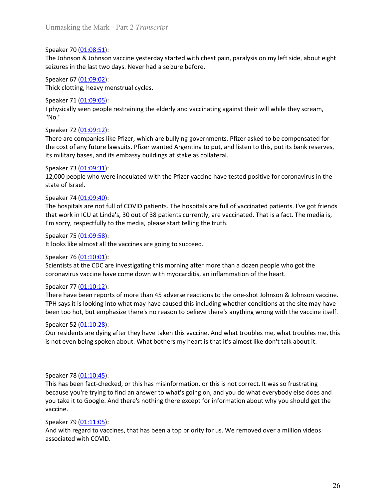Unmasking the Mark - Part 2 *Transcript*<br>Speaker 70 (<u>01:08:51</u>):<br>The Johnson & Johnson vaccine yesterday started with chest pain, paralysis on my left side, about eight<br>seizures in the last two days. Never had a seizure b Unmasking the Mark - Part 2 *Transcript*<br>Speaker 70 (<u>01:08:51</u>):<br>The Johnson & Johnson vaccine yesterday started with chest pain, paralysis on my lef<br>seizures in the last two days. Never had a seizure before.<br>Speaker 67 ( Unmasking the Mark - Part 2 *Transcript*<br>Speaker 70 (<u>01:08:51</u>):<br>The Johnson & Johnson vaccine yesterday started with chest pain, paralysis on my left side, about eight<br>seizures in the last two days. Never had a seizure b Unmasking the Mark - Part 2 *Transcript*<br>Speaker 70 (<u>01:08:51)</u>:<br>The Johnson & Johnson vaccine yesterday started with chest pain, paralysis on my left side, about eight<br>seizures in the last two days. Never had a seizure b Unmasking the Mark - Part 2 *Transcript*<br>Speaker 70 (<u>01:08:51</u>):<br>The Johnson & Johnson vaccine yesterday started with chest pain, paralysis on my left side, about eight<br>seizures in the last two days. Never had a seizure b

Unmasking the Mark - Part 2 *Transcript*<br>Speaker 70 (<u>01:08:51</u>):<br>The Johnson & Johnson vaccine yesterday started with chest pain, paralysis on my lef<br>seizures in the last two days. Never had a seizure before.<br>Speaker 67 <u></u> Unmasking the Mark - Part 2 *Transcript*<br>
Speaker 70 (<u>01:08:51</u>):<br>
The Johnson & Johnson vaccine yesterday started with chest pain, paralysis on my lef<br>
seizures in the last two days. Never had a seizure before.<br>
Speaker "No."

Unmasking the Mark - Part 2 *Transcript*<br>Speaker 70 (<u>01:08:53</u>):<br>The Johnson & Johnson vaccine yesterday started with chest pain, paralysis on my left side, about eight<br>seizures in the last two days. Never had a seizure b Unmasking the Mark - Part 2 *Transcript*<br>
Speaker 70 (<u>01:08:51)</u>:<br>
The Johnson & Johnson vaccine yesterday started with chest pain, paralysis on my lef<br>
seizures in the last two days. Never had a seizure before.<br>
Speaker Unmasking the Mark - Part 2 *Transeript*<br>Speaker 70 <u>(01:08:51)</u>:<br>The Johnson & Johnson vaccine yesterday started with chest pain, paralysis on my left side, about eight<br>seizures in the last two days. Never had a seizure b Unmasking the Mark - Part 2 *Transcript*<br>Speaker 70 <u>(01.08:51)</u>:<br>The cohnson & Johnson vaccine yesterday started with chest pain, paralysis on my left side, about eight<br>seizures in the last two days. Never had a seizure b Unmasking the Mark - Part 2 *Transcript*<br>Speaker 70 (<u>01-08:51</u>):<br>The Johnson & Johnson vaccine yesterday started with chest pain, paralysis on my left side, about eight<br>seizures in the last two days. Never had a seizure b Unmasking the Mark - Part 2 *Transcript*<br>
Speaker 70 (0<u>1:08:51)</u>:<br>
Speaker 70 (0<u>1:08:51)</u>:<br>
She Johnson & Johnson vaccine yesterday started with chest pain, paralysis on my lef<br>
Speaker 67 (0<u>1:09:02)</u>:<br>
Speaker 67 (0<u>1</u> Unmasking the Mark - Part 2 *Transcript*<br>
Speaker 70 <u>(01:08:51</u>):<br>
The Johnson & Johnson vaccine yesterday started with chest pain, paralysis on my left side, about eight<br>
seizures in the last two days. Never had a seizur

Unmasking the Mark - Part 2 *I ranscript*<br>
Speaker 70 (<u>01:08:51)</u>:<br>
The Johnson & Johnson vaccine yesterday started with chest pain, paralysis on my<br>
seizures in the last two days. Never had a seizure before.<br>
Speaker 67 Speaker 70 (<u>01:08:51)</u>:<br>The Johnson & Johnson vaccine yesterday started with chest pain, paralysis on my lef<br>seizures in the last two days. Never had a seizure before.<br>Speaker 67 <u>(01:09:02)</u>:<br>Speaker 71 <u>(01:09:05)</u>:<br>Spe Speaker 73 (<u>01.09-31</u>):<br>The *lohnson Q.0008.51):*<br>The *lohnson vaccine* yesterday started with chest pain, paralysis on my left side, about eight<br>seizures in the last two days. Never had a seizure before.<br>Thick clotting, The Johnson & Johnson vaccine yesterday started with chest pain, paralysis on my left side, about eight<br>Speaker 67 (<u>01:09:02</u>):<br>Speaker 67 (<u>01:09:02</u>):<br>Thick clotting, heavy menstrual cycles.<br>Speaker 71 (<u>01:09:05</u>):<br>Th seizures in the last two days. Never had a seizure before.<br>Speaker 73 (<u>OL109:03)</u>:<br>Thick clotting, heavy menstrual cycles.<br>Thick clotting, heavy menstrual cycles.<br>Jephysically seen people restraining the elderly and vacci Speaker 67 (0<u>1:09:02)</u>:<br>
Speaker 71 (0<u>1:09:02</u>):<br>
Speaker 71 (01:09:02):<br>
Speaker 72 (01:09:05):<br>
Speaker 72 (01:09:12):<br>
I physically seen people restraining the elderly and vaccinating against their will while<br>
"No."<br> Thick clotting, heavy menstrual cycles.<br>
Speaker 71 <u>(01.09.05)</u>:<br>
Speaker 71 <u>(01.09.05)</u>:<br>
Dyniscally seen people restraining the elderly and vaccinating against their will while they scream,<br>
"No."<br>
There are companies Speaker 71 (0<u>1:09:05)</u>:<br>
Speaker 71 (0<u>1:09:05)</u>:<br>
I physically seen people restraining the elderly and vaccinating against their will while<br>
I "No."<br>
Speaker 72 (<u>01:09:12</u>):<br>
There are companies like Pfizer, which are I physically seen people restraining the elderly and vaccinating against their will while they scream,<br>
Speaker 72 (<u>01-09-12)</u>:<br>
There are companies like Pfizer, which are bullying governments. Pfizer asked to be compensa Speaker 72 (<u>01:09:12):</u><br>
Sheaker 72 (<u>01:09:12</u>):<br>
There are companies like Pfizer, which are bullying governments. Pfizer asked to be c<br>
the cost of any future lawsuits. Pfizer wanted Argentina to put, and listen to thi Speaker 73 (<u>01:09:31)</u>:<br>
Speaker 73 (<u>01:09:31)</u>:<br>
Speaker 73 (<u>01:09:40)</u>:<br>
State of Israel.<br>
Speaker 74 (<u>01:09:40)</u>:<br>
Speaker 74 (<u>01:09:40)</u>:<br>
The hospitals are not full of COVID patients. The hospitals are full of v

"No."<br>
Speaker 72 (<u>01-09-12</u>):<br>
Speaker 72 (<u>01-09-12</u>):<br>
Speaker 72 (<u>01-09-12</u>):<br>
There are companies like Pfizer wanted Argentina to put, and listen to this, put its bank reserves,<br>
tis military basss, and its embassy There are companies like Pfizer, which are bullying governments. Pfizer asked to be compensated for<br>the cost of any future lawsuits. Pfizer wanted Argentina to put, and listen to this, put its bank reserves,<br>its military b the cost of any future lawsuits. Pfizer wanted Argentina to put, and listen to this, put its bank reserves,<br>
its military bases, and its embassy buildings at stake as collateral.<br>
12,000 people who were inoculated with the its military bases, and its embassy buildings at stake as collateral.<br>Speaker 73 (<u>OL.09-31):</u><br>21,000 people who were inoculated with the Pfizer vaccine have tested positive for coronavirus in the<br>state of Israel.<br>22,000 p 12,000 people who were inoculated with the Pfizer vaccine have tested positive for coronavirus in the<br>Speaker 74 (<u>01:09:40)</u>:<br>Speaker 74 (<u>01:09:40</u>):<br>The hospitals are not full of COVID patients. The hospitals are full o state of Israel.<br>Speaker 74 (<u>01-09-40</u>):<br>The hospitals are not full of COVID patients. The hospitals are full of vaccinated patients. I've got friends<br>that work in ICU at Linda's, 30 out of 38 patients currently, are vacc

I'm sorry, respectfully to the media, please start telling the truth.<br>
Speaker 75 (01:09:58):<br>
It looks like almost all the vaccines are going to succeed.<br>
Speaker 76 (01:10:01):<br>
Speaker 76 (01:10:01):<br>
Speaker 76 (01:10 Speaker 75 ( $\underline{01.10.40.59.59.}$ ):<br>
Speaker 75 ( $\underline{01.10.09.59.59.}}$ ):<br>
It looks like almost all the vaccines are going to succeed.<br>
Speaker 77 ( $\underline{01.10.01.0}.}$ ):<br>
Coronavirus vaccine have come down with myocarditi Speaker 75 <u>(01:00:45)</u>:<br>
Speaker 75 (<u>01:10:01)</u><br>
Speaker 75 (<u>01:10:01)</u>:<br>
Scientists at the CDC are investigating this morning after more than a dozen people who got the<br>
Scientists at the CDC are investigating this mo It looks like almost all the vaccines are going to succeed.<br>Sciencits at the CDC 10:10.01):<br>Sciencits at the CDC are investigating this morning after more than a dozen people who got the<br>Sciencits at the CDC are investigat vaccine. Scientists at the CDC are investigating this morning after more than a dozen people w<br>coronavirus vaccine have come down with myocarditis, an inflammation of the heart<br>Speaker 77 (<u>01:10:12</u>):<br>There have been reports of mo coronavirus vaccine have come down with myocarditis, an inflammation of the heart.<br>Speaker 77 (01:10:12):<br>There have been reports of more than 45 adverse reactions to the one-shot Johnson & Johnson vaccine.<br>TPH says it is Speaker 77 (0<u>1:10:12</u>):<br>There have been reports of more than 45 adverse reactions to the one-shot Johnson & Jo<br>TPH says it is looking into what may have caused this including whether conditions at the<br>Peen too hot, but em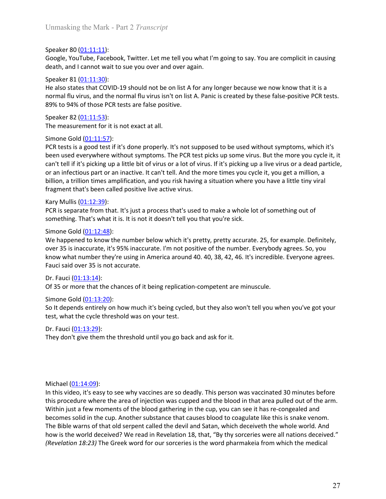Unmasking the Mark - Part 2 *Transcript*<br>Speaker 80 (01:11:11):<br>Google, YouTube, Facebook, Twitter. Let me tell you what I'm going to say. You are complicit in causing<br>death, and I cannot wait to sue you over and over agai Unmasking the Mark - Part 2 *Transcript*<br>
Speaker 80 (01:11:11):<br>
Google, YouTube, Facebook, Twitter. Let me tell you what I'm going to say. You are consider<br>
death, and I cannot wait to sue you over and over again.<br>
Speak

Unmasking the Mark - Part 2 *Transcript*<br>Speaker 80 (<u>01:11:11)</u>:<br>Google, YouTube, Facebook, Twitter. Let me tell you what I'm going to say. You are complicit in causing<br>death, and I cannot wait to sue you over and over ag Unmasking the Mark - Part 2 *Transcript*<br>Speaker 80 <u>(01:11:11)</u>:<br>Google, YouTube, Facebook, Twitter. Let me tell you what I'm going to say. You are complicit in causing<br>death, and I cannot wait to sue you over and over ag Unmasking the Mark - Part 2 *Transcript*<br>
Speaker 80 (<u>01:11:11)</u>:<br>
Google, YouTube, Facebook, Twitter. Let me tell you what I'm going to say. You are co<br>
death, and I cannot wait to sue you over and over again.<br>
Speaker 8 Unmasking the Mark - Part 2 *Transcript*<br>Speaker 80 (0<u>1:11:11)</u>:<br>Google, YouTube, Facebook, Twitter. Let me tell you what I'm going to say. You are complicit in causing<br>Apeaker 81 (01:11:30):<br>Speaker 81 (01:11:30):<br>He als Unmasking the Mark - Part 2 *Transcript*<br>Speaker 80 (<u>01:11:11)</u>:<br>Google, YouTube, Facebook, Twitter. Let me tell you what I'm going to say. You are complicit in causing<br>death, and I cannot wait to sue you over and over ag Unmasking the Mark - Part 2 *Transcript*<br>Speaker 80 (<u>01:11:11</u>):<br>Google, YouTube, Facebook, Twitter. Let me tell you what I'm going to say. You are complicit in causing<br>death, and I cannot wait to sue you over and over ag Unmasking the Mark - Part 2 *Transcript*<br>
Speaker 80 (<u>01:11:11)</u>:<br>
Google, YouTube, Facebook, Twitter. Let me tell you what I'm going to say. You are co<br>
death, and I cannot wait to sue you over and over again.<br>
Speaker

Unmasking the Mark - Part 2 *Transcript*<br>Speaker 80 (<u>01:11:11)</u>:<br>Soogle, YouTube, Facebook, Twitter. Let me tell you what I'm going to say. You are complicit in causing<br>death, and I cannot wait to sue you over and over ag Unmasking the Mark - Part 2 *Transcript*<br>Speaker 80 (01:11:11):<br>Google, YouTube, Facebook, Twitter. Let me tell you what I'm going to say. You are cor<br>Google, YouTube, Facebook, Twitter. Let me tell you what I'm going to s Unmasking the Mark - Part 2 *Transcript*<br>Speaker 80 (01:11:11):<br>Google, YouTube, Facebook, Twitter. Let me tell you what I'm going to say. You are complicit in causing<br>death, and I cannot wait to sue you over and over agai Unmasking the Mark - Part 2 *Transcript*<br>Speaker 80 (<u>01-11-11)</u>:<br>Google, YouTube, Facebook, Twitter. Let me tell you what I'm going to say. You are complicit in causing<br>death, and I cannot wait to sue you over and over ag Unmasking the Mark - Part 2 *Transcript*<br>Speaker 80 (<u>01:11:11)</u>:<br>Google, YouTube, Fatebook, Twitter. Let me tell you what I'm going to say. You are complicit in causing<br>death, and I cannot wait to sue you over and over ag Unmasking the Mark - Part 2 *Transcript*<br>
Speaker 80 (<u>01-11:11)</u>:<br>
Google, YouTube, Facebook, Twitter. Let me tell you what I'm going to say. You are complicit in causing<br>
death, and I cannot wait to sue you over and over Unmasking the Mark - Part 2 *Transcript*<br>Speaker 80 (<u>01:11:11)</u>:<br>Google, YouTube, Facebook, Twitter. Let me tell you what I'm going to say. You are complicit in causing<br>death, and I cannot wait to sue you over and over ag Speaker 80 (<u>01:11:11)</u>:<br>Google, YouTube, Facebook, Twitter. Let me tell you what I'm going to say. You are complicit in causing<br>Goedje, YouTube, Facebook, Twitter. Let me tell you what I'm going to say. You are complicit Speaker 80 (<u>01:11:11)</u>:<br>
Soogle, YouTube, Facebook, Twitter. Let me tell you what I'm going to say. You are correctly, and I cannot wait to sue you over and over again.<br>
Speaker 81 (<u>01:11:30)</u>:<br>
Speaker 81 (<u>01:11:30)</u>:<br> Foogle, YouTube, Facebook, Twitter. Let me tell you what I'm going to say. You are complicit in causing<br>
Sopake R1 (01:11:30):<br>
Speaker R1 (01:11:30):<br>
He also states that COVID-19 should not be on list A for any longer be East and I cannot wait to see you over and over again.<br>
Speaker 81 (<u>01:11:30</u>):<br>
Speaker 81 (0<u>1:11:30</u>):<br>
He also states that COVID-19 should not be on list A for any longer because we now know that it is a<br>
normal flu v Speaker 81 (<u>01:11:30</u>):<br>
He also states that COVID-19 should not be on list A for any longer because we now kn<br>
normal flu virus, and the normal flu virus isn't on list A. Panic is created by these false-p<br>
normal flu vir Fre also states that COVID-19 should not be on list A for any longer because we now know that it is a<br>normal flu virus, and the normal flu virus isn't on list A. Panic is created by these false-positive PCR tests.<br>Sp9x6 to normal flu virus, and the normal flu virus isn't on list A. Panic is created by these false-positive PCR tests.<br>89% to 94% of those PCR tests are false positive.<br>1996-aker 28 (01:11:53):<br>The measurement for it is not exact 89% to 94% of those PCR tests are false positive.<br>
Speaker 82 (D1:11:53):<br>
The measurement for it is not exact at all.<br>
Simone God (01:11:57):<br>
Simone God (01:11:57):<br>
Simone God (01:11:57):<br>
PCR tests is a good test if it Speaker 82 (<u>01:11:53</u>):<br>
Speaker 82 (<u>01:11:53</u>):<br>
The measurement for it is not exact at all.<br>
Simone Gold (<u>01:11:53</u>):<br>
PCR tests is a good test if it's done properly. It's not supposed to be used without symptoms, whi The measurement for it is not exact at all.<br>
Simone Gold (0<u>1:11:57</u>):<br>
PCR tests is a good test if it's done properly. It's not supposed to be used without S<br>
been used everywhere without symptoms. The PCR test picks up Simone Gold (<u>01:11:57)</u>:<br>
DCR tests is a good test if it's done properly. It's not supposed to be used without symptoms, which it's<br>
been used everywhere without symptoms. The PCR test picks up some virus. But the more yo PCR tests is a good test if it's done properly. It's not supposed to be used without symptom used everywhere without symptoms. The PCR test picks up some virus. But the rran't tell if it's picking up a little it is the it been used everywhere without symptoms. The PCR test picks up some virus. But the more you cycle it, it can't tell if it's picking up a little by divinus or al to forivus. Thit's picking wais little throw is or a declapatit can't tell if it's picking up a little bit of virus or a lot of virus. If it's picking up a live virus or a dead particle,<br>or an infectious part or an inactive. It can't tell. And the more times you cycle it, you get a mil

or an infectious part or an inactive. It can't tell. And the more times you cycle it, yo<br>billion, a trillion times amplification, and you risk having a situation where you have<br>fragment that's been called positive live act billion, a trillion times amplification, and you risk having a situation where you have a little tiny viral<br>Kragment that's been called positive live active virus.<br>Kary Mullis (<u>01:12:39</u>):<br>PCR is separate from that. It's

Simone Gold (<u>01:12:48</u>):<br>We happened to know the number below which it's pretty, pretty accurate. 25, for<br>Now 35 is inaccurate, it's 95% inaccurate. I'm not positive of the number. Everyboor<br>Arow what number they're usin We happened to know the number below which it's pretty, pretty accurate. 25, for example. Definitely,<br>over 35 is inaccurate, it's 95% inaccurate. I'm not positive of the number. Everybody agrees. So, you<br>how what number th over 35 is inaccurate, it's 95% inaccurate. I'm not positive of the number. Everybody agrees. So, you<br>cover 35 is inaccurate, it's 95% inaccurate. I'm not positive of the number. Everybody agrees. So, you<br>Fault sidl over 3 know what number they're using in America around 40. 40, 38, 42, 46. It's incredible. Everyone agrees.<br>Facult sidd over 35 is not accurate.<br>Dr. Facult (01:13:14):<br>Of 35 or more that the chances of it being replication-comp Fauci said over 35 is not accurate.<br>
Dr. Fauci (0<u>1:13:14):</u><br>
Dr. Fauci (0<u>1:13:14):</u><br>
Solit depends entirely on how much it's being cycled, but they also won't tell you when you've got your<br>
simone God (<u>01:13:20</u>):<br>
So I The Bible warns of the bind of the prediction-competent are minuscule.<br>
Dr. Fauci (<u>01:13:14)</u>:<br>
Dr. Fauci (<u>01:13:14)</u>:<br>
So It depends entirely on how much it's being cycled, but they also won't tell you when you've got Dr. Fauci <u>(01:13:44)</u><br>Of 35 or more that the chances of it being replication-competent are minuscule.<br>Simone Gold (<u>01:13:20</u>):<br>So It depends entirely on how much it's being cycled, but they also won't tell you when you'v Of 35 or more that the chances of it being replication-competent are minuscule.<br>
Sincone Gold (<u>20:13:20</u>):<br>
Sinco Edopedds entirely on how much it's being cycled, but they also won't tell you when you've got your<br>
test, w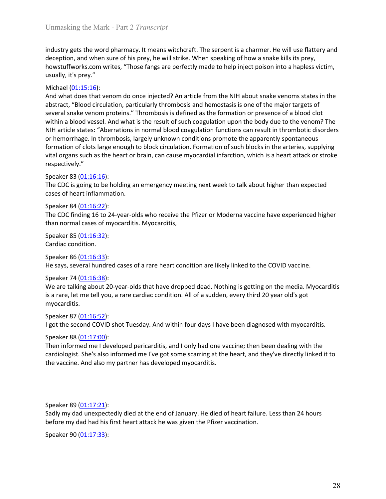Unmasking the Mark - Part 2 *Transcript*<br>
industry gets the word pharmacy. It means witchcraft. The serpent is a charmer. He will use flattery and<br>
deception, and when sure of his prey, he will strike. When speaking of how Unmasking the Mark - Part 2 *Transcript*<br>industry gets the word pharmacy. It means witchcraft. The serpent is a charmer. He will use flattery and<br>deception, and when sure of his prey, he will strike. When speaking of how a Unmasking the Mark - Part 2 *Transcript*<br>industry gets the word pharmacy. It means witchcraft. The serpent is a charmer. He will use flattery and<br>deception, and when sure of his prey, he will strike. When speaking of how a Unmasking the Mark - Part 2 *Transcript*<br>industry gets the word pharmacy. It means witchcraft. The serpent is a charmer. He will use flattery and<br>deception, and when sure of his prey, he will strike. When speaking of how a Unmasking the Mark - Part 2 *Transcript*<br>
industry gets the word pharmacy. It means witchcraft. The serpent is a charmer. He v<br>
deception, and when sure of his prey, he will strike. When speaking of how a snake ki<br>
howstuf

Unmasking the Mark - Part 2 *Transcript*<br>
industry gets the word pharmacy. It means witchcraft. The serpent is a charmer. H<br>
deception, and when sure of his prey, he will strike. When speaking of how a snak<br>
howstuffworks. Unmasking the Mark - Part 2 *Transcript*<br>
industry gets the word pharmacy. It means witchcraft. The serpent is a charmer. He will use flattery and<br>
deception, and when sure of his prey, he will strike. When speaking of how Unmasking the Mark - Part 2 *Transcript*<br>industry gets the word pharmacy. It means witchcraft. The serpent is a charmer. He will use flattery and<br>deception, and when sure of his prey, he will strike. When speaking of how a Unmasking the Mark - Part 2 *Transcript*<br>industry gets the word pharmacy. It means witchcraft. The serpent is a charmer. He will use flattery and<br>deception, and when sure of his prey, he will strike. When speaking of how a Unmasking the Mark - Part 2 *Transcript*<br>industry gets the word pharmacy. It means witchcraft. The serpent is a charmer. He will use flattery and<br>deception, and when sure of his prey, he will strike. When speaking of how a Unmasking the Mark - Part 2 *Transcript*<br>industry gets the word pharmacy. It means witchcraft. The serpent is a charmer. He will use flattery and<br>deception, and when sure of his prey, he will strike. When speaking of how a Unmasking the Mark - Part 2 *Transeript*<br>industry gets the word pharmacy. It means witchcraft. The serpent is a charmer. He will use flattery and<br>deception, and when sure of his prey, he will strike. When speaking of how a Unmasking the Mark - Part 2 *Transcript*<br>industry gets the word pharmacy. It means witchcraft. The serpent is a charmer. He will use flattery and<br>deception, and when sure of his prey, he will strike. When speaking of how a Unmasking the Mark - Part 2 *Transcript*<br>industry gets the word pharmacy. It means witchcraft. The serpent is a charmer. He will use flattery and<br>deception, and when sure of his prev, he will strike. When speaking of how a respectively." Unmasking the Mark - Part 2 *Transcript*<br>
industry gets the word pharmacy. It means witchcraft. The serpent is a charmer. He veception, and when sure of his prey, he will strike. When speaking of how a snake ki<br>
howstuffw Unmasking the Mark - Part 2. *Pranscript*<br>
industry gets the word pharmacy. It means witchcraft. The serpent is a charmer. He will use flattery and<br>
deception, and when sure of his prey, he will strike. When speaking of ho industry gets the word pharmacy. It means witchcraft. The serpent is a charmer. He will<br>deception, and when sure of his prey, he will strike. When speaking of how a snake kills<br>howstuffworks.com writes, "Those fangs are pe industry gets the word pharmacy. It means witchcraft. The serpent is a charmer. He vecepton, and when sure of his prey, he will strike. When speaking of how a snake ki<br>decepton, and when sure of his prey, he will strike. W deception, and when sure of his prey, he will strike. When speaking of how a snake kills its prey,<br>howstuffworks.com writes, "Those fangs are perfectly made to help inject poison into a hapless victim,<br>usually, it's prey." howstuffworks.com writes, "Those fangs are perfectly made to help inject poison into a hapless victim,<br>usually, it's prey."<br>Michael (0<u>1:15:16</u>):<br>And what does that venom do once injected? An article from the NIH about sna **Example 10.115:16:16**<br>
Michael (0<u>1:15:16</u>):<br>
Michael (01:15:16):<br>
And what does that venom do once injected? An article from the NIH about snake we<br>
abstract, "Blood circulation, particularly thrombosis and hemostasis i Michael ( $\underline{01:15:16}$ ):<br>
And what does that venom do once injected? An article from the NIH about snake<br>
Abstract, "Blood circulation, particularly thrombosis and hemostasis is one of the<br>
several snake venom proteins. abstract, "Blood circulation, particularly thrombosis and hemostasis is one of the maje<br>abstract, "Blood circulation, particularly thrombosis and hemostasis is one of the maje<br>several snake venom proteins." Thrombosis is d several snake venom proteins." Thrombosis is defined as the formation or presence of a blood clot whe within a blood vessel. And what is the result of such coagulation upon the body due to the venom? The within a blood ves within a blood vessel. And what is the result of such coagulation upon the body due t<br>NIH article states: "Aberartions in normal blood coagulation functions can result in thi<br>nor or hemorrhage. In thrombosis, largely unkno NIH article states: "Aberrations in normal blood coagulation functions can result in thrombotic disorders<br>or hemorrhage. In thrombosis, largely unknown conditions promote the apparently spontaneous<br>formation of clots large or hemorrhage. In thrombosis, largely unknown conditions promote the apparently spontaneous<br>formation of clots large enough to block circulation. Formation of such blocks in the arteries, supplying<br>vital organs such as the

myocarditis. respectively."<br>
Speaker 83 (01:16:16):<br>
Speaker 83 (01:16:16):<br>
The CDC is going to be holding an emergency meeting next week to talk about higher<br>
speaker 84 (01:16:22):<br>
Speaker 86 (01:16:22):<br>
The CDC finding 16 to 24-y <sup>1</sup><br> **Speaker 83 (<u>01:16:16</u>):**<br>
The CDC is going to be holding an emergency meeting next week to talk about higher than expected<br>
speaker 84 (<u>01:16:22)</u>:<br>
The CDC finding 16 to 24-year-olds who receive the Pfizer or Mode The CDC is going to be holding an emergency meeting next week to talk about higher<br>The CDC is going to be holding an emergency meeting next week to talk about higher<br>cases of heart inflammation.<br>Speaker 84 (<u>01:16:22)</u>:<br>th the CDC finding 16 to 24-year-olds who receive the Pfizer or Moderna vaccine have experienced higher<br>The CDC finding 16 to 24-year-olds who receive the Pfizer or Moderna vaccine have experienced higher<br>than normal cases of Expeaser 84 (<u>01:16:52</u>):<br>The CDC finding 16 to 24-year-olds who receive the Pfizer or Moderna vaccine have experienced higher<br>than normal cases of nyocarditis. Myocarditis,<br>Speaker 86 (<u>01:16:32</u>):<br>Cardiac condition.<br>Spe Speaker 84 (<u>01:16:2</u>2):<br>
Speaker 85 (02:16:22):<br>
The CDC finding 16 to 24-year-olds who receive the Pfizer or Moderna vaccine have experienced higher<br>
than normal cases of myocarditis. Myocarditis,<br>
Speaker 85 (01:16:32) Speaker 86 (<u>01:16:33</u>):<br>
Speaker 86 (<u>01:16:33</u>):<br>
He says, several hundred cases of a rare heart condition are likely linked to the COVII<br>
Speaker 74 (<u>01:16:38</u>):<br>
We are talking about 20-year-olds that have dropped dea Speaker 86 <u>(01:16:53</u>):<br>
Speaker 74 (<u>01:16:33</u>):<br>
He says, several hundred cases of a rare heart condition are likely linked to the COVID vaccine.<br>
Speaker 74 (<u>01:16:53</u>):<br>
We are talking about 20-year-olds that have dr He says, several hundred cases of a rare heart condition are likely linked to the COVID vaccine.<br>Speaker 74 (<u>01:16:58</u>):<br>We are talking about 20-year-olds that have dropped dead. Nothing is getting on the media. Myocardit Speaker 74 (0<u>1:16:38)</u>:<br>
Speaker 74 (0<u>1:16:38)</u>:<br>
We are talking about 20-year-olds that have dropped dead. Nothing is getting on the<br>
lis a rare, let me tell you, a rare cardiac condition. All of a sudden, every third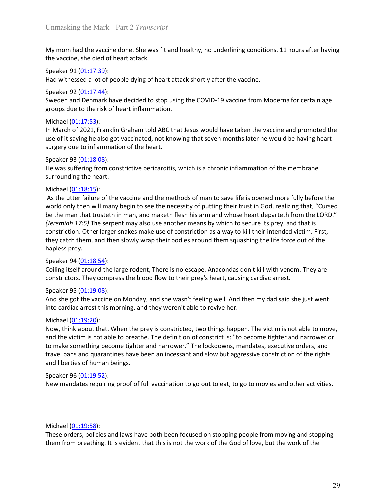Unmasking the Mark - Part 2 *Transcript*<br>My mom had the vaccine done. She was fit and healthy, no underlining conditions. 11 hours after havin<br>the vaccine, she died of heart attack. Unmasking the Mark - Part 2 *Transcript*<br>My mom had the vaccine done. She was fit and healthy, no underlining conditions. 11 hours after having<br>the vaccine, she died of heart attack.<br>Speaker 91 (<u>01:17:39)</u>:<br>Speaker 92 (<u>0</u> Unmasking the Mark - Part 2 *Transcript*<br>My mom had the vaccine done. She was fit and healthy, no underlining conditions. 11 hours after havin<br>the vaccine, she died of heart attack.<br>Speaker 91 <u>(01:17:39</u>):<br>Had witnessed a Unmasking the Mark - Part 2 *Transcript*<br>My mom had the vaccine done. She was fit and healthy, no underlining conditions. 1:<br>the vaccine, she died of heart attack.<br>Speaker 91 <u>(01:17:39):</u><br>Had witnessed a lot of people dyi Unmasking the Mark - Part 2 *Transcript*<br>My mom had the vaccine done. She was fit and healthy, no underlining conditions. 11 hours after having<br>the vaccine, she died of heart attack.<br>Speaker 91 <u>(01:17:39</u>):<br>Had witnessed Unmasking the Mark - Part 2 *Transcript*<br>
My mom had the vaccine done. She was fit and healthy, no underlining conditions. 1:<br>
Speaker 91 (01:17:39):<br>
Had witnessed a lot of people dying of heart attack shortly after the v

Unmasking the Mark - Part 2 *Transcript*<br>My mom had the vaccine done. She was fit and healthy, no underlining conditions. 11 hours after having<br>the vaccine, she died of heart attack.<br>Speaker 91 <u>(01:17:49):</u><br>Speaker 92 <u>(0</u> Unmasking the Mark - Part 2 *Transcript*<br>My mom had the vaccine done. She was fit and healthy, no underlining conditions. 11 hours after having<br>the vaccine, she died of heart attack.<br>Speaker 91 <u>(01:17:39)</u>:<br>Had witnessed Unmasking the Mark - Part 2 *Transcript*<br>
My mom had the vaccine done. She was fit and healthy, no underlining conditions<br>
the vaccine, she died of heart attack.<br>
Speaker 91 (<u>01:17:39</u>):<br>
Had witnessed a lot of people dyi Unmasking the Mark - Part 2 *Transcript*<br>My mom had the vaccine done. She was fit and healthy, no underlining conditions. 11 hours after having<br>the vaccine, she died of heart attack.<br>Speaker 91 (<u>01:17:39):</u><br>Had witnessed Unmasking the Mark - Part 2 *Transeript*<br>My mom had the vaccine done. She was fit and healthy, no underlining conditions. 11 hours after having<br>the vaccine, she died of heart attack.<br>Speaker 91 <u>(01:17:59</u>):<br>Speaker 92 <u>(0</u> Unmasking the Mark - Part 2 *Transcript*<br>My mom had the vaccine done. She was fit and healthy, no underlining conditions. 11 hours after having<br>the vaccine, she died of heart attack.<br>Speaker 91 <u>(01:17:39</u>):<br>Speaker 92 <u>(0</u> Unmasking the Mark - Part 2 *Transcript*<br>
My mom had the vaccine done. She was fit and healthy, no underlining conditions. 1:<br>
the vaccine, she died of heart attack.<br>
Speaker 91 (<u>01:17:39</u>):<br>
Had witnessed a lot of peopl Unmasking the Mark - Part 2 *Transcript*<br>My mom had the vaccine done. She was fit and healthy, no underlining conditions. 11 hours after having<br>the vaccine, she died of heart attack.<br>Speaker 91 (<u>01:17:39</u>):<br>Speaker 91 (01

Unmasking the Mark - Part 2 *Transcript*<br>
My mom had the vaccine done. She was fit and healthy, no underlining conditions. 11 hou<br>
the vaccine, she died of heart attack.<br>
Speaker 91 (<u>01:17:39</u>):<br>
Had witnessed a lot of pe My mom had the vaccine done. She was fit and healthy, no underlining conditions<br>the vaccine, she died of heart attack.<br>Speaker 91 (01:17:39):<br>Had witnessed a lot of people dying of heart attack shortly after the vaccine.<br> My mom had the vaccine done. She was fit and healthy, no underlining conditions. 11 hours after having<br>beeker 91 (<u>01-17-39</u>):<br>For the vaccines of a lot of epople dying of heart attack shortly after the vaccine.<br>Speaker 92 My mom had the vaccine done. She was fit and healthy, no underlining conditions. 11 hours after having<br>Speaker 91 (<u>01:17:39</u>):<br>Speaker 91 (<u>01:17:39</u>):<br>Had witnessed a lot of people dying of heart attack shortly after the the vactine, she died of heart attack.<br>
Speaker 91 (<u>01:17:43</u>):<br>
Speaker 91 (<u>01:17:44)</u>:<br>
Speaker 92 (<u>01:17:44)</u>:<br>
Speaker 92 (<u>01:17:44)</u>:<br>
Sweden and Demark have decided to stop using the COVID-19 vaccine from Moderna Speaker 91 <u>(01:17:39)</u>:<br>Speaker 91 <u>(01:17:39)</u>:<br>Speaker 23 (<u>01:17:44)</u>:<br>Speaker 23 (01:17:45):<br>Sweden and Denmark have decided to stop using the COVID-19 vaccine from Moderna for certain age<br>groups due to the risk of he Fract with the mullimany hegin to see the necessive of putch and with essele and pennalism and pennalism and pennalism and pennalism and pennalism and pennalism and pennalism and pennalism and pennalism and pennalism and p The method (1118:15):<br>
Speaker 92 (01:17:44):<br>
Sweden and Demmark have decided to stop using the COVID-19 vaccine from Moderna for certain age<br>
groups due to the risk of heart inflammation.<br>
In March of 2021, Franklin Grah Speaker 92 (01:17:44):<br>
Speaker and Denmark have decided to stop using the COVID-19 vaccine from Moc<br>
Sycolops due to the risk of heart inflammation.<br>
Michael (01:17:53):<br>
In March of 2021, Franklin Graham told ABC that J groups due to the risk of heart inflammation.<br>
Wichael (01:17:53):<br>
In March of 2021, Franklin Graham told ABC that Jesus would have taken the vaccine<br>
use of it saying he also got vaccinated, not knowing that seven months Solicity (19.112.53):<br>In March of 2021, Franklin Graham told ABC that Jesus would have taken the vaccine and promoted the<br>use of it saying he also got vaccinated, not knowing that seven months later he would be having hear Michael (<u>01:17</u>:53):<br>In March of 2021, Franklin Graham told ABC that lesus would have taken the vaccine and promoted the<br>use of it saying he also got vaccinated, not knowing that seven months later he would be having hear use of it saying he also got vaccinated, not knowing that seven months later he would<br>surgery due to inflammation of the heart.<br>Speaker 93 (<u>01:18:08)</u>:<br>Speaker 93 (<u>01:18:08</u>):<br>He was suffering from constrictive pericardi surgery due to inflammation of the heart.<br>
Speaker 93 (<u>01:18:08</u>):<br>
Speaker 93 (<u>01:18:08</u>):<br>
Hereas suffering from constrictive pericarditis, which is a chronic inflammation of the membrane<br>
Hereas inffering from constri Experience of 3 (<u>01:18:08</u>):<br>
Experience of 3 (<u>01:18:08</u>):<br>
He was suffering from constrictive pericarditis, which is a chronic inflammation of the membrane<br>
surrounding the heart.<br>
Ancience (01:18:15):<br>
As the utter fa He was suffering from constrictive pericarditis, which is a chronic inflammation of<br>He was suffering from constrictive pericarditis, which is a chronic inflammation of<br>surrounding the heart.<br>As the utter failure of the va surrounding the heart.<br>
Michael (01:18:15):<br>
Michael (01:18:15):<br>
An the utter failure of the vaccine and the methods of man to save life is opened more fully before the<br>
An the utter failure of the vaccine and the methods Michael (01:18:15):<br>An the victim is not able to accine and the methods of man to save life is opened more fully before the<br>And the victim is many begin to see the necessity of putting their trust in God, realizing that, " Michael (01:19:15:1):<br>As the utter failure of the vaccine and the methods of man to save life is opened more fully before the<br>world only then will many begin to see the necessity of putting their trust in God, realizing t As the utter failure of the vaccine and the methods of manto save life is opened more fully before the<br>As the utter failure of the vaccine and the methods of manto save life is poened more fully before the man that trusts world only them will many begin to see the necessity of putting their trust in God, realizing that, the wear the food realizing that, (*Jeremiah 17:5*) The serpent may also use another means by which to secure its prey, an

*Chermiah 17:5)* The serpent may also use another means by which to secure its prey,<br> *Chermiah 17:5)* The serpent may also use another means by which to secure its prey,<br>
constriction. Other larger snakes make use of con constriction. Other larger snakes make use of constriction as a way to kill their intended victim. First, they catch them, and then slowly wrap their bodies around them squashing the life force out of the hapless prey.<br>Spe Colling itself around the large rodent, There is no escape. Anacondas don't kill with<br>constrictors. They compress the blood flow to their prey's heart, causing cardiac a<br>Speaker 95 (<u>01:19:08)</u>:<br>And she got the vaccine on constrictors. They compress the blood flow to their prey's heart, causing cardiac arrest.<br>Speaker 55 <u>(01:19:08):</u><br>And she got the vaccine on Monday, and she wasn't feeling well. And then my dad said she just went<br>into car Speaker 95 (<u>01:19:08</u>):<br>And she got the vaccine on Monday, and she wasn't feeling well. And then my dad said she just went<br>into cardiac arest this morning, and they weren't able to revive her.<br>Michael (<u>01:19:20</u>):<br>Mow, t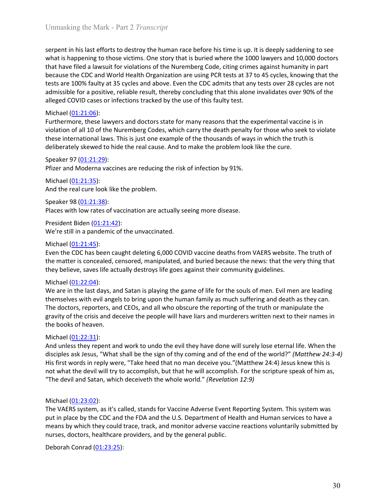Unmasking the Mark - Part 2 *Transcript*<br>serpent in his last efforts to destroy the human race before his time is up. It is deeply saddening to see<br>what is happening to those victims. One story that is buried where the 100 Unmasking the Mark - Part 2 *Transcript*<br>serpent in his last efforts to destroy the human race before his time is up. It is deeply saddening to see<br>what is happening to those victims. One story that is buried where the 100 Unmasking the Mark - Part 2 *Transcript*<br>serpent in his last efforts to destroy the human race before his time is up. It is deeply saddening to see<br>what is happening to those victims. One story that is buried where the 100 Unmasking the Mark - Part 2 *Transcript*<br>serpent in his last efforts to destroy the human race before his time is up. It is deeply saddening to see<br>what is happening to those victims. One story that is buried where the 100 Unmasking the Mark - Part 2 *Transcript*<br>serpent in his last efforts to destroy the human race before his time is up. It is deeply saddening to see<br>what is happening to those victims. One story that is buried where the 100 Unmasking the Mark - Part 2 *Transcript*<br>serpent in his last efforts to destroy the human race before his time is up. It is deeply saddening to see<br>what is happening to those victims. One story that is buried where the 100 Unmasking the Mark - Part 2 *Transcript*<br>serpent in his last efforts to destroy the human race before his time is up. It is deeply saddening to see<br>what is happening to those victims. One story that is buried where the 10 Unmasking the Mark - Part 2 *Transcript*<br>serpent in his last efforts to destroy the human race before his time is up. It is deeply saddening to see<br>what is happening to those victims. One story that is buried where the 100 Unmasking the Mark - Part 2 *Transcript*<br>
serpent in his last efforts to destroy the human race before his time is up. It is dee<br>
what is happening to those victims. One story that is buried where the 1000 lawye<br>
that hav Unmasking the Mark - Part 2 *Transcript*<br>serpent in his last efforts to destroy the human race before his time is up. It is deeply saddening to see<br>what is happening to those victims. One story that is buried where the 10 Unmasking the Mark - Part 2 *Transcript*<br>serpent in his last efforts to destroy the human race before his time is up. It is deeply saddening to see<br>what is happening to those victims. One story that is buried where the 100 Unmasking the Mark - Part 2 *Transcript*<br>serpent in his last efforts to destroy the human race before his time is up. It is deeply saddening to see<br>what is happening to those victims. One story that is buried where the 100 Unmasking the Mark - Part 2 *Transcript*<br>serpent in his last efforts to destroy the human race before his time is up. It is deeply saddening to see<br>what is happening to those victims. One story that is buried where the 10 Unmasking the Mark - Part 2 *Transcript*<br>
serpent in his last efforts to destroy the human race before his time is up. It is deeply<br>
serbent in his last efforts to destroy the human race before his time is up. It is deepl Unmasking the Mark - Part 2 *Transcript*<br>serpent in his last efforts to destroy the human race before his time is up. It is deeply saddening to see<br>what is happening to those victims. One story that is buried where the 100 Unmasking the Mark - Part 2 *Transcript*<br>serpent in his last efforts to destroy the human race before his time is up. It is deserpent in his last efforts to destroy the human race before his time is up. It is destrimed wh serpent in his last efforts to destroy the human race before his time is up. It is deeply saddening to see<br>what is happening to those victims. One story that is buried where the 1000 lawyers and 10,000 doctors<br>that have fi serpent in his last efforts to destroy the human race before his time is up. It is deeply<br>what is happening to those victims. One story that is buried where the 1000 lawyers is<br>that have filled a lawsuit for violations of what is happening to those victims. One story that is buried where the 1000 lawyers and 10,000 doctors<br>that have filed a lawsuit for violations of the Nuremberg Code, clting crimes against humanity in part<br>because the CDC that have filed a lawsuit for violations of the Nuremberg Code, citing crimes against huma<br>because the CDC and World Health Organization are using PCR tests at 37 to 45 cycles, kn<br>atests are 100% faulty at 35 cycles and a

because the CDC and World Health Organization are using PCR tests at 37 to 45 cycles, knowing that the uses tests are 100% faulty at 35 cycles and above. Even the CDC admits that any tests over 28 cycles are not admissible admissible for a positive, reliable result, thereby concluding that this alone invalid<br>admissible for a positive, reliable result, thereby concluding that this alone invalid<br>alleged COVID cases or infections tracked by th alleged COVID cases or infections tracked by the use of this faulty test.<br>
Michael (<u>01:21:06</u>):<br>
Michael (01:21:06):<br>
Michael (01:21:06):<br>
Michael (01:21:06):<br>
Michael Tore lawyers and doctors state for many reasons that In the matter is concealed, censored, manipulated, and buried because the news it men are leading<br>
Furthermore, these lawyers and doctors state for many reasons that the malty for those who seek to violate<br>
violation of a Michael (<u>01:21:06</u>):<br>Furthermore, these lawyers and doctors state for many reasons that the experimental vaccine is in<br>violation of all 10 of the Nuremberg Codes, which carry the death penalty for those who seek to violat

violation of all 10 of the Nuremberg Codes, which carry the death penalty for those<br>international laws. This is just one example of the thousands of ways in which<br>deliberately skewed to hide the real cause. And to make th these international laws. This is just one example of the thousands of ways in which the truth is<br>deliberately skewed to hide the real cause. And to make the problem look like the cure.<br>Speaker 97 (01:21:29):<br>Pfizer and Mo deliberately skewed to hidde the real cause. And to make the problem look like the cure.<br>
Speaker 97 (<u>01:21:29</u>):<br>
Pfizer and Moderna vaccines are reducing the risk of infection by 91%.<br>
Michael (<u>01:21:35)</u>:<br>
And the rea Speaker 97 (<u>01:21:29</u>):<br>
Speaker 97 (<u>01:21:29</u>):<br>
Pfizer and Moderna vaccines are reducing the risk of infection by 91%.<br>
Michael (<u>01:21:35</u>):<br>
Speaker 98 (01:21:38):<br>
Places with low rates of vaccination are actually s Speaker 97 (<u>01:21:3-2</u>):<br>
Speaker 98 (<u>01:21:3-</u>35):<br>
Prizer and Moderna vaccines are reducing the risk of infection by 91%.<br>
Michael (<u>01:21:35</u>):<br>
Speaker 98 (<u>01:21:3-3</u>):<br>
President Biden (<u>01:21:4-2</u>):<br>
We're still Pfizer and Moderna vaccines are reducing the risk of infection by 91%.<br>
Michael <u>(01:21:35)</u>:<br>
Speaker 98 (<u>01:21:35)</u>:<br>
Speaker 98 (<u>01:21:35)</u>:<br>
Speaker 98 (<u>01:21:35)</u>:<br>
Places with low rates of vaccination are actuall Michael ( $\underline{01:21:35}$ );  
\nAnd the real cure look like the problem.  
\nSpaeker 98 (01:21:38):  
\nPlaces with low rates of vaccination are actually seeing more disease.  
\nPresident Biden (01:21:42):  
\nWe're still in a pandemic of the unvaccinated.  
\nMichael (01:21:45):  
\nEven the CDC has been caught deleting 6,000 COVID vaccine deaths from VAERS  
\nthe matter is concealed, censored, manipulated, and buried because the news: the  
\nthey believe, save life actually destroys life goes against their community guidelir  
\nMichael (01:22:04):  
\nWe are in the last days, and Stanh is playing the game of life forMichael ( $0\underline{1:21:45}$ ):<br>
Even the CDC has been caught deleting 6,000 COVID vaccine deaths from VAERS w<br>
the matter is concealed, censored, manipulated, and buried because the news: th<br>
they believe, saves life actually

And the real cure look like the problem.<br>
Speaker 88 (01:21:38):<br>
Places with low rates of vaccination are actually seeing more disease.<br>
President Biden (01:21:48):<br>
We re still in a pandemic of the unvaccinated.<br>
Even th Speaker 98 (<u>01-21-38</u>):<br>Places with low rates of vaccination are actually seeing more disease.<br>President Biden (01-21-42):<br>We're still in a pandemic of the unvaccinated.<br>Michael (<u>01-21-45</u>):<br>We're still in a pandemic of **Places with low rates of vaccination are actually seeing more disease.**<br>
President Biden (<u>01:21:42</u>):<br>
We're still in a pandemic of the unvaccinated.<br>
Michael (01:21:45):<br>
Even the CDC has been caught deleting 6,000 COVI President Biden (0<u>1:21:42</u>):<br>
President Biden (0<u>1:21:42</u>):<br>
We're still in a pandemic of the unvaccinated.<br>
Michael (0<u>1:21:45</u>):<br>
We're still in a pandemic of the unvaccinated.<br>
Michael (01:22:04):<br>
Michael (01:22:04): President Biden (01:22:2143):<br>We're still in a pandemic of the unvaccinated.<br>Michael (01:21:445):<br>Even the CDC has been caught deleting 6,000 COVID vaccine deaths from VAERS website. The truth of<br>the matter is concealed, c Even the CDC has been caught deleting 6,000 COVID vaccine deaths from VAERS website. The truth of<br>the matter is concealed, censored, manipulated, and buried because the news: that the very thing that<br>they believe, saves l the matter is concealed, censored, manipulated, and buried because the news: that he very thing that<br>they believe, saves life actually destroys life goes against their community guidelines.<br>We are in the last days, and Sat they believe, saves life actually destroys life goes against their community guidelines.<br>Michael (<u>01:22:04</u>):<br>We are in the last days, and Satan is playing the game of life for the souls of men. Evil men are leading<br>thems Michael <u>(01:22:04</u>):<br>Where in the last days, and Satan is playing the game of life for the souls of men. Evil men are leading<br>We are in the last days, and Satan is playing the game of life for the souls of men. Evil men a We are in the last days, and Satan is playing the game of life for the souls of men. Evil men<br>themselves with evil angles to bring upon the human family as much aftering and death a<br>The doctors, reporters, and CEOs, and a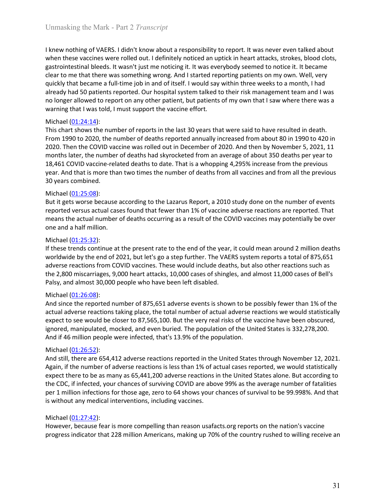Unmasking the Mark - Part 2 *Transcript*<br>
I knew nothing of VAERS. I didn't know about a responsibility to report. It was never even talked about<br>
when these vaccines were rolled out. I definitely noticed an uptick in hear Unmasking the Mark - Part 2 *Transcript*<br>I knew nothing of VAERS. I didn't know about a responsibility to report. It was never even talked about<br>when these vaccines were rolled out. I definitely noticed an uptick in heart Unmasking the Mark - Part 2 *Transcript*<br>I knew nothing of VAERS. I didn't know about a responsibility to report. It was never even talked about<br>when these vaccines were rolled out. I definitely noticed an uptick in heart Unmasking the Mark - Part 2 *Transcript*<br>I knew nothing of VAERS. I didn't know about a responsibility to report. It was never even talked about<br>when these vaccines were rolled out. I definitely noticed an uptick in heart Unmasking the Mark - Part 2 *Transcript*<br>I knew nothing of VAERS. I didn't know about a responsibility to report. It was never even talked about<br>when these vaccines were rolled out. I definitely noticed an uptick in heart Unmasking the Mark - Part 2 *Transcript*<br>
I knew nothing of VAERS. I didn't know about a responsibility to report. It was never even talked about<br>
when these vaccines were rolled out. I definitely noticed an uptick in hear Unmasking the Mark - Part 2 *Transcript*<br>
I knew nothing of VAERS. I didn't know about a responsibility to report. It was never even talked about<br>
when these vaccines were rolled out. I definitely noticed an uptick in hea Unmasking the Mark - Part 2 *Transcript*<br>
I knew nothing of VAERS. I didn't know about a responsibility to report. It was never even talked about<br>
when these vaccines were rolled out. I definitely noticed an uptick in hea Unmasking the Mark - Part 2 *Transcript*<br>
I knew nothing of VAERS. I didn't know about a responsibility to report. It was never even talked about<br>
when these vaccines were rolled out. I definitely noticed an uptick in hear Unmasking the Mark - Part 2 *Transcript*<br>Unmasking the Mark - Part 2 *Transcript*<br>
I knew nothing of VAERS. I didn't know about a responsibility to report. It was new<br>
when these vaccines were rolled out. I definitely noti Unmasking the Mark - Part 2 *Transcript*<br>
I knew nothing of VAERS. I didn't know about a responsibility to report. It was never even talked about<br>
when these vaccines were rolled out. I definitely noticed an uptick in hear Unmasking the Mark - Part 2 *Transcript*<br>
If knew nothing of VAERS. I didn't know about a responsibility to report. It was never even talked about<br>
when these vaccines were rolled out. I definitely noticed an uptick in hea Unmasking the Mark - Part 2 *Transcript*<br>
I knew nothing of VAERS. I didn't know about a responsibility to report. It was never even talked about<br>
when these vaccines were rolled out. I definitely noticed an uptick in hear Unmasking the Mark - Part 2 *Transcript*<br>
I knew nothing of VAERS. I didn't know about a responsibility to report. It was never even talked about<br>
when these vaccines were rolled out. I definitely noticed an uptick in hear Unmasking the Mark - Part 2 *Transcript*<br>
I knew nothing of VAERS. I didn't know about a responsibility to report. It was never even talked about<br>
when these vaccines were rolled out. I definitely noticed an uptick in hear Unmasking the Mark - Part 2 *Transcript*<br>
If knew nothing of VAERS. I didn't know about a responsibility to report. It was never even talked about<br>
when these vaccines were rolled out. I definitely noticed an uptick in hea Unmasking the Mark - Part 2 *Transcript*<br>
Uknew nothing of VAERS. I didn't know about a responsibility to report. It was new<br>
when these vaccines were rolled out. I definitely noticed an uptick in heart attacks<br>
gastrointe I knew nothing of VAERS. I didn't know about a responsibility to report. It was new<br>when these vaccines were rolled out. I definitely noticed an uptick in heart attack<br>gastrointestinal bleeds. It wasn't just me noticing it I knew nothing of VAERS. I didn't know about a responsibility to report. It was never even talked about<br>when these vaccines were rolled out. I definitely noticed an upitic in heart attacks, strokes, blood clots,<br>gastrointe when these vaccines were rolled out. I definitely noticed an uptick in heart attacks, strokes, blood clots,<br>gastrointestinal bleeds. It wasn't just me noticing it. It was everybody seemed to notice it. It became<br>glare to m

gastrointestinal bleeds. It wasn't just me noticing it. It was everybody seemed to notice it. It became<br>clear to me that there was something wrong. And I started reporting pairing pairing and<br>equickly that became a full-li solution the distance in the last method reporting work when the constant of the seale of the seale of the seale and the seale at the between a full-time job in and of itself. I would say within three weeks to a method ong quickly that became a full-time job in and of itself. I would say within three weeks<br>already had 50 patients reproted. Our hospital system talked to their risk manage<br>and bonger allowed to report on any other patient, but already had 50 patients reported. Our hospital system talked to their risk management team and I was<br>no longer allowed to report on any other patient, but patients of my own that I saw where there was a<br>warning that I was no longer allowed to report on any other patient, but patients of my own that I saw where there was a<br>morning that I was told, I must support the vaccine effort.<br>This chart shows the number of reports in the last 30 years Marining that I was told, I must support the vaccine effort.<br>
Michael (01:24:14):<br>
This chart shows the number of reports in the last 30 years that were said to have resulted in death.<br>
From 1990 to 2020, the number of dea Michael (01:24:14):<br>This chart shows the number of reports in the last 30 years that were said to have resulted in death.<br>This chart shows the number of deaths reported annually increased from about 80 in 1990 to 420 in<br>26 This chart shows the number of reports in the last 30 years that were said to have resulted in death.<br>This chart shows the number of deaths reported annually increased from about 80 in 1990 to 420.0<br>2020. Then the COVID va From 1990 to 2020, the number of deaths reported annually increased from about<br>2020. Then the COVID vaccine was rolled out in December of 2020. And then by N<br>months later, the number of deaths had skyrocketed from an aver

2020. Then the COVID vacione was rolled out in December of 2020. And then by November 5, 2021, 11<br>months later, the number of eachts had skyrocketed from an average of about 350 deaths per year to<br>18,461 COVID vaccine-rela months later, the number of deaths had skyrocketed from an average of about 350 deaths per vear to the previous<br>18.461 COVID vaction-erlated deaths to date. That is a whopping 4.295% increase from the previous<br>year. And th 18,461 COVID vaccine-related deaths to date. That is a whopping 4,295% increase from the previous<br>18,461 COVID vaccine-related deaths to date. That is a whopping 4,295% increase and from all the previous<br>30 years combined. year. And that is more than two times the number of deaths from all vaccines and from all the previous<br>Survey as Complete (01:25:08):<br>But it gets worse because according to the Lazarus Report, a 2010 study done on the numb 30 years combined.<br>
Michael (01:25:08):<br>
Michael (01:25:08):<br>
Michael (01:25:08):<br>
But it gets worse because according to the Lazarus Report, a 2010 study done on the number of events<br>
reported versus actual cases found th

Michael ( $\underline{01:25:08}$ ):<br>But it gets worse because according to the Lazarus Report, a 2010 study done on the<br>prorted versus actual cases found that fewer than 1% of vaccine adverse reaction<br>means the actual number of de But it gets worse because according to the Lazarus Report, a 2010 study done on the number of events<br>reported versus actual cases found that fewer than 1% of vaccine adverse reactions are reported. That<br>means the actual nu reported versus actual cases found that fewer than 1% of vaccine adverse reactions are reported. That<br>means the actual number of deaths occurring as a result of the COVID vaccines may potentially be over<br>one and a half mil means the actual number of deaths occurring as a result of the COVID vaccines may potentially be over<br>
Michael (01:25:32):<br>
If these trends continue at the present rate to the end of the year, it could mean around 2 millio one and a half million.<br>Michael (Q1:25:32):<br>Michael (Q1:25:32):<br>Wiff these trends continue at the present rate to the end of the year, it could mean around 2 million deaths<br>worldwide by the end of 2021, but let's go a step Michael (<u>01:25:32</u>):<br>
Michael (<u>01:25:32):</u><br>
ff these terends continue at the present rate to the end of the year, it could mean around 2 million deaths<br>
worldwide by the end of 2021, but let's go a step further. The VAER If these trends continue at the present rate to the end of the year, it could mean around 2 million deaths<br>worldwide by the end of 2021, but left is go a step further. The VAERS system reports a total of S75,651<br>adverse re nature reactions from COVID vaccines. These would include deaths, but also othe<br>adverse reactions from COVID vaccines. These would include deaths, but also othe<br>the 2,800 miscarriages, 9,000 heart attacks, 10,000 cases of the 2,800 miscarriages, 9,000 heart attacks, 10,000 cases of shingles, and almost 11,000 cases of Bell's<br>Palsy, and almost 30,000 people who have been left disabled.<br>Midchel (01:26:08):<br>And since the reported number of 875 Patural different that the reported hard americans, making up 70% of the country rushed to thing the reported number of 875,651 adverse events is shown to be possibly fewer than 1% of the and since the reported number of 8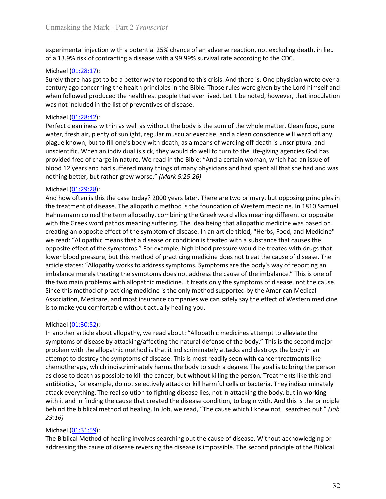Unmasking the Mark - Part 2 *Transcript*<br>experimental injection with a potential 25% chance of an adverse reaction, not excluding death, in lieu<br>of a 13.9% risk of contracting a disease with a 99.99% survival rate accordin

Unmasking the Mark - Part 2 *Transcript*<br>experimental injection with a potential 25% chance of an adverse reaction, not excluding death, in lieu<br>of a 13.9% risk of contracting a disease with a 99.99% survival rate accordin Unmasking the Mark - Part 2 *Transcript*<br>experimental injection with a potential 25% chance of an adverse reaction, not excluding death, in lieu<br>of a 13.9% risk of contracting a disease with a 99.99% survival rate accordin Unmasking the Mark - Part 2 *Transcript*<br>experimental injection with a potential 25% chance of an adverse reaction, not ex<br>of a 13.9% risk of contracting a disease with a 99.99% survival rate according to th<br>Michael (<u>01:</u> Unmasking the Mark - Part 2 *Transcript*<br>experimental injection with a potential 25% chance of an adverse reaction, not excluding death, in lieu<br>of a 13.9% risk of contracting a disease with a 99.99% survival rate accordin Unmasking the Mark - Part 2 *Transcript*<br>experimental injection with a potential 25% chance of an adverse reaction, not excluding death, in lieu<br>of a 13.9% risk of contracting a disease with a 99.99% survival rate accordi Unmasking the Mark - Part 2 *Transcript*<br>experimental injection with a potential 25% chance of an adverse reaction, not excluding death, in lieu<br>of a 13.9% risk of contracting a disease with a 99.99% survival rate accordi Unmasking the Mark - Part 2 *Transcript*<br>experimental injection with a potential 25% chance of an adverse reaction, not excluding death, in lieu<br>of a 13.9% risk of contracting a disease with a 99.99% survival rate accordin

Unmasking the Mark - Part 2 *Transcript*<br>experimental injection with a potential 25% chance of an adverse reaction, not ex<br>of a 13.9% risk of contracting a disease with a 99.99% survival rate according to th<br>Michael (<u>01:2</u> Unmasking the Mark - Part 2 *Transcript*<br>experimental injection with a potential 25% chance of an adverse reaction, not excluding death, in lieu<br>of a 13.9% risk of contracting a disease with a 99.99% survival rate accordin Unmasking the Mark - Part 2 *Transcript*<br>experimental injection with a potential 25% chance of an adverse reaction, not excluding death, in lieu<br>of a 13.9% risk of contracting a disease with a 99.99% survival rate accordin Unmasking the Mark - Part 2 *Transcript*<br>experimental injection with a potential 25% chance of an adverse reaction, not excluding death, in lieu<br>of a 13.9% risk of contracting a disease with a 99.99% survival rate accordin Unmasking the Mark - Part 2 *Transcript*<br>experimental injection with a potential 25% chance of an adverse reaction, not excluding death, in lieu<br>of a 13.9% risk of contracting a disease with a 99.99% survival rate accordin Unmasking the Mark - Part 2 *Transcript*<br>experimental injection with a potential 25% chance of an adverse reaction, not excluding death, in lieu<br>of a 13.9% risk of contracting a disease with a 99.99% survival rate accordin Unmasking the Mark - Part 2 *Transcript*<br>experimental injection with a potential 25% chance of an adverse reaction, not excluding death, in lieu<br>of a 13.9% risk of contracting a disease with a 99.99% survival rate accordin Unmasking the Mark - Part 2 *Transcript*<br>experimental injection with a potential 25% chance of an adverse reaction, not excluding death, in lieu<br>of a 13.9% risk of contracting a disease with a 99.99% survival rate accordin experimental injection with a potential 25% chance of an adverse reaction, not ex<br>of a 13.9% risk of contracting a disease with a 99.99% survival rate according to th<br>Michael (01:28:17):<br>Surely there has got to be a bette experimental injection with a potential 25% chance of an adverse reaction, not excluding death, in lieu<br>of a 13.9% risk of contracting a disease with a 99.99% survival rate according to the CDC.<br>Michael (<u>01:28:1</u>7):<br>Micha

experimental injection with a potential 25% chance of an adverse reaction, not excluding death, in lieu<br>of a 13.9% risk of contracting a disease with a 99.99% survival rate according to the CDC.<br>
Michael (0<u>1:28:1</u>7):<br>
Sur of a 13.9% risk of contracting a disease with a 99.99% survival rate according to the CDC.<br>Mirchael (<u>01:28:17</u>):<br>Surely there has got to be a better way to respond to this crisis. And there is, One physician wrote over a<br> Michael <u>(01:28:1</u>):<br>Surely there has got to be a better way to respond to this crisis. And there is. One physician wrote over a<br>Surely there has got one able able principles in the Bible. Those rules were given by the Lor Surely there has got to be a better way to respond to this crisis. And there is. One physician wrote over a<br>century ago concerning the health principles in the Bible. Those rules were given by the Lord himself and<br>when fol entrivy ago concerning the health principles in the Bible. Those rules were given by the Lord himself and<br>when followed produced the healthets people that ever lived. Let it be noted, however, that inoculation<br>when followe unter in the symptom state of the symptoms." For example, high blood pressure would be reated with drugin the symptoms and included in the sixt of preventives of disease.<br>
Michael (01:28:42):<br>
Perfect cleaniness within as was not included in the list of preventives of disease.<br>
Michael (<u>01:28:42</u>):<br>
Michael (<u>01:28:42</u>):<br>
Michael (01:28:42):<br>
Michael (mealiness within as well as without the body is the sum of the whole matter. Clean food, Michael (<u>01:28:42)</u>:<br>Perfect cleanliness within as well as without the body is the sum of the whole matter. Clean food, pure<br>Perfect cleanliness within as well as without the body is the sum of the whole matter, fresh air Michael (Q1228:42):<br>
Michael (O1228:42):<br>
Michael Perfect (dealiness within as well as without the body is the sum of the whole matter. Clean food, pure<br>
water, fresh air, plenty of sunlight, regular muscular exercise, an Perfect cleanities within as well as without the body is the sum of the whole matter. Clean food, pure<br>vater, fresh air, plenty of sunlight, regular muscular exercise, and a clean conscience will ward off any<br>plague known, water, fresh air, plenty of sunlight, regular muscular exercise, and a clean conscience will ward of any<br>plague known, but to fill one's body with death, as a means of warding off death is unscriptural and<br>unscientific. Wh plague know, but to fill one's body with death, as a means of warding off death is unscriptural and<br>unsclentific. When an individual is sick, they would do well to turn to the life-giving agencies God has<br>provided free of unscientific. When an individual is sick, they would do well to turn to the liferegiving agencies God has to make throught of the simpler agences God has under the simpler provided free of tharge in nature. We read in the blood 12 years and had suffered many things of many physicians and had spent al<br>nothing better, but rather grew worse." (Mark 5:25-26)<br>Michael (01:29:28):<br>And how often is this the case today? 2000 years later. There are nothing better, but rather grew worse." (Mark 5:25-26)<br>And how often is this the case today? 2000 years later. There are two primary, but opposing principles in<br>the treatment of disease. The allopathic method is the founda Michael <u>(01:29:28):</u><br>
Michael (<u>01:29:28):</u><br>
And how offers is this the case today? 2000 years later. There are two primary, but opposing principles in<br>
the treatment of disease. The allopathic method is the foundation of And how often is this the case today? 2000 years later. There are two primary, but opposing principles in the function of weaterment of disease. The allogathic method is the foundation of Westerm medicine. In 1810 Samuel H the treatment of disease. The allopathic method is the foundation of Western medicine. In 1810 Samuel<br>Hahmennan coined the term allopathy, combining the Greek word allopathic method is meaning different or opposite<br>with th Hahnemann coined the term allopathy, combining the Greek word allos meaning different or opposite<br>with the Greek word pathos meaning suffering. The idea being that allopathic medicine was based on<br>oretaring an opposite eff with the Greek word pathos meaning suffering. The idea being that allopathic medicine was based on creating an opposite effect of the symptom of disease. In an article titled, "Herbs, Food, and Medicine" over each: "Allopa

creating an opposite effect of the symptom of disease. In an article titled, "Herbs, Food, and Medicine"<br>we read: "Allopabric means hat a disease or condition is freated with a substance that causes the<br>poposite effect of we read: "Allopathic means that a disease or condition is treated with a substance that causes the<br>opposite effect of the symptoms.<sup>5"</sup> For example, high blood pressure would be treated with drugs that<br>lower blood pressure opposite effect of the symptoms." For example, high blood pressure would be treated with drugs that<br>clower blood pressure, but this method of practicing medicine does not treat the cause of disease. The<br>article states: "Al For the biblical method of practicles are the body of the cause of disease. The provide biblical states: "All popathy works to address ing phoms. Symptoms are the body's way of reporting an imbalance merely treating the sy 29:16) imbalance merely treating the symptoms does not address the cause of the imbala<br>the two main problems with allopathic medicine. It treats only the symptoms of different is fine only and Since this method of practicing med the two main problems with allopathic medicine. It treats only the symptoms of disease, not the cause.<br>Since this method of practicing medicine is the only method supported by the American Medical<br>Association, Medicare, an Since this method of practicing medicine is the only method supported by the American Medical<br>Association, Medicare, and most insurance companies we can safely say the effect of Western medicine<br>is to make you comfortable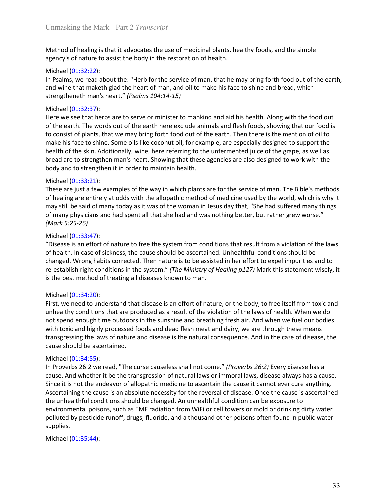Unmasking the Mark - Part 2 *Transcript*<br>Method of healing is that it advocates the use of medicinal plants, healthy foods, and the simple<br>agency's of nature to assist the body in the restoration of health.

Unmasking the Mark - Part 2 *Transcript*<br>Method of healing is that it advocates the use of medicinal plants, healthy foods, and the simple<br>agency's of nature to assist the body in the restoration of health.<br>Michael (<u>01:32</u> Unmasking the Mark - Part 2 *Transcript*<br>Method of healing is that it advocates the use of medicinal plants, healthy foods, and the simple<br>agency's of nature to assist the body in the restoration of health.<br>Michael (<u>01:32</u> Unmasking the Mark - Part 2 *Transcript*<br>
Method of healing is that it advocates the use of medicinal plants, healthy foods, a<br>
agency's of nature to assist the body in the restoration of health.<br>
Michael (01:32:22):<br>
In Unmasking the Mark - Part 2 *Transcript*<br>
Method of healing is that it advocates the use of medicinal plants, healthy foods, and the simple<br>
agency's of nature to assist the body in the restoration of health.<br>
Michael (<u>0</u> Unmasking the Mark - Part 2 *Transcript*<br>
Method of healing is that it advocates the use of medicinal plants, healthy foods, and the simple<br>
agency's of nature to assist the body in the restoration of health.<br>
Michael <u>(0</u>

Unmasking the Mark - Part 2 *Transcript*<br>Method of healing is that it advocates the use of medicinal plants, healthy foods, and the simple<br>agency's of nature to assist the body in the restoration of health.<br>Michael <u>(01:3</u> Unmasking the Mark - Part 2 *Transcript*<br>
Method of healing is that it advocates the use of medicinal plants, healthy foods, a<br>
agency's of nature to assist the body in the restoration of health.<br>
Michael (<u>01:32:22</u>):<br>
In Unmasking the Mark - Part 2 *Transcript*<br>Method of healing is that it advocates the use of medicinal plants, healthy foods, and the simple<br>agency's of nature to assist the body in the restoration of health.<br>Michael (01:32: Unmasking the Mark - Part 2 *Transcript*<br>Method of healing is that it advocates the use of medicinal plants, healthy foods, and the simple<br>agency's of nature to assist the body in the restoration of health.<br>Michael <u>(01:32</u> Unmasking the Mark - Part 2 *Transcript*<br>
Method of healing is that it advocates the use of medicinal plants, healthy foods, and the simple<br>
agency's of nature to assist the body in the restoration of health.<br>
Michael (<u>01</u> Unmasking the Mark - Part 2 *Transcript*<br>
Method of healing is that it advocates the use of medicinal plants, healthy foods, and the simple<br>
agency's of nature to assist the body in the restoration of health.<br>
In Psalms, w Unmasking the Mark - Part 2 *Transcript*<br>
Method of healing is that it advocates the use of medicinal plants, healthy foods, and the simple<br>
Bealtoncy's of nature to assist the body in the restoration of health.<br>
In Psalm Unmasking the Mark - Part 2 *Transcript*<br>
Method of healing is that it advocates the use of medicinal plants, healthy foods, and the simple<br>
agency's of nature to assist the body in the restoration of health.<br>
Michael (<u>01</u> Unmasking the Mark - Part 2 *Transcript*<br>
Method of healing is that it advocates the use of medicinal plants, healthy foods, and the simple<br>
agency's of nature to assist the body in the restoration of health.<br>
Michael (<u>01</u> Unmasking the Mark - Part 2 *Transcript*<br>
Method of healing is that it advocates the use of medicinal plants, healthy foods, a<br>
agency's of nature to assist the body in the restoration of health.<br>
Michael (01:32:22):<br>
Mic Method of healing is that it advocates the use of medicinal plants, healthy foods, and the simple<br>agency's of nature to assist the body in the restoration of health.<br>Michael (01:32:2):<br>In Psalms, we read about the: "Herb f Method of healing is that it advocates the use of medicinal plants, healthy foods, and the simple<br>agency's of nature to assist the body in the restoration of health.<br>Michael (<u>01:32:2):</u><br>Michael (<u>01:32:2):</u><br>Michael (01:32 Method of healing is that it advocates the use of medicinal plants, healthy foods, and the simple<br>agency's of nature to assist the body in the restoration of health.<br>
Michael (01:32:22):<br>
In Psalms, we read about the: "He agency's of nature to assist the body in the restoration of health.<br>Michael (<u>01:32:2</u>):<br>Michael (<u>01:32:2</u>):<br>Michael (<u>01:32:2</u>):<br>Michael (<u>01:32:2)</u>:<br>Michael (01:13:2):<br>Michael (01:13:2:3):<br>Michael (01:13:2:3):<br>Michael ( Michael ( $\underline{01:32:22}$ ):<br>
In Psalms, we read about the: "Herb for the service of man, that he may bring fo<br>
and wine that maketh glad the heart of man, and oil to make his face to shine and<br>
strengtheneth man's heart." In Psalms, we read about the: "Herb for the service of man, that he may bring fort<br>and wine that maketh glad the heart of man, and oil to make his face to shine and<br>strengtheneth man's heart." (*Psalms* 104:14-15)<br>Michael and wine that maketh glad the heart of man, and oil to make his face to shine and bread, which<br>strengtheneth man's heart." (*Psalms* 104:14-15)<br>Here we see that herbs are to serve or minister to mankind and aid his health. strengtheneth man's heart." *(Psolms 104:14-15)*<br>Michael (<u>01:34-3</u>7):<br>Michael (<u>01:34-3</u>):<br>Here we see that herbs are to serve or minister to mankind and aid his health. Along with the food out<br>of the earth. The words out Michael (<u>01:32:37):</u><br>Here we see that herbs are to serve or minister to mankind and aid his health. Along with the food out<br>of the earth. The words out of the earth here exclude animals and flesh foods, showing that our f Here we see that herbs are to serve or minister to mankind and aid his health. Along with the food out<br>of the earth. The words out of the earth here exclude animals and flesh foods, following that our food is<br>of consist of of the earth. The words out of the earth here exclude animals and flesh foods, showing that our food is<br>to consist of plants, that we may bring forth food out of the earth. Then there is the mention of oil to<br>to consist of

make his face to shine. Some oils like coconut oil, for example, are especially designed<br>the fit for the skin. Additionally, wine, here referring to the unfermented juice of the skin. Additionally, wine, here referring to health of the skin. Additionally, wine, here referring to the unfermented juice of the grape, as well as<br>bread are to strengthen man's heart. Showing that these agencies are also designed to work with the<br>body and to stren bread are to strengthen man's heart. Showing that these agencies are also designed to work with the body and to strengthen it in order to maintain health.<br>Michael (01:33:21):<br>These are just a few examples of the way in whi not spend to the spend enough the sunshine and the sunshine and the service of man. The Bible's methods<br>These are just a few examples of the way in which plants are for the service of man. The Bible's methods<br>of belaing ar exare in the state is a matter with the alternative means and the state of man. The Bible's methods<br>These are just a few examples of the way in which plants are for the service of man. The Bible's methods<br>of healing are en Michael ( $Q1333221$ ):<br>These are just a few examples of the way in which plants are for the service of man. The Bible's methods<br>of healing are entirely at odds with the allopathic method of medicine used by the world, whic These are just a few examples of the way in which plants are for the service of man. The B<br>of healing are entirely at odds with the allopathic method of medicine used by the world,<br>may still be said of many today as it was may still be said of many today as it was of the woman in Jesus day that, "She had<br>of many physicians and had spent all that she had and was nothing better, but rat<br>(*Mark 5:25-26*)<br>Wichael (01:33:47):<br>Wichael (01:33:47):

of many physicians and had spent all that she had and was nothing better, but rather grew worse."<br>
(Mork 5:25-26)<br>
(Morksel (01:33:47):<br>
"Disease is an effort of nature to free the system from conditions that result from a (Mark 5:25-26)<br>
Michael (<u>01:33:47</u>):<br>
Michael (01:33:47):<br>
Dichaels is an effort of nature to free the system from conditions that result from a violation of the laws<br>
of health. In case of sickness, the cause should be a Michael (01:33:47):<br>
"Thisease is an effort of nature to free the system from conditions that result from a violation of the laws<br>
of health. In case of sickness, the cause should be ascertained. Unhealthful conditions sho Michael (<u>01:334:21</u>)<br>
"Clisease is an effort of nature to free the system from conditions that result from a violation of the laws<br>
of health. In case of sickness, the cause should be ascertained. Unhealthful conditions "Disease is an effort of nature to free the system from conditions that result from a violation of the laws<br>of health. In case of sickness, the cause should be ascertained. Unhealthful conditions should be<br>changed. Wrong of health. In case of sickness, the cause should be ascertained. Unhelathful conditions should be headed inherestablish right conditions in the system." (The Ministry of Healing p127) Mark this statement wisely, it is the changed. Wromg habits corrected. Then nature is to be assisted in her effort to expel impurities and to reastablish right conditions in the system." (The Ministry of Healing p122) Mark this statement wisely, it is the best supplies. Michael ( $\underline{01:34:20}$ ):<br>
Michael ( $\underline{01:34:20}$ ):<br>
First, we need to understand that disease is an effort of nature, or the body, to frem<br>
tunhealthy conditions that are produced as a result of the violation of the l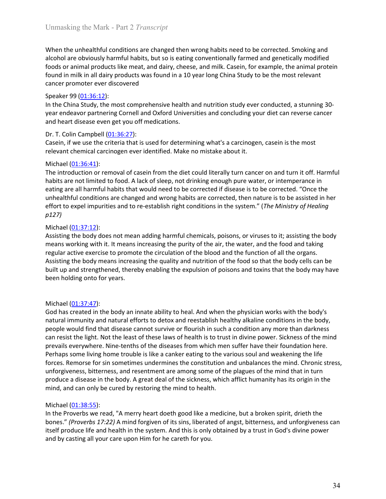Unmasking the Mark - Part 2 *Transcript*<br>When the unhealthful conditions are changed then wrong habits need to be corrected. Smoking and<br>alcohol are obviously harmful habits, but so is eating conventionally farmed and gene Unmasking the Mark - Part 2 *Transcript*<br>When the unhealthful conditions are changed then wrong habits need to be corrected. Smoking and<br>alcohol are obviously harmful habits, but so is eating conventionally farmed and gene Unmasking the Mark - Part 2 *Transcript*<br>When the unhealthful conditions are changed then wrong habits need to be corrected. Smoking and<br>alcohol are obviously harmful habits, but so is eating conventionally farmed and gene Unmasking the Mark - Part 2 *Transcript*<br>When the unhealthful conditions are changed then wrong habits need to be corrected. Smoking and<br>alcohol are obviously harmful habits, but so is eating conventionally farmed and gene Unmasking the Mark - Part 2 *Transcript*<br>When the unhealthful conditions are changed then wrong habits need to be corrected. Smoking and<br>alcohol are obviously harmful habits, but so is eating conventionally farmed and gen Unmasking the Mark - Part 2 *Transcript*<br>When the unhealthful conditions are changed then wrong habits need to be corrected. Smoking<br>alcohol are obviously harmful habits, but so is eating conventionally farmed and genetica Unmasking the Mark - Part 2 *Transcript*<br>
When the unhealthful conditions are changed then wrong habits need to be correcte<br>
alcohol are obviously harmful habits, but so is eating conventionally farmed and gene<br>
foods or a Unmasking the Mark - Part 2 *Transcript*<br>When the unhealthful conditions are changed then wrong habits need to be corrected. Smoking and<br>alcohol are obviously harmful habits, but so is eating conventionally farmed and gene Unmasking the Mark - Part 2 *Transcript*<br>When the unhealthful conditions are changed then wrong habits need to be corrected. Smoking and<br>alcohol are obviously harmful habits, but so is eating conventionally farmed and gene Unmasking the Mark - Part 2 *Transcript*<br>When the unhealthful conditions are changed then wrong habits need to be corrected. Smoking and<br>alcohol are obviously harmful habits, but so is eating conventionally farmed and gene Unmasking the Mark - Part 2 *Transcript*<br>
When the unhealthful conditions are changed then wrong habits need to be corrected. Smokin<br>
alcohol are obviously harmful habits, but so is eating conventionally farmed and geneti Unmasking the Mark - Part 2 *Transcript*<br>When the unhealthful conditions are changed then wrong habits need to be corrected. Smoking and<br>alcohol are obviously harmful habits, but so is eating conventionally farmed and gene Unmasking the Mark - Part 2 *Transcript*<br>
When the unhealthful conditions are changed then wrong habits need to be corrected. Smoking and<br>
alcohol are obvolusly harmful habits, but so is eating conventionally farmed and ge

Unmasking the Mark - Part 2 *Transcript*<br>
When the unhealthful conditions are changed then wrong habits need to be correlated<br>
alcohol are obviously harmful habits, but so is eating conventionally farmed and g<br>
foods or a Ummasking the Mark - Part 2 *Transcript*<br>
When the unhealthful conditions are changed then wrong habits need to be corrected. Smoking and<br>
alcohol are obviously harmful habits, but so is eating conventionally framed and ge Unmasking the Mark - Part 2 *Transcript*<br>When the unhealthful conditions are changed then wrong habits need to be corrected. Smoking and<br>alcohol are obviously harmful habits, but so is eating conventionally farmed and gene When the unhealthful conditions are changed then wrong habits need to be corrected. Smoking and<br>alcohol are obviously harmful habits, but so is eating conventionally farmed and genetically modified<br>foods or animal products When the unhealthful conditions are changed then wrong habits need to be corrected. Smoking and<br>alcohol are obviously harmful habits, but so is eating conventionally farmed and genetically modified<br>foods or animal products When the unheralthful conditions are changed then wrong habits need to be corrected. Smoking and the lactor to the ministropoly harmful habits, but so is eating conventionally farmed and genetically modified<br>foods or anima p127) Found in milk in all dairy products was found in a 10 year long China Study to be the<br>ancer promoter ever discovered<br>Speaker 99 (01:36:12):<br>In the China Study, the most comprehensive health and nutrition study ver cond<br>sp rancer promoter ever discovered<br>Speaker 99 (<u>01:36:12</u>):<br>Speaker 99 (<u>01:36:12</u>):<br>the mis Chiuth Study, the most comprehensive health and nutrition study ever conducted, a stunning 30-<br>there melass ot partnering Cornell an Experience The Chinary and The Chinary and the purity of the big upper and the purity per serves the purity of the China Study, the most comprehensive health and nutrition study ever conducted, a stunning 30-<br>year endeavor Speaker 99 (01:37:21):<br>In the China Study, the most comprehensive health and nutrition study ever conducted, a stunning 30-<br>In the China Study, the most compellent of Oxford Universities and concluding your diet can revers In the China Study, the most comprehensive health and nutrition study ever conducted, a stunning 30-<br>In the China Study, the most comprehensive health and nutrition study ever conducted, a stunning 30-<br>Decay, if we use th year endeavor partnering Conrell and Oxford Universities and concluding your diet can reverse cancer<br>
Dr. T. Colin Campbell (01:36:27):<br>
Casein, if we use the criteria that is used for determining what's a carcinogen, case and heart disease even get you off medications.<br>
Dr. T. Colin Campbell (<u>01:36:27</u>):<br>
Dr. T. Colin Campbell (<u>01:36:2</u>7):<br>
Casein, if we use the criteria that is used for determining what's a carcinogen, casein is the most relevant chemical carcinogen ever identified. Make no mistake about it.<br>
Michael (0<u>1:36:41</u>):<br>
The introduction or removal of casein from the diet could literally turn cancer on a<br>
habits are not limited to food. A lack

Michael (<u>01:37647)</u>:<br>The introduction or removal of casein from the diet could literally turn cancer on and turn it off. Harmful<br>habits are not limited to food. A lack of sleep, not drinking enough pure water, or intemper Michael (<u>01:37:41</u>):<br>
Micharel (<u>01:36</u>:44):<br>
Micharel (01:36:41):<br>
The introduction or removal of casein from the diet could literally turn cancer on and turn it off. Harmful<br>
habits are not limited habits that would ne The introduction or removal of casein from the det could literally turn cancer on and turn it off. Harmfu findity<br>that its are not limited to food. A lack of sleep, not drinking enough pure water, or intemperance in<br>eating habits are not limited to food. A lack of sleep, not drinking enough pure water, or intemperance in<br>healthy are all harmful habits that would need to be corrected if disease is to be corrected. "Once the<br>unhealthful condit eatily are all harmoll habits that would need to be corrected if diseases is to be corrected. "Once the<br>unhealthful conditions are changed and wrong habits are corrected, then nature is to be assisted in her<br>effort to expe unhealthful conditions are changed and wrong habits are corrected, then nature is to be assisted in her effort to expel impurities and to re-establish right conditions in the system." (The Ministry of Healing Nazz1)<br>
Micha effort to expel impurities and to re-establish right conditions in the system." (*The Ministry of Heoling*<br> *Michael* (<u>01:37:12</u>):<br>
Asisting the body does not mean adding harmful chemicals, poisons, or viruses to it: assi  $p127$ )<br>Michael ( $011:37:12$ ):<br>Missisting the body does not mean adding harmful chemicals, poisons, or viruses to it; assisting the body<br>means working with it. It means increasing the purity of the air, the water, and the Michael (01:37:12):<br>Assisting the body does not mean adding harmful chemicals, poisons, or viruses to it; assisting the body<br>Assisting the body does not mean increasing the purity of the air, the water, and the food and ta Assisting the body does not mean adding harmful chemicals, poisons, or viruses to it; assisting the body<br>means vorking with it. It means increasing the purity of the air, the water, and the food and taking<br>regular active e regular active exercise to promote the circulation of the blood and the function of<br>exercisting the body means increasing the quality and nutrition of the food so that the<br>sisting the body means increasing the quality and <sup>2</sup> systimg the body means increasing the quality and nutrition of the food so that the body cells can be built up and strengthened, thereby enabling the expulsion of poisons and toxins that the body reals built up and str both through the state of the explained of the system of prioris and toxins that the body may have been holding onto for years.<br>
Wichael (01:37:47):<br>
God has created in the body an innate ability to heal. And when the phys been holding onto for years.<br>
Michael (01:37:47):<br>
God has created in the body an innate ability to heal. And when the physician works with the body's<br>
God has created in the body an innate ability to heal. And when the ph Michael (<u>01:37:47</u>):<br>
God has created in the body an innate ability to heal. And when the physician works with the body's<br>
God has created in the body an innate ability to heal. And when the physician works with the body,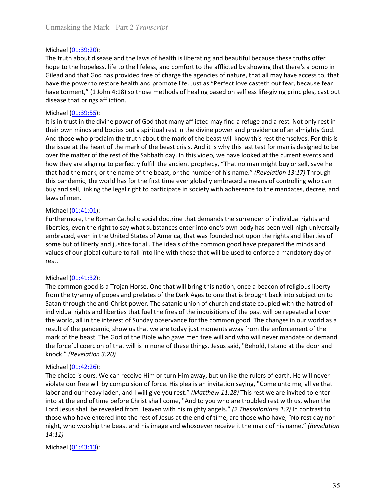Unmasking the Mark - Part 2 *Transcript*<br>Michael (01:39:20):<br>The truth about disease and the laws of health is liberating and beautiful because these truths offer<br>hope to the hopeless, life to the lifeless, and comfort to Unmasking the Mark - Part 2 *Transcript*<br>Michael <u>(01:39:20)</u>:<br>The truth about disease and the laws of health is liberating and beautiful because<br>hope to the hopeless, life to the lifeless, and comfort to the afflicted by Unmasking the Mark - Part 2 *Transcript*<br>Michael (<u>01:39:20)</u>:<br>The truth about disease and the laws of health is liberating and beautiful because these truths offer<br>hope to the hopeless, life to the lifeless, and comfort t Unmasking the Mark - Part 2 *Transcript*<br>Michael (<u>01:39:20</u>):<br>The truth about disease and the laws of health is liberating and beautiful because these truths offer<br>hope to the hopeless, life to the lifeless, and comfort t Unmasking the Mark - Part 2 *Transcript*<br>
The truth about disease and the laws of health is liberating and beautiful because these truths offer<br>
hope to the hopeless, life to the lifeless, and comfort to the afflicted by s Unmasking the Mark - Part 2 *Transcript*<br>
Michael (<u>01:39:20</u>):<br>
The truth about disease and the laws of health is liberating and beautiful because these truths offer<br>
hope to the hopeless, life to the lifeless, and comfor Unmasking the Mark - Part 2 *Transcript*<br>
Michael (<u>01:39:20</u>):<br>
The truth about disease and the laws of health is liberating and beautiful because these truths offer<br>
The truth about disease, life to the lifeless, and co Unmasking the Mark - Part 2 *Transcript*<br>
Michael (<u>01:39:20)</u>:<br>
The truth about disease and the laws of health is liberating and beautiful because these truth<br>
hope to the hopeless, life to the lifeless, and comfort to th Unmasking the Mark - Part 2 *Transcript*<br>
Michael (01:39:20):<br>
The truth about disease and the laws of health is liberating and beautiful because<br>
hope to the hopeless, life to the lifeless, and comfort to the afflicted by

Unmasking the Mark - Part 2 *Transcript*<br>
Michael (01:39:20):<br>
The truth about disease and the laws of health is liberating and beautiful because these truths offer<br>
or the hopeless, life to the lifeliess, and comotro to t Unmasking the Mark - Part 2 *Transcript*<br>
Michael (01:39:20):<br>
The truth about disease and the laws of health is liberating and beautiful because these truths offer<br>
hope to the hopeless, life to the lifeless, and comfort Unmasking the Mark - Part 2 *Transcript*<br>
Michael (<u>01:39:20</u>):<br>
The truth about disease and the laws of health is liberating and beautiful because these truths offer<br>
hope to the hopeless, life to the lifeless, and comfor Unmasking the Mark - Part 2 *Transcript*<br>The ruth about disease and the laws of health is liberating and beautiful because these truths offer<br>The prothet about disease and the laws of health is liberating and beautiful bec Unmasking the Mark - Part 2 *Transcript*<br>
Michael (<u>01:39:20</u>):<br>
The truth about disease and the laws of health is liberating and beautiful because these truths offer<br>
hope to the hopeless, life to the lifeless, and comofo Unmasking the Mark - Part 2 *Transcript*<br>
Michael (<u>01:39:20</u>):<br>
The truth about disease and the laws of health is liberating and beautiful because these truths offer<br>
hope to the hopeless, life to the lifeless, and comfor Unmasking the Mark - Part 2 *Transcript*<br>
Michael (<u>01:39:20):</u><br>
The truth about disease and the laws of health is liberating and beautiful because these truths offer<br>
The truth about disease and the lifeless, and confort Unmasking the Mark - Part 2 *Transcript*<br>
Michael <u>(01:39:20</u>):<br>
The truth about disease and the laws of health is liberating and beautiful because these truths offer<br>
The truth about disease, life to the lifeles, and como Michael ( $01:39:20$ ):<br>The truth about disease and the laws of health is liberating and beautiful because these truths offer<br>hope to the hopeless, life to the lifeless, and comfort to the afflicted by showing that there's Michael ( $\underline{01:39:20}$ ):<br>The truth about disease and the laws of health is liberating and beautiful because<br>hope to the hopeless, life to the lifeless, and comfort to the afflicted by showing<br>Gilead and that God has pro The truth about disease and the laws of health is liberating and beautiful because<br>The truth about disease and the laws of health is liberating and beautiful because<br>hope to the hopeless, life to the lifeless, and comfort hope to the hopeless, life to the lifeless, and comfort to the afflicted by showing that there's a bomb in Gilead and that God has provided free of charge the agencies of nature, that all may have access to, that follows a nies and that God has provided free of charge the agencies of nature, that all may have access to, that Glead and that God has provided free of charge the agencies of nature, that all may have access to, that have the powe have the power to restore health and promote life. Just as "Perfect love casteth out fear, because fear have to menter ('1.0 hom 4:18) so those methods of healing based on selfless life-giving principles, cast out disease have torment," (1 John 4:18) so those methods of healing based on selfless life-giving principles, cast out disease that brings affliction.<br>Michael (01:39:55):<br>Michael (01:39:55):<br>Michael (01:39:55):<br>Michael (01:39:55):<br>Mi disease that bring affliction.<br>
Wichael (<u>01:39:55</u>):<br>
Wichael (<u>01:39:55</u>):<br>
It is in trust din the divine power of God that many afflicted may find a refuge and a rest. Not only rest in<br>
It is in trust in the divine powe It is in trust in the divine power of God that many afflicted may find a refuge and a<br>their own minds and bodies but a spiritual rest in the divine power and providence<br>And those who proclaim the truth about the mark of t their owen minds and bodels but a spiritual rest in the divine power and providence of an almighty God.<br>Hord those who proclaim the truth about the mark of the beast vill know this rest themselves. For this is<br>the issue at And those who proclaim the truth about the mark of the beast will know this rest themselves. For this is the seat will set to the heart of the neart of the beast crists. And it is why this last rest for man is designed to

rest.

the issue at the heart of the mark of the beast crists. And it is why this last test for man is designed to be<br>tower the matter of the react of the Sabbath day. In this video, we have looked at the current events and<br>how t over the matter of the rest of the Sabbath day. In this video, we have looked at the current events and<br>how they are aligning to perfectly fulfill the ancient prophecy, "That no man might buy or sell, save he<br>that had the how they are aligning to perfectly thif lift the ancient prophecy, "That on man might buy or sell, save here to the many in the sat, or the number of his name." (Revelotion 13:17) Through<br>this pandemic, the world has for t that had the mark, or the name of the beast, or the number of his name." (Revelation 13:17) Through<br>this pandemic, the world has for the first time ever globally embraced a means of controlling who can<br>buy and sell, linkin this pandemic, the world has for the first time ever globally embraced a means of controlling who can<br>bluy and sell, linking the legal right to participate in society with adherence to the mandates, decree, and<br>laws of men buy and sell, linking the legal right to participate in society with adherence to the mandates, decree, and<br>Nichael (0<u>1:41:01)</u>:<br>Furthermore, the Roman Catholic social doctrine that demands the surrender of individual rig laws of men.<br>
Nichael <u>(01:41:01</u>):<br>
Flurthermore, the Roman Catholic social doctrine that demands the surrender of individual rig<br>
Flurthers, even the right to say what substances enter into one's own body has been well-n Michael ( $\underline{01:41:01}$ ):<br>
Furthermore, the Roman Catholic social doctrine that demands the surrender of in<br>
Furthermore, the Roman Catholic social doctrine that demands the surrender of in<br>
Fulterties, even the right to Furthermore, the Roman Catholic social doctrine that demands the surrender of individual rights and the Sure turn the United States of America, that was founded not upon the rights and liberties of emission e but of libert liberties, even the right to say what substances enter into one's own body has been well-nigh universally<br>interior, even in the United States of America, that was founded not upon the rights and liberties of<br>some but of li embraced, even in the United States of America, that was founded not upon the rights and liberties of some but of liberty and justice for all. The ideals of the common good have prepared the minds and<br>values of our global some but of liberty and justice for all. The ideals of the common good have prepared the minds and<br>solutes of our global culture to fall into line with those that will be used to enforce a mandatory day of<br>rest.<br>Michael (<u></u> values of our global culture to fall into line with those that will be used to enforce a mandatory day of<br>rest.<br>Michael (01:41:32):<br>The common good is a Trojan Horse. One that will bring this nation, once a beacon of relig rest.<br>
molchael (01:41:32):<br>
Michael (01:41:32):<br>
The common good is a Trojan Horse. One that will bring this nation, once a beacon of religious liberty<br>
from the tyranny of popes and prelates of the Dark Ages to one that Michael (<u>01:41:32</u>):<br>The common good is a Trojan Horse. One that will bring this nation, once a beacon of religious liberty<br>from the tyrany of popes and prelates of the Dark Ages to one that is brought back into subjecti from the tyranyy of popes and prelates of the Dark Ages to one that is brought ba<br>
Satan through the anti-Christ power. The satanic union of church and state couple<br>
individual rights and liberties that fuel the fires of

14:11)